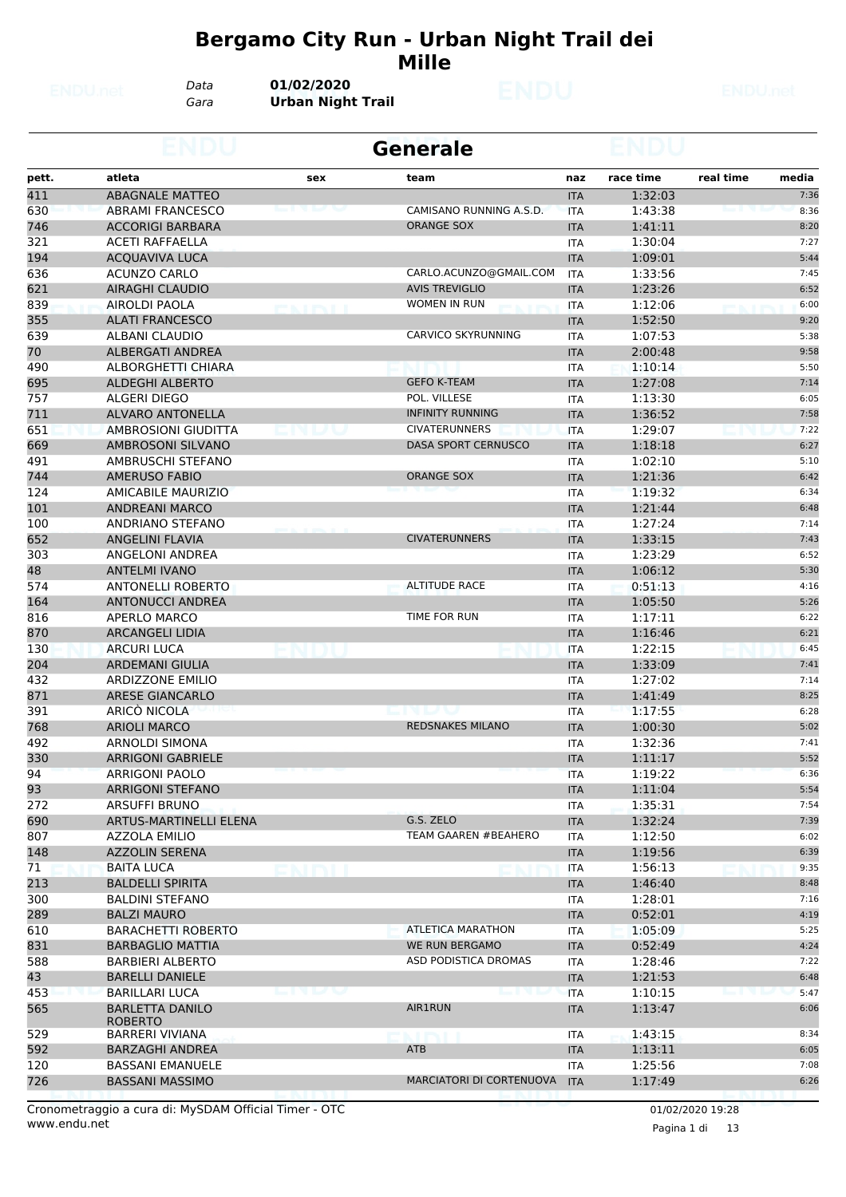#### **Bergamo City Run - Urban Night Trail dei Mille**

*Data* **01/02/2020**

*Gara* **Urban Night Trail**

|       |                                          |        | <b>Generale</b>                                                         |            |           |                    |
|-------|------------------------------------------|--------|-------------------------------------------------------------------------|------------|-----------|--------------------|
| pett. | atleta                                   | sex    | team                                                                    | naz        | race time | real time<br>media |
| 411   | <b>ABAGNALE MATTEO</b>                   |        |                                                                         | <b>ITA</b> | 1:32:03   | 7:36               |
| 630   | <b>ABRAMI FRANCESCO</b>                  |        | CAMISANO RUNNING A.S.D.                                                 | <b>ITA</b> | 1:43:38   | 8:36               |
| 746   | <b>ACCORIGI BARBARA</b>                  |        | ORANGE SOX                                                              | <b>ITA</b> | 1:41:11   | 8:20               |
| 321   | <b>ACETI RAFFAELLA</b>                   |        |                                                                         | ITA        | 1:30:04   | 7:27               |
| 194   | ACQUAVIVA LUCA                           |        |                                                                         | <b>ITA</b> | 1:09:01   | 5:44               |
| 636   | <b>ACUNZO CARLO</b>                      |        | CARLO.ACUNZO@GMAIL.COM                                                  | ITA        | 1:33:56   | 7:45               |
| 621   | <b>AIRAGHI CLAUDIO</b>                   |        | <b>AVIS TREVIGLIO</b>                                                   | <b>ITA</b> | 1:23:26   | 6:52               |
| 839   | <b>AIROLDI PAOLA</b>                     |        | <b>WOMEN IN RUN</b>                                                     | <b>ITA</b> | 1:12:06   | 6:00               |
| 355   | <b>ALATI FRANCESCO</b>                   |        |                                                                         | <b>ITA</b> | 1:52:50   | 9:20               |
| 639   | ALBANI CLAUDIO                           |        | <b>CARVICO SKYRUNNING</b>                                               | ITA        | 1:07:53   | 5:38               |
| 70    | <b>ALBERGATI ANDREA</b>                  |        |                                                                         | <b>ITA</b> | 2:00:48   | 9:58               |
| 490   | ALBORGHETTI CHIARA                       |        |                                                                         | <b>ITA</b> | 1:10:14   | 5:50               |
| 695   | <b>ALDEGHI ALBERTO</b>                   |        | <b>GEFO K-TEAM</b>                                                      | <b>ITA</b> | 1:27:08   | 7:14               |
| 757   | ALGERI DIEGO                             |        | POL. VILLESE                                                            | ITA        | 1:13:30   | 6:05               |
| 711   | ALVARO ANTONELLA                         |        | <b>INFINITY RUNNING</b>                                                 | <b>ITA</b> | 1:36:52   | 7:58               |
| 651   | AMBROSIONI GIUDITTA                      |        | <b>CIVATERUNNERS</b>                                                    | <b>ITA</b> | 1:29:07   | 7:22               |
| 669   | AMBROSONI SILVANO                        |        | <b>DASA SPORT CERNUSCO</b>                                              | <b>ITA</b> | 1:18:18   | 6:27               |
| 491   | AMBRUSCHI STEFANO                        |        |                                                                         | <b>ITA</b> | 1:02:10   | 5:10               |
| 744   | <b>AMERUSO FABIO</b>                     |        | <b>ORANGE SOX</b>                                                       | <b>ITA</b> | 1:21:36   | 6:42               |
| 124   | <b>AMICABILE MAURIZIO</b>                |        |                                                                         | ITA        | 1:19:32   | 6:34               |
| 101   | <b>ANDREANI MARCO</b>                    |        |                                                                         | <b>ITA</b> | 1:21:44   | 6:48               |
| 100   | ANDRIANO STEFANO                         |        |                                                                         | ITA        | 1:27:24   | 7:14               |
| 652   | <b>ANGELINI FLAVIA</b>                   |        | <b>CIVATERUNNERS</b>                                                    | <b>ITA</b> | 1:33:15   | 7:43               |
| 303   | ANGELONI ANDREA                          |        |                                                                         | <b>ITA</b> | 1:23:29   | 6:52               |
| 48    | <b>ANTELMI IVANO</b>                     |        |                                                                         | <b>ITA</b> | 1:06:12   | 5:30               |
| 574   | <b>ANTONELLI ROBERTO</b>                 |        | <b>ALTITUDE RACE</b>                                                    | ITA        | 0:51:13   | 4:16               |
| 164   | ANTONUCCI ANDREA                         |        |                                                                         | <b>ITA</b> | 1:05:50   | 5:26               |
| 816   | APERLO MARCO                             |        | TIME FOR RUN                                                            | ITA        | 1:17:11   | 6:22               |
| 870   | <b>ARCANGELI LIDIA</b>                   |        |                                                                         | <b>ITA</b> | 1:16:46   | 6:21               |
| 130   | <b>ARCURI LUCA</b>                       |        |                                                                         | <b>ITA</b> | 1:22:15   | 6:45               |
| 204   | <b>ARDEMANI GIULIA</b>                   |        |                                                                         | <b>ITA</b> | 1:33:09   | 7:41               |
| 432   | <b>ARDIZZONE EMILIO</b>                  |        |                                                                         | ITA        | 1:27:02   | 7:14               |
| 871   | <b>ARESE GIANCARLO</b>                   |        |                                                                         | <b>ITA</b> | 1:41:49   | 8:25               |
| 391   | ARICÒ NICOLA                             |        | <u>line dall'Internazionale di un internazione di un alterno di un </u> | ITA        | 1:17:55   | 6:28               |
| 768   | <b>ARIOLI MARCO</b>                      |        | <b>REDSNAKES MILANO</b>                                                 | <b>ITA</b> | 1:00:30   | 5:02               |
| 492   | <b>ARNOLDI SIMONA</b>                    |        |                                                                         | <b>ITA</b> | 1:32:36   | 7:41               |
| 330   | <b>ARRIGONI GABRIELE</b>                 |        |                                                                         | <b>ITA</b> | 1:11:17   | 5:52               |
| 94    | ARRIGONI PAOLO                           |        |                                                                         | <b>ITA</b> | 1:19:22   | 6:36               |
| 93    | ARRIGONI STEFANO                         |        |                                                                         | <b>ITA</b> | 1:11:04   | 5:54               |
| 272   | ARSUFFI BRUNO                            |        |                                                                         | ITA        | 1:35:31   | 7:54               |
| 690   | ARTUS-MARTINELLI ELENA                   |        | G.S. ZELO                                                               | <b>ITA</b> | 1:32:24   | 7:39               |
| 807   | <b>AZZOLA EMILIO</b>                     |        | <b>TEAM GAAREN #BEAHERO</b>                                             | <b>ITA</b> | 1:12:50   | 6:02               |
| 148   | <b>AZZOLIN SERENA</b>                    |        |                                                                         | <b>ITA</b> | 1:19:56   | 6:39               |
| 71    | <b>BAITA LUCA</b>                        |        |                                                                         | ITA        | 1:56:13   | 9:35               |
| 213   | <b>BALDELLI SPIRITA</b>                  |        |                                                                         | <b>ITA</b> | 1:46:40   | 8:48               |
| 300   | <b>BALDINI STEFANO</b>                   |        |                                                                         | ITA        | 1:28:01   | 7:16               |
| 289   | <b>BALZI MAURO</b>                       |        |                                                                         | <b>ITA</b> | 0:52:01   | 4:19               |
| 610   | <b>BARACHETTI ROBERTO</b>                |        | <b>ATLETICA MARATHON</b>                                                | ITA        | 1:05:09   | 5:25               |
| 831   | <b>BARBAGLIO MATTIA</b>                  |        | <b>WE RUN BERGAMO</b>                                                   | <b>ITA</b> | 0:52:49   | 4:24               |
| 588   | BARBIERI ALBERTO                         |        | ASD PODISTICA DROMAS                                                    | ITA        | 1:28:46   | 7:22               |
| 43    | <b>BARELLI DANIELE</b>                   |        |                                                                         | <b>ITA</b> | 1:21:53   | 6:48               |
| 453   | <b>BARILLARI LUCA</b>                    | n la n |                                                                         | <b>ITA</b> | 1:10:15   | 5:47               |
| 565   | <b>BARLETTA DANILO</b><br><b>ROBERTO</b> |        | <b>AIR1RUN</b>                                                          | <b>ITA</b> | 1:13:47   | 6:06               |
| 529   | <b>BARRERI VIVIANA</b>                   |        |                                                                         | ITA        | 1:43:15   | 8:34               |
| 592   | <b>BARZAGHI ANDREA</b>                   |        | ATB                                                                     | <b>ITA</b> | 1:13:11   | 6:05               |
| 120   | BASSANI EMANUELE                         |        |                                                                         | ITA        | 1:25:56   | 7:08               |
| 726   | <b>BASSANI MASSIMO</b>                   |        | MARCIATORI DI CORTENUOVA                                                | <b>ITA</b> | 1:17:49   | 6:26               |
|       |                                          |        |                                                                         |            |           |                    |

www.endu.net Cronometraggio a cura di: MySDAM Official Timer - OTC 01/02/2020 19:28

Pagina 1 di 13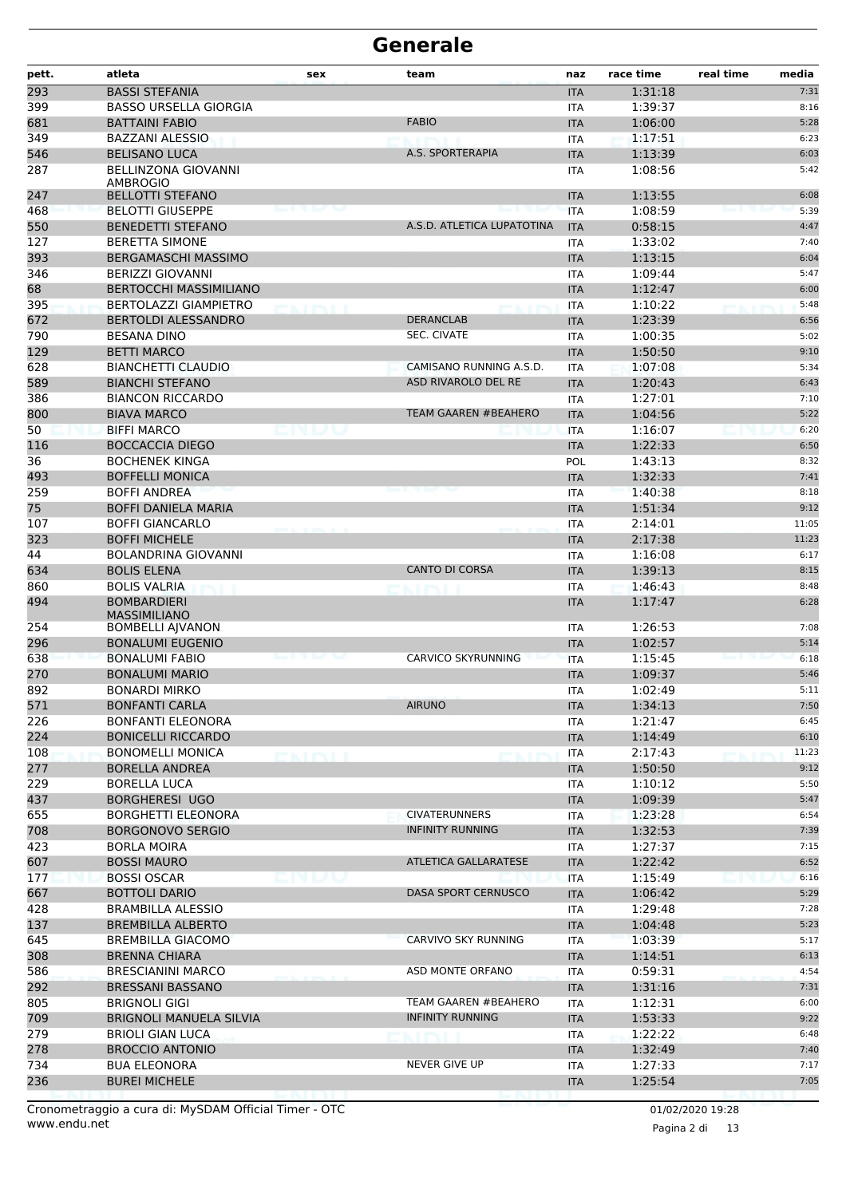| 293<br><b>BASSI STEFANIA</b><br>1:31:18<br><b>ITA</b><br>399<br><b>BASSO URSELLA GIORGIA</b><br><b>ITA</b><br>1:39:37<br><b>FABIO</b><br>681<br><b>BATTAINI FABIO</b><br>1:06:00<br><b>ITA</b><br>349<br>1:17:51<br><b>BAZZANI ALESSIO</b><br><b>ITA</b><br>546<br><b>BELISANO LUCA</b><br>A.S. SPORTERAPIA<br><b>ITA</b><br>1:13:39<br>287<br><b>BELLINZONA GIOVANNI</b><br>1:08:56<br><b>ITA</b><br><b>AMBROGIO</b><br>247<br><b>BELLOTTI STEFANO</b><br>1:13:55<br><b>ITA</b><br>468<br><b>BELOTTI GIUSEPPE</b><br>1:08:59<br><b>ITA</b><br>550<br>A.S.D. ATLETICA LUPATOTINA<br><b>BENEDETTI STEFANO</b><br><b>ITA</b><br>0:58:15<br>127<br><b>BERETTA SIMONE</b><br>1:33:02<br><b>ITA</b><br>393<br><b>BERGAMASCHI MASSIMO</b><br>1:13:15<br><b>ITA</b><br>346<br><b>BERIZZI GIOVANNI</b><br><b>ITA</b><br>1:09:44<br>68<br><b>BERTOCCHI MASSIMILIANO</b><br>1:12:47<br><b>ITA</b><br>395<br><b>BERTOLAZZI GIAMPIETRO</b><br>1:10:22<br><b>ITA</b><br><b>ERSITE</b><br>672<br><b>BERTOLDI ALESSANDRO</b><br><b>DERANCLAB</b><br>1:23:39<br><b>ITA</b><br><b>SEC. CIVATE</b><br>790<br>1:00:35<br><b>BESANA DINO</b><br><b>ITA</b><br>129<br>1:50:50<br><b>BETTI MARCO</b><br><b>ITA</b><br>628<br><b>BIANCHETTI CLAUDIO</b><br>CAMISANO RUNNING A.S.D.<br>1:07:08<br><b>ITA</b><br>589<br>ASD RIVAROLO DEL RE<br><b>BIANCHI STEFANO</b><br>1:20:43<br><b>ITA</b> | real time<br>media |
|-----------------------------------------------------------------------------------------------------------------------------------------------------------------------------------------------------------------------------------------------------------------------------------------------------------------------------------------------------------------------------------------------------------------------------------------------------------------------------------------------------------------------------------------------------------------------------------------------------------------------------------------------------------------------------------------------------------------------------------------------------------------------------------------------------------------------------------------------------------------------------------------------------------------------------------------------------------------------------------------------------------------------------------------------------------------------------------------------------------------------------------------------------------------------------------------------------------------------------------------------------------------------------------------------------------------------------------------------------------------------|--------------------|
|                                                                                                                                                                                                                                                                                                                                                                                                                                                                                                                                                                                                                                                                                                                                                                                                                                                                                                                                                                                                                                                                                                                                                                                                                                                                                                                                                                       | 7:31               |
|                                                                                                                                                                                                                                                                                                                                                                                                                                                                                                                                                                                                                                                                                                                                                                                                                                                                                                                                                                                                                                                                                                                                                                                                                                                                                                                                                                       | 8:16               |
|                                                                                                                                                                                                                                                                                                                                                                                                                                                                                                                                                                                                                                                                                                                                                                                                                                                                                                                                                                                                                                                                                                                                                                                                                                                                                                                                                                       | 5:28               |
|                                                                                                                                                                                                                                                                                                                                                                                                                                                                                                                                                                                                                                                                                                                                                                                                                                                                                                                                                                                                                                                                                                                                                                                                                                                                                                                                                                       | 6:23               |
|                                                                                                                                                                                                                                                                                                                                                                                                                                                                                                                                                                                                                                                                                                                                                                                                                                                                                                                                                                                                                                                                                                                                                                                                                                                                                                                                                                       | 6:03               |
|                                                                                                                                                                                                                                                                                                                                                                                                                                                                                                                                                                                                                                                                                                                                                                                                                                                                                                                                                                                                                                                                                                                                                                                                                                                                                                                                                                       | 5:42               |
|                                                                                                                                                                                                                                                                                                                                                                                                                                                                                                                                                                                                                                                                                                                                                                                                                                                                                                                                                                                                                                                                                                                                                                                                                                                                                                                                                                       | 6:08               |
|                                                                                                                                                                                                                                                                                                                                                                                                                                                                                                                                                                                                                                                                                                                                                                                                                                                                                                                                                                                                                                                                                                                                                                                                                                                                                                                                                                       | 5:39               |
|                                                                                                                                                                                                                                                                                                                                                                                                                                                                                                                                                                                                                                                                                                                                                                                                                                                                                                                                                                                                                                                                                                                                                                                                                                                                                                                                                                       | 4:47               |
|                                                                                                                                                                                                                                                                                                                                                                                                                                                                                                                                                                                                                                                                                                                                                                                                                                                                                                                                                                                                                                                                                                                                                                                                                                                                                                                                                                       | 7:40               |
|                                                                                                                                                                                                                                                                                                                                                                                                                                                                                                                                                                                                                                                                                                                                                                                                                                                                                                                                                                                                                                                                                                                                                                                                                                                                                                                                                                       | 6:04               |
|                                                                                                                                                                                                                                                                                                                                                                                                                                                                                                                                                                                                                                                                                                                                                                                                                                                                                                                                                                                                                                                                                                                                                                                                                                                                                                                                                                       | 5:47               |
|                                                                                                                                                                                                                                                                                                                                                                                                                                                                                                                                                                                                                                                                                                                                                                                                                                                                                                                                                                                                                                                                                                                                                                                                                                                                                                                                                                       | 6:00               |
|                                                                                                                                                                                                                                                                                                                                                                                                                                                                                                                                                                                                                                                                                                                                                                                                                                                                                                                                                                                                                                                                                                                                                                                                                                                                                                                                                                       | 5:48               |
|                                                                                                                                                                                                                                                                                                                                                                                                                                                                                                                                                                                                                                                                                                                                                                                                                                                                                                                                                                                                                                                                                                                                                                                                                                                                                                                                                                       | 6:56               |
|                                                                                                                                                                                                                                                                                                                                                                                                                                                                                                                                                                                                                                                                                                                                                                                                                                                                                                                                                                                                                                                                                                                                                                                                                                                                                                                                                                       | 5:02               |
|                                                                                                                                                                                                                                                                                                                                                                                                                                                                                                                                                                                                                                                                                                                                                                                                                                                                                                                                                                                                                                                                                                                                                                                                                                                                                                                                                                       | 9:10               |
|                                                                                                                                                                                                                                                                                                                                                                                                                                                                                                                                                                                                                                                                                                                                                                                                                                                                                                                                                                                                                                                                                                                                                                                                                                                                                                                                                                       | 5:34               |
|                                                                                                                                                                                                                                                                                                                                                                                                                                                                                                                                                                                                                                                                                                                                                                                                                                                                                                                                                                                                                                                                                                                                                                                                                                                                                                                                                                       | 6:43               |
| 386<br>1:27:01<br><b>BIANCON RICCARDO</b><br><b>ITA</b>                                                                                                                                                                                                                                                                                                                                                                                                                                                                                                                                                                                                                                                                                                                                                                                                                                                                                                                                                                                                                                                                                                                                                                                                                                                                                                               | 7:10               |
| 800<br><b>TEAM GAAREN #BEAHERO</b><br><b>BIAVA MARCO</b><br>1:04:56<br><b>ITA</b>                                                                                                                                                                                                                                                                                                                                                                                                                                                                                                                                                                                                                                                                                                                                                                                                                                                                                                                                                                                                                                                                                                                                                                                                                                                                                     | 5:22               |
| 50<br><b>BIFFI MARCO</b><br>1:16:07<br>ly to<br><b>ITA</b>                                                                                                                                                                                                                                                                                                                                                                                                                                                                                                                                                                                                                                                                                                                                                                                                                                                                                                                                                                                                                                                                                                                                                                                                                                                                                                            | 6:20               |
| 116<br><b>BOCCACCIA DIEGO</b><br>1:22:33<br><b>ITA</b>                                                                                                                                                                                                                                                                                                                                                                                                                                                                                                                                                                                                                                                                                                                                                                                                                                                                                                                                                                                                                                                                                                                                                                                                                                                                                                                | 6:50               |
| 36<br><b>BOCHENEK KINGA</b><br>1:43:13<br>POL                                                                                                                                                                                                                                                                                                                                                                                                                                                                                                                                                                                                                                                                                                                                                                                                                                                                                                                                                                                                                                                                                                                                                                                                                                                                                                                         | 8:32               |
| 493<br><b>BOFFELLI MONICA</b><br>1:32:33<br><b>ITA</b>                                                                                                                                                                                                                                                                                                                                                                                                                                                                                                                                                                                                                                                                                                                                                                                                                                                                                                                                                                                                                                                                                                                                                                                                                                                                                                                | 7:41               |
| 259<br>1:40:38<br><b>BOFFI ANDREA</b><br><b>ITA</b>                                                                                                                                                                                                                                                                                                                                                                                                                                                                                                                                                                                                                                                                                                                                                                                                                                                                                                                                                                                                                                                                                                                                                                                                                                                                                                                   | 8:18               |
| 75<br><b>BOFFI DANIELA MARIA</b><br>1:51:34<br><b>ITA</b>                                                                                                                                                                                                                                                                                                                                                                                                                                                                                                                                                                                                                                                                                                                                                                                                                                                                                                                                                                                                                                                                                                                                                                                                                                                                                                             | 9:12               |
| 107<br><b>BOFFI GIANCARLO</b><br>2:14:01<br><b>ITA</b>                                                                                                                                                                                                                                                                                                                                                                                                                                                                                                                                                                                                                                                                                                                                                                                                                                                                                                                                                                                                                                                                                                                                                                                                                                                                                                                | 11:05              |
| 323<br><b>BOFFI MICHELE</b><br>2:17:38<br><b>ITA</b>                                                                                                                                                                                                                                                                                                                                                                                                                                                                                                                                                                                                                                                                                                                                                                                                                                                                                                                                                                                                                                                                                                                                                                                                                                                                                                                  | 11:23              |
| 44<br><b>BOLANDRINA GIOVANNI</b><br>1:16:08<br><b>ITA</b>                                                                                                                                                                                                                                                                                                                                                                                                                                                                                                                                                                                                                                                                                                                                                                                                                                                                                                                                                                                                                                                                                                                                                                                                                                                                                                             | 6:17               |
| 634<br><b>BOLIS ELENA</b><br><b>CANTO DI CORSA</b><br>1:39:13<br><b>ITA</b>                                                                                                                                                                                                                                                                                                                                                                                                                                                                                                                                                                                                                                                                                                                                                                                                                                                                                                                                                                                                                                                                                                                                                                                                                                                                                           | 8:15               |
| 1:46:43<br>860<br><b>BOLIS VALRIA</b><br><b>ITA</b>                                                                                                                                                                                                                                                                                                                                                                                                                                                                                                                                                                                                                                                                                                                                                                                                                                                                                                                                                                                                                                                                                                                                                                                                                                                                                                                   | 8:48               |
| 494<br><b>BOMBARDIERI</b><br>1:17:47<br><b>ITA</b><br><b>MASSIMILIANO</b>                                                                                                                                                                                                                                                                                                                                                                                                                                                                                                                                                                                                                                                                                                                                                                                                                                                                                                                                                                                                                                                                                                                                                                                                                                                                                             | 6:28               |
| 254<br><b>BOMBELLI AJVANON</b><br>1:26:53<br><b>ITA</b>                                                                                                                                                                                                                                                                                                                                                                                                                                                                                                                                                                                                                                                                                                                                                                                                                                                                                                                                                                                                                                                                                                                                                                                                                                                                                                               | 7:08               |
| 296<br>1:02:57<br><b>BONALUMI EUGENIO</b><br><b>ITA</b>                                                                                                                                                                                                                                                                                                                                                                                                                                                                                                                                                                                                                                                                                                                                                                                                                                                                                                                                                                                                                                                                                                                                                                                                                                                                                                               | 5:14               |
| 638<br><b>BONALUMI FABIO</b><br>CARVICO SKYRUNNING<br><b>ITA</b><br>1:15:45                                                                                                                                                                                                                                                                                                                                                                                                                                                                                                                                                                                                                                                                                                                                                                                                                                                                                                                                                                                                                                                                                                                                                                                                                                                                                           | 6:18               |
| 270<br><b>BONALUMI MARIO</b><br><b>ITA</b><br>1:09:37                                                                                                                                                                                                                                                                                                                                                                                                                                                                                                                                                                                                                                                                                                                                                                                                                                                                                                                                                                                                                                                                                                                                                                                                                                                                                                                 | 5:46               |
| 892<br><b>BONARDI MIRKO</b><br>1:02:49<br><b>ITA</b>                                                                                                                                                                                                                                                                                                                                                                                                                                                                                                                                                                                                                                                                                                                                                                                                                                                                                                                                                                                                                                                                                                                                                                                                                                                                                                                  | 5:11               |
| 571<br><b>AIRUNO</b><br>1:34:13<br><b>BONFANTI CARLA</b><br><b>ITA</b>                                                                                                                                                                                                                                                                                                                                                                                                                                                                                                                                                                                                                                                                                                                                                                                                                                                                                                                                                                                                                                                                                                                                                                                                                                                                                                | 7:50               |
| 226<br><b>BONFANTI ELEONORA</b><br>1:21:47<br>ITA                                                                                                                                                                                                                                                                                                                                                                                                                                                                                                                                                                                                                                                                                                                                                                                                                                                                                                                                                                                                                                                                                                                                                                                                                                                                                                                     | 6:45               |
| 224<br><b>BONICELLI RICCARDO</b><br>1:14:49<br><b>ITA</b>                                                                                                                                                                                                                                                                                                                                                                                                                                                                                                                                                                                                                                                                                                                                                                                                                                                                                                                                                                                                                                                                                                                                                                                                                                                                                                             | 6:10               |
| 108<br><b>BONOMELLI MONICA</b><br>2:17:43<br>ITA<br>5 K.HRVI I                                                                                                                                                                                                                                                                                                                                                                                                                                                                                                                                                                                                                                                                                                                                                                                                                                                                                                                                                                                                                                                                                                                                                                                                                                                                                                        | 11:23              |
| 277<br><b>BORELLA ANDREA</b><br><b>ITA</b><br>1:50:50                                                                                                                                                                                                                                                                                                                                                                                                                                                                                                                                                                                                                                                                                                                                                                                                                                                                                                                                                                                                                                                                                                                                                                                                                                                                                                                 | 9:12               |
| 229<br><b>BORELLA LUCA</b><br>1:10:12<br>ITA                                                                                                                                                                                                                                                                                                                                                                                                                                                                                                                                                                                                                                                                                                                                                                                                                                                                                                                                                                                                                                                                                                                                                                                                                                                                                                                          | 5:50               |
| 437<br><b>BORGHERESI UGO</b><br><b>ITA</b><br>1:09:39                                                                                                                                                                                                                                                                                                                                                                                                                                                                                                                                                                                                                                                                                                                                                                                                                                                                                                                                                                                                                                                                                                                                                                                                                                                                                                                 | 5:47               |
| <b>CIVATERUNNERS</b><br>655<br><b>BORGHETTI ELEONORA</b><br>1:23:28<br><b>ITA</b>                                                                                                                                                                                                                                                                                                                                                                                                                                                                                                                                                                                                                                                                                                                                                                                                                                                                                                                                                                                                                                                                                                                                                                                                                                                                                     | 6:54               |
| <b>INFINITY RUNNING</b><br>708<br>1:32:53<br><b>BORGONOVO SERGIO</b><br><b>ITA</b>                                                                                                                                                                                                                                                                                                                                                                                                                                                                                                                                                                                                                                                                                                                                                                                                                                                                                                                                                                                                                                                                                                                                                                                                                                                                                    | 7:39               |
| 423<br><b>BORLA MOIRA</b><br><b>ITA</b><br>1:27:37                                                                                                                                                                                                                                                                                                                                                                                                                                                                                                                                                                                                                                                                                                                                                                                                                                                                                                                                                                                                                                                                                                                                                                                                                                                                                                                    | 7:15               |
| ATLETICA GALLARATESE<br>607<br><b>BOSSI MAURO</b><br>1:22:42<br><b>ITA</b>                                                                                                                                                                                                                                                                                                                                                                                                                                                                                                                                                                                                                                                                                                                                                                                                                                                                                                                                                                                                                                                                                                                                                                                                                                                                                            | 6:52               |
| 177<br><b>BOSSI OSCAR</b><br>biniuu<br>1:15:49<br><b>ITA</b>                                                                                                                                                                                                                                                                                                                                                                                                                                                                                                                                                                                                                                                                                                                                                                                                                                                                                                                                                                                                                                                                                                                                                                                                                                                                                                          | 6:16               |
| 667<br>DASA SPORT CERNUSCO<br><b>BOTTOLI DARIO</b><br>1:06:42<br><b>ITA</b>                                                                                                                                                                                                                                                                                                                                                                                                                                                                                                                                                                                                                                                                                                                                                                                                                                                                                                                                                                                                                                                                                                                                                                                                                                                                                           | 5:29               |
| 428<br><b>BRAMBILLA ALESSIO</b><br>1:29:48<br>ITA                                                                                                                                                                                                                                                                                                                                                                                                                                                                                                                                                                                                                                                                                                                                                                                                                                                                                                                                                                                                                                                                                                                                                                                                                                                                                                                     | 7:28               |
| 137<br><b>BREMBILLA ALBERTO</b><br>1:04:48<br><b>ITA</b>                                                                                                                                                                                                                                                                                                                                                                                                                                                                                                                                                                                                                                                                                                                                                                                                                                                                                                                                                                                                                                                                                                                                                                                                                                                                                                              | 5:23               |
| 645<br>CARVIVO SKY RUNNING<br><b>BREMBILLA GIACOMO</b><br>1:03:39<br>ITA                                                                                                                                                                                                                                                                                                                                                                                                                                                                                                                                                                                                                                                                                                                                                                                                                                                                                                                                                                                                                                                                                                                                                                                                                                                                                              | 5:17               |
| 308<br><b>BRENNA CHIARA</b><br><b>ITA</b><br>1:14:51                                                                                                                                                                                                                                                                                                                                                                                                                                                                                                                                                                                                                                                                                                                                                                                                                                                                                                                                                                                                                                                                                                                                                                                                                                                                                                                  | 6:13               |
| 586<br>ASD MONTE ORFANO<br><b>BRESCIANINI MARCO</b><br>0:59:31<br>ITA                                                                                                                                                                                                                                                                                                                                                                                                                                                                                                                                                                                                                                                                                                                                                                                                                                                                                                                                                                                                                                                                                                                                                                                                                                                                                                 | 4:54               |
| 292<br><b>BRESSANI BASSANO</b><br>1:31:16<br><b>ITA</b>                                                                                                                                                                                                                                                                                                                                                                                                                                                                                                                                                                                                                                                                                                                                                                                                                                                                                                                                                                                                                                                                                                                                                                                                                                                                                                               | 7:31               |
| TEAM GAAREN #BEAHERO<br>805<br>1:12:31<br><b>BRIGNOLI GIGI</b><br>ITA                                                                                                                                                                                                                                                                                                                                                                                                                                                                                                                                                                                                                                                                                                                                                                                                                                                                                                                                                                                                                                                                                                                                                                                                                                                                                                 | 6:00               |
| 709<br><b>INFINITY RUNNING</b><br>1:53:33<br><b>BRIGNOLI MANUELA SILVIA</b><br><b>ITA</b>                                                                                                                                                                                                                                                                                                                                                                                                                                                                                                                                                                                                                                                                                                                                                                                                                                                                                                                                                                                                                                                                                                                                                                                                                                                                             | 9:22               |
| 279<br><b>BRIOLI GIAN LUCA</b><br>1:22:22<br>ITA                                                                                                                                                                                                                                                                                                                                                                                                                                                                                                                                                                                                                                                                                                                                                                                                                                                                                                                                                                                                                                                                                                                                                                                                                                                                                                                      | 6:48               |
| 278<br><b>BROCCIO ANTONIO</b><br>1:32:49<br><b>ITA</b>                                                                                                                                                                                                                                                                                                                                                                                                                                                                                                                                                                                                                                                                                                                                                                                                                                                                                                                                                                                                                                                                                                                                                                                                                                                                                                                | 7:40               |
| 734<br><b>BUA ELEONORA</b><br>NEVER GIVE UP<br>1:27:33<br>ITA                                                                                                                                                                                                                                                                                                                                                                                                                                                                                                                                                                                                                                                                                                                                                                                                                                                                                                                                                                                                                                                                                                                                                                                                                                                                                                         | 7:17               |
| 236<br><b>BUREI MICHELE</b><br>1:25:54<br><b>ITA</b>                                                                                                                                                                                                                                                                                                                                                                                                                                                                                                                                                                                                                                                                                                                                                                                                                                                                                                                                                                                                                                                                                                                                                                                                                                                                                                                  | 7:05               |

Pagina 2 di 13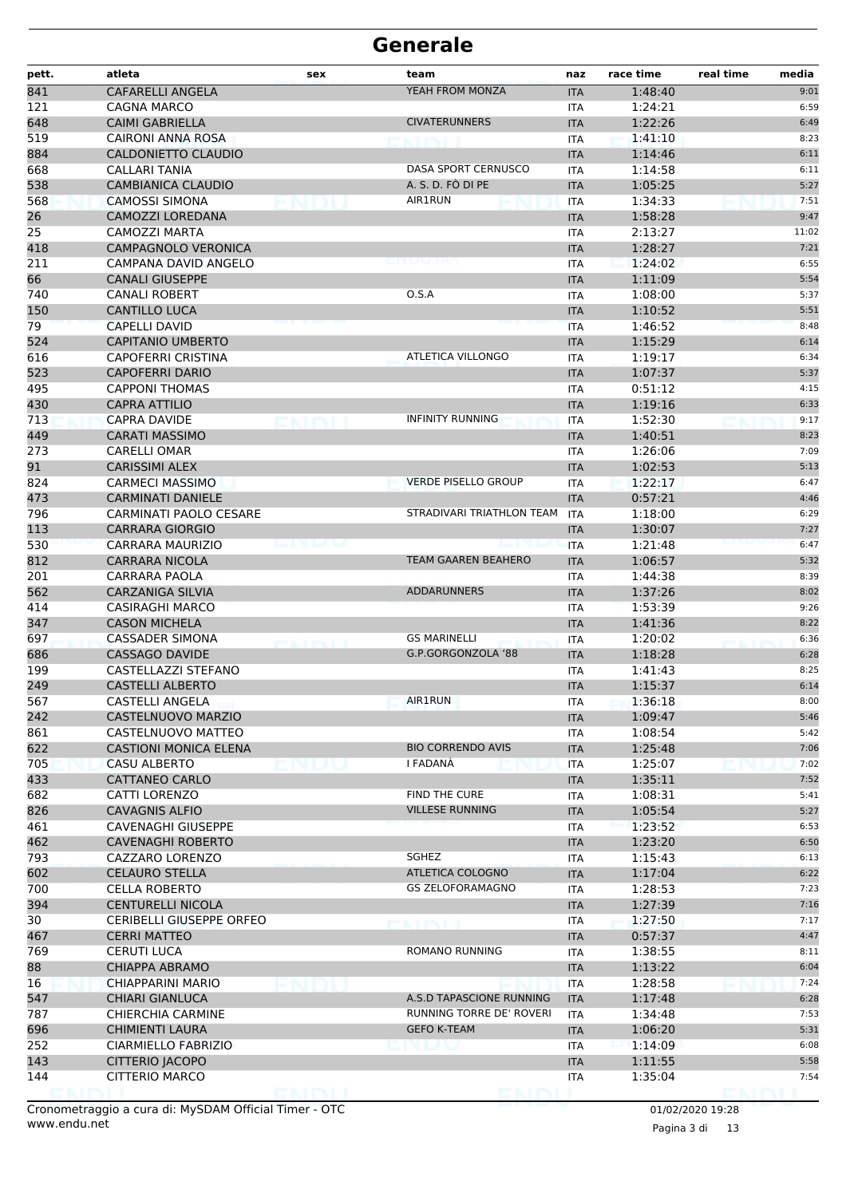| pett.      | atleta                                          | sex             | team                       | naz                      | race time          | real time<br>media |
|------------|-------------------------------------------------|-----------------|----------------------------|--------------------------|--------------------|--------------------|
| 841        | <b>CAFARELLI ANGELA</b>                         |                 | YEAH FROM MONZA            | <b>ITA</b>               | 1:48:40            | 9:01               |
| 121        | <b>CAGNA MARCO</b>                              |                 |                            | <b>ITA</b>               | 1:24:21            | 6:59               |
| 648        | <b>CAIMI GABRIELLA</b>                          |                 | <b>CIVATERUNNERS</b>       | <b>ITA</b>               | 1:22:26            | 6:49               |
| 519        | CAIRONI ANNA ROSA                               |                 |                            | <b>ITA</b>               | 1:41:10            | 8:23               |
| 884        | CALDONIETTO CLAUDIO                             |                 |                            | <b>ITA</b>               | 1:14:46            | 6:11               |
| 668        | <b>CALLARI TANIA</b>                            |                 | DASA SPORT CERNUSCO        | <b>ITA</b>               | 1:14:58            | 6:11               |
| 538        | <b>CAMBIANICA CLAUDIO</b>                       |                 | A. S. D. FO DI PE          | <b>ITA</b>               | 1:05:25            | 5:27               |
| 568        | <b>CAMOSSI SIMONA</b>                           |                 | <b>AIR1RUN</b>             | <b>ITA</b>               | 1:34:33            | 7:51               |
| 26         | CAMOZZI LOREDANA                                |                 |                            | <b>ITA</b>               | 1:58:28            | 9:47               |
| 25         | <b>CAMOZZI MARTA</b>                            |                 |                            | <b>ITA</b>               | 2:13:27            | 11:02              |
| 418        | <b>CAMPAGNOLO VERONICA</b>                      |                 |                            | <b>ITA</b>               | 1:28:27            | 7:21               |
| 211        | CAMPANA DAVID ANGELO                            |                 |                            | <b>ITA</b>               | 1:24:02            | 6:55               |
| 66         | <b>CANALI GIUSEPPE</b>                          |                 |                            | <b>ITA</b>               | 1:11:09            | 5:54               |
| 740        | <b>CANALI ROBERT</b>                            |                 | 0.5.A                      | ITA                      | 1:08:00            | 5:37               |
| 150        | <b>CANTILLO LUCA</b>                            |                 |                            | <b>ITA</b>               | 1:10:52            | 5:51               |
| 79         | CAPELLI DAVID                                   |                 |                            | <b>ITA</b>               | 1:46:52            | 8:48               |
| 524        | <b>CAPITANIO UMBERTO</b>                        |                 |                            | <b>ITA</b>               | 1:15:29            | 6:14               |
| 616        | <b>CAPOFERRI CRISTINA</b>                       |                 | ATLETICA VILLONGO          | <b>ITA</b>               | 1:19:17            | 6:34               |
| 523        | <b>CAPOFERRI DARIO</b>                          |                 |                            | <b>ITA</b>               | 1:07:37            | 5:37               |
| 495        | <b>CAPPONI THOMAS</b>                           |                 |                            | <b>ITA</b>               | 0:51:12            | 4:15               |
| 430        | <b>CAPRA ATTILIO</b>                            |                 |                            | <b>ITA</b>               | 1:19:16            | 6:33               |
| 713        | <b>CAPRA DAVIDE</b>                             |                 | <b>INFINITY RUNNING</b>    | <b>ITA</b>               | 1:52:30            | 9:17               |
| 449        | <b>CARATI MASSIMO</b>                           |                 |                            | <b>ITA</b>               | 1:40:51            | 8:23               |
| 273        | <b>CARELLI OMAR</b>                             |                 |                            | ITA                      | 1:26:06            | 7:09               |
| 91         | <b>CARISSIMI ALEX</b>                           |                 |                            | <b>ITA</b>               | 1:02:53            | 5:13               |
| 824        | <b>CARMECI MASSIMO</b>                          |                 | <b>VERDE PISELLO GROUP</b> | <b>ITA</b>               | 1:22:17            | 6:47               |
| 473        | <b>CARMINATI DANIELE</b>                        |                 |                            | <b>ITA</b>               | 0:57:21            | 4:46               |
| 796        | <b>CARMINATI PAOLO CESARE</b>                   |                 | STRADIVARI TRIATHLON TEAM  | ITA                      | 1:18:00            | 6:29               |
| 113        | <b>CARRARA GIORGIO</b>                          |                 |                            | <b>ITA</b>               | 1:30:07            | 7:27               |
| 530        | CARRARA MAURIZIO                                | .               |                            | <b>ITA</b>               | 1:21:48            | 6:47               |
| 812        | <b>CARRARA NICOLA</b>                           |                 | <b>TEAM GAAREN BEAHERO</b> | <b>ITA</b>               | 1:06:57            | 5:32               |
| 201        | CARRARA PAOLA                                   |                 |                            | <b>ITA</b>               | 1:44:38            | 8:39               |
| 562        | <b>CARZANIGA SILVIA</b>                         |                 | <b>ADDARUNNERS</b>         | <b>ITA</b>               | 1:37:26            | 8:02               |
| 414<br>347 | <b>CASIRAGHI MARCO</b><br><b>CASON MICHELA</b>  |                 |                            | <b>ITA</b>               | 1:53:39            | 9:26<br>8:22       |
|            |                                                 |                 | <b>GS MARINELLI</b>        | <b>ITA</b>               | 1:41:36            | 6:36               |
| 697<br>686 | <b>CASSADER SIMONA</b><br><b>CASSAGO DAVIDE</b> | <b>BOOT PPS</b> | G.P.GORGONZOLA '88         | <b>ITA</b>               | 1:20:02<br>1:18:28 | 6:28               |
| 199        | CASTELLAZZI STEFANO                             |                 |                            | <b>ITA</b><br><b>ITA</b> | 1:41:43            | 8:25               |
| 249        | <b>CASTELLI ALBERTO</b>                         |                 |                            | <b>ITA</b>               | 1:15:37            | 6:14               |
| 567        | <b>CASTELLI ANGELA</b>                          |                 | <b>AIR1RUN</b>             | <b>ITA</b>               | 1:36:18            | 8:00               |
| 242        | CASTELNUOVO MARZIO                              |                 |                            | <b>ITA</b>               | 1:09:47            | 5:46               |
| 861        | CASTELNUOVO MATTEO                              |                 |                            | ITA                      | 1:08:54            | 5:42               |
| 622        | <b>CASTIONI MONICA ELENA</b>                    |                 | <b>BIO CORRENDO AVIS</b>   | <b>ITA</b>               | 1:25:48            | 7:06               |
| 705        | <b>CASU ALBERTO</b>                             |                 | I FADANA                   | <b>ITA</b>               | 1:25:07            | 7:02               |
| 433        | CATTANEO CARLO                                  |                 |                            | <b>ITA</b>               | 1:35:11            | 7:52               |
| 682        | CATTI LORENZO                                   |                 | <b>FIND THE CURE</b>       | <b>ITA</b>               | 1:08:31            | 5:41               |
| 826        | <b>CAVAGNIS ALFIO</b>                           |                 | <b>VILLESE RUNNING</b>     | <b>ITA</b>               | 1:05:54            | 5:27               |
| 461        | <b>CAVENAGHI GIUSEPPE</b>                       |                 |                            | ITA                      | 1:23:52            | 6:53               |
| 462        | <b>CAVENAGHI ROBERTO</b>                        |                 |                            | <b>ITA</b>               | 1:23:20            | 6:50               |
| 793        | CAZZARO LORENZO                                 |                 | SGHEZ                      | <b>ITA</b>               | 1:15:43            | 6:13               |
| 602        | <b>CELAURO STELLA</b>                           |                 | ATLETICA COLOGNO           | <b>ITA</b>               | 1:17:04            | 6:22               |
| 700        | <b>CELLA ROBERTO</b>                            |                 | <b>GS ZELOFORAMAGNO</b>    | <b>ITA</b>               | 1:28:53            | 7:23               |
| 394        | <b>CENTURELLI NICOLA</b>                        |                 |                            | <b>ITA</b>               | 1:27:39            | 7:16               |
| 30         | <b>CERIBELLI GIUSEPPE ORFEO</b>                 |                 | n i fra Eu                 | ITA                      | 1:27:50            | 7:17               |
| 467        | <b>CERRI MATTEO</b>                             |                 |                            | <b>ITA</b>               | 0:57:37            | 4:47               |
| 769        | <b>CERUTI LUCA</b>                              |                 | ROMANO RUNNING             | <b>ITA</b>               | 1:38:55            | 8:11               |
| 88         | <b>CHIAPPA ABRAMO</b>                           |                 |                            | <b>ITA</b>               | 1:13:22            | 6:04               |
| 16         | CHIAPPARINI MARIO                               |                 |                            | <b>ITA</b>               | 1:28:58            | 7:24               |
| 547        | <b>CHIARI GIANLUCA</b>                          |                 | A.S.D TAPASCIONE RUNNING   | <b>ITA</b>               | 1:17:48            | 6:28               |
| 787        | <b>CHIERCHIA CARMINE</b>                        |                 | RUNNING TORRE DE' ROVERI   | ITA                      | 1:34:48            | 7:53               |
| 696        | <b>CHIMIENTI LAURA</b>                          |                 | <b>GEFO K-TEAM</b>         | <b>ITA</b>               | 1:06:20            | 5:31               |
| 252        | CIARMIELLO FABRIZIO                             |                 |                            | ITA                      | 1:14:09            | 6:08               |
| 143        | CITTERIO JACOPO                                 |                 |                            | <b>ITA</b>               | 1:11:55            | 5:58               |
| 144        | CITTERIO MARCO                                  |                 |                            | <b>ITA</b>               | 1:35:04            | 7:54               |
|            |                                                 | enirih          |                            |                          |                    |                    |

www.endu.net Cronometraggio a cura di: MySDAM Official Timer - OTC 01/02/2020 19:28

Pagina 3 di 13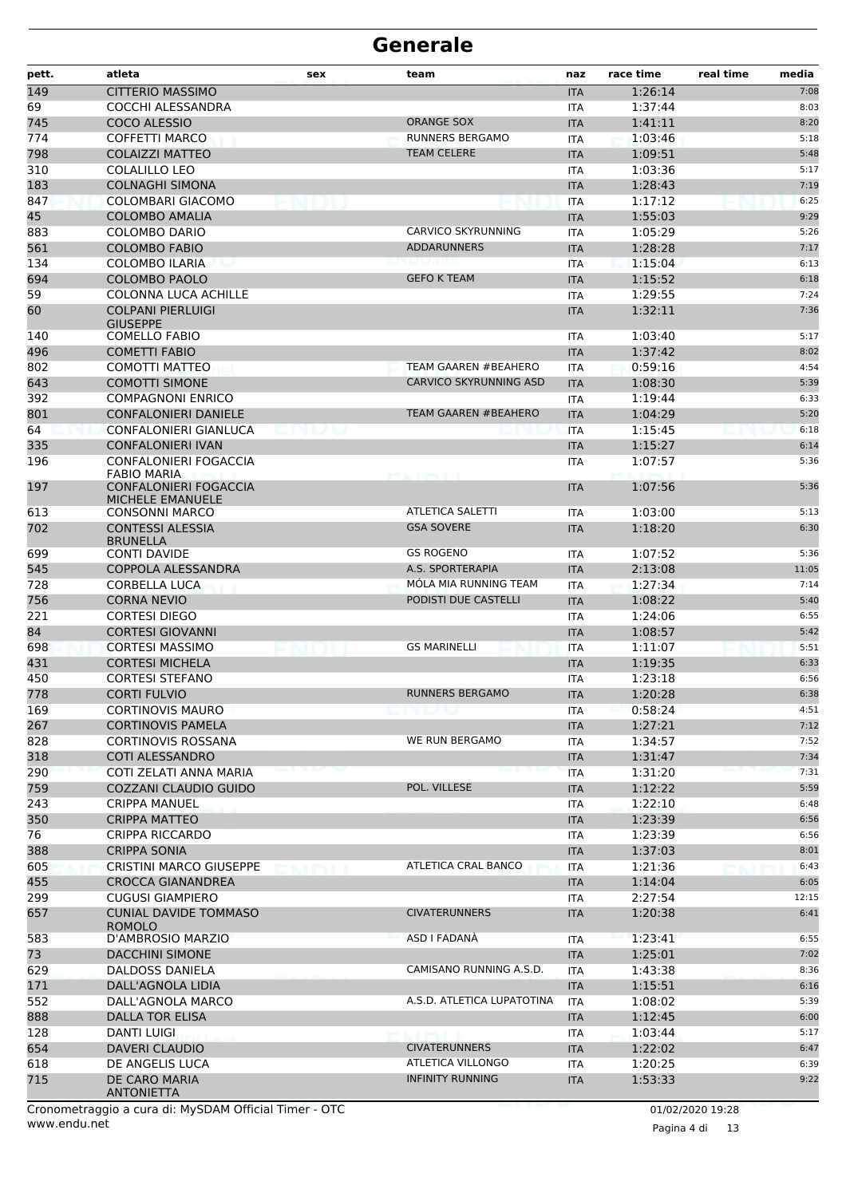| pett.     | atleta                                                  | sex                | team                                  | naz                      | race time          | real time<br>media |
|-----------|---------------------------------------------------------|--------------------|---------------------------------------|--------------------------|--------------------|--------------------|
| 149       | <b>CITTERIO MASSIMO</b>                                 |                    |                                       | <b>ITA</b>               | 1:26:14            | 7:08               |
| 69        | COCCHI ALESSANDRA                                       |                    |                                       | <b>ITA</b>               | 1:37:44            | 8:03               |
| 745       | COCO ALESSIO                                            |                    | <b>ORANGE SOX</b>                     | <b>ITA</b>               | 1:41:11            | 8:20               |
| 774       | <b>COFFETTI MARCO</b>                                   |                    | <b>RUNNERS BERGAMO</b>                | <b>ITA</b>               | 1:03:46            | 5:18               |
| 798       | <b>COLAIZZI MATTEO</b>                                  |                    | <b>TEAM CELERE</b>                    | <b>ITA</b>               | 1:09:51            | 5:48               |
| 310       | <b>COLALILLO LEO</b>                                    |                    |                                       | <b>ITA</b>               | 1:03:36            | 5:17               |
| 183       | <b>COLNAGHI SIMONA</b>                                  |                    |                                       | <b>ITA</b>               | 1:28:43            | 7:19               |
| 847       | COLOMBARI GIACOMO                                       | SUU BILUT          |                                       | <b>ITA</b>               | 1:17:12            | 6:25               |
| 45        | <b>COLOMBO AMALIA</b>                                   |                    |                                       | <b>ITA</b>               | 1:55:03            | 9:29               |
| 883       | <b>COLOMBO DARIO</b>                                    |                    | CARVICO SKYRUNNING                    | <b>ITA</b>               | 1:05:29            | 5:26               |
| 561       | <b>COLOMBO FABIO</b>                                    |                    | <b>ADDARUNNERS</b>                    | <b>ITA</b>               | 1:28:28            | 7:17               |
| 134       | <b>COLOMBO ILARIA</b>                                   |                    |                                       | <b>ITA</b>               | 1:15:04            | 6:13               |
| 694       | <b>COLOMBO PAOLO</b>                                    |                    | <b>GEFO K TEAM</b>                    | <b>ITA</b>               | 1:15:52            | 6:18               |
| 59        | <b>COLONNA LUCA ACHILLE</b>                             |                    |                                       | <b>ITA</b>               | 1:29:55            | 7:24<br>7:36       |
| 60        | <b>COLPANI PIERLUIGI</b><br><b>GIUSEPPE</b>             |                    |                                       | <b>ITA</b>               | 1:32:11            |                    |
| 140       | <b>COMELLO FABIO</b>                                    |                    |                                       | ITA                      | 1:03:40            | 5:17               |
| 496       | <b>COMETTI FABIO</b>                                    |                    |                                       | <b>ITA</b>               | 1:37:42            | 8:02               |
| 802       | COMOTTI MATTEO                                          |                    | <b>TEAM GAAREN #BEAHERO</b>           | <b>ITA</b>               | 0:59:16            | 4:54               |
| 643       | <b>COMOTTI SIMONE</b>                                   |                    | <b>CARVICO SKYRUNNING ASD</b>         | <b>ITA</b>               | 1:08:30            | 5:39               |
| 392       | <b>COMPAGNONI ENRICO</b>                                |                    |                                       | <b>ITA</b>               | 1:19:44            | 6:33               |
| 801       | <b>CONFALONIERI DANIELE</b>                             |                    | <b>TEAM GAAREN #BEAHERO</b>           | <b>ITA</b>               | 1:04:29            | 5:20               |
| 64        | CONFALONIERI GIANLUCA                                   |                    |                                       | <b>ITA</b>               | 1:15:45            | 6:18               |
| 335       | <b>CONFALONIERI IVAN</b>                                |                    |                                       | <b>ITA</b>               | 1:15:27            | 6:14               |
| 196       | CONFALONIERI FOGACCIA                                   |                    |                                       | <b>ITA</b>               | 1:07:57            | 5:36               |
|           | <b>FABIO MARIA</b>                                      |                    | <b>STORY IN THE REAL PROPERTY AND</b> |                          |                    |                    |
| 197       | <b>CONFALONIERI FOGACCIA</b><br><b>MICHELE EMANUELE</b> |                    |                                       | <b>ITA</b>               | 1:07:56            | 5:36               |
| 613       | <b>CONSONNI MARCO</b>                                   |                    | <b>ATLETICA SALETTI</b>               | <b>ITA</b>               | 1:03:00            | 5:13               |
| 702       | <b>CONTESSI ALESSIA</b>                                 |                    | <b>GSA SOVERE</b>                     | <b>ITA</b>               | 1:18:20            | 6:30               |
|           | <b>BRUNELLA</b>                                         |                    |                                       |                          |                    |                    |
| 699       | <b>CONTI DAVIDE</b>                                     |                    | <b>GS ROGENO</b>                      | <b>ITA</b>               | 1:07:52            | 5:36               |
| 545       | COPPOLA ALESSANDRA                                      |                    | A.S. SPORTERAPIA                      | <b>ITA</b>               | 2:13:08            | 11:05              |
| 728       | <b>CORBELLA LUCA</b>                                    |                    | MÓLA MIA RUNNING TEAM                 | <b>ITA</b>               | 1:27:34            | 7:14               |
| 756       | <b>CORNA NEVIO</b>                                      |                    | PODISTI DUE CASTELLI                  | <b>ITA</b>               | 1:08:22            | 5:40               |
| 221       | <b>CORTESI DIEGO</b>                                    |                    |                                       | <b>ITA</b>               | 1:24:06            | 6:55               |
| 84<br>698 | <b>CORTESI GIOVANNI</b><br><b>CORTESI MASSIMO</b>       |                    | <b>GS MARINELLI</b>                   | <b>ITA</b>               | 1:08:57            | 5:42<br>5:51       |
| 431       | <b>CORTESI MICHELA</b>                                  |                    |                                       | <b>ITA</b><br><b>ITA</b> | 1:11:07<br>1:19:35 | 6:33               |
| 450       | <b>CORTESI STEFANO</b>                                  |                    |                                       | <b>ITA</b>               | 1:23:18            | 6:56               |
| 778       | <b>CORTI FULVIO</b>                                     |                    | <b>RUNNERS BERGAMO</b>                | <b>ITA</b>               | 1:20:28            | 6:38               |
| 169       | <b>CORTINOVIS MAURO</b>                                 |                    | vienu                                 | ITA                      | 0:58:24            | 4:51               |
| 267       | <b>CORTINOVIS PAMELA</b>                                |                    |                                       | <b>ITA</b>               | 1:27:21            | 7:12               |
| 828       | <b>CORTINOVIS ROSSANA</b>                               |                    | WE RUN BERGAMO                        | ITA                      | 1:34:57            | 7:52               |
| 318       | <b>COTI ALESSANDRO</b>                                  |                    |                                       | <b>ITA</b>               | 1:31:47            | 7:34               |
| 290       | COTI ZELATI ANNA MARIA                                  |                    |                                       | <b>ITA</b>               | 1:31:20            | 7:31               |
| 759       | COZZANI CLAUDIO GUIDO                                   |                    | POL. VILLESE                          | <b>ITA</b>               | 1:12:22            | 5:59               |
| 243       | <b>CRIPPA MANUEL</b>                                    |                    |                                       | ITA                      | 1:22:10            | 6:48               |
| 350       | <b>CRIPPA MATTEO</b>                                    |                    |                                       | <b>ITA</b>               | 1:23:39            | 6:56               |
| 76        | <b>CRIPPA RICCARDO</b>                                  |                    |                                       | ITA                      | 1:23:39            | 6:56               |
| 388       | <b>CRIPPA SONIA</b>                                     |                    |                                       | <b>ITA</b>               | 1:37:03            | 8:01               |
| 605       | <b>CRISTINI MARCO GIUSEPPE</b>                          | Maini 1776. Titali | ATLETICA CRAL BANCO                   | <b>ITA</b>               | 1:21:36            | 6:43               |
| 455       | CROCCA GIANANDREA                                       |                    |                                       | <b>ITA</b>               | 1:14:04            | 6:05               |
| 299       | <b>CUGUSI GIAMPIERO</b>                                 |                    |                                       | <b>ITA</b>               | 2:27:54            | 12:15              |
| 657       | <b>CUNIAL DAVIDE TOMMASO</b><br><b>ROMOLO</b>           |                    | <b>CIVATERUNNERS</b>                  | <b>ITA</b>               | 1:20:38            | 6:41               |
| 583       | D'AMBROSIO MARZIO                                       |                    | ASD I FADANA                          | ITA                      | 1:23:41            | 6:55               |
| 73        | <b>DACCHINI SIMONE</b>                                  |                    |                                       | <b>ITA</b>               | 1:25:01            | 7:02               |
| 629       | DALDOSS DANIELA                                         |                    | CAMISANO RUNNING A.S.D.               | ITA                      | 1:43:38            | 8:36               |
| 171       | DALL'AGNOLA LIDIA                                       |                    |                                       | <b>ITA</b>               | 1:15:51            | 6:16               |
| 552       | DALL'AGNOLA MARCO                                       |                    | A.S.D. ATLETICA LUPATOTINA            | <b>ITA</b>               | 1:08:02            | 5:39               |
| 888       | DALLA TOR ELISA                                         |                    |                                       | <b>ITA</b>               | 1:12:45            | 6:00               |
| 128       | DANTI LUIGI                                             |                    | KI PSI B                              | <b>ITA</b>               | 1:03:44            | 5:17               |
| 654       | <b>DAVERI CLAUDIO</b>                                   |                    | <b>CIVATERUNNERS</b>                  | <b>ITA</b>               | 1:22:02            | 6:47               |
| 618       | DE ANGELIS LUCA                                         |                    | ATLETICA VILLONGO                     | ITA                      | 1:20:25            | 6:39               |
| 715       | DE CARO MARIA<br><b>ANTONIETTA</b>                      |                    | <b>INFINITY RUNNING</b>               | <b>ITA</b>               | 1:53:33            | 9:22               |

www.endu.net Cronometraggio a cura di: MySDAM Official Timer - OTC 01/02/2020 19:28

Pagina 4 di 13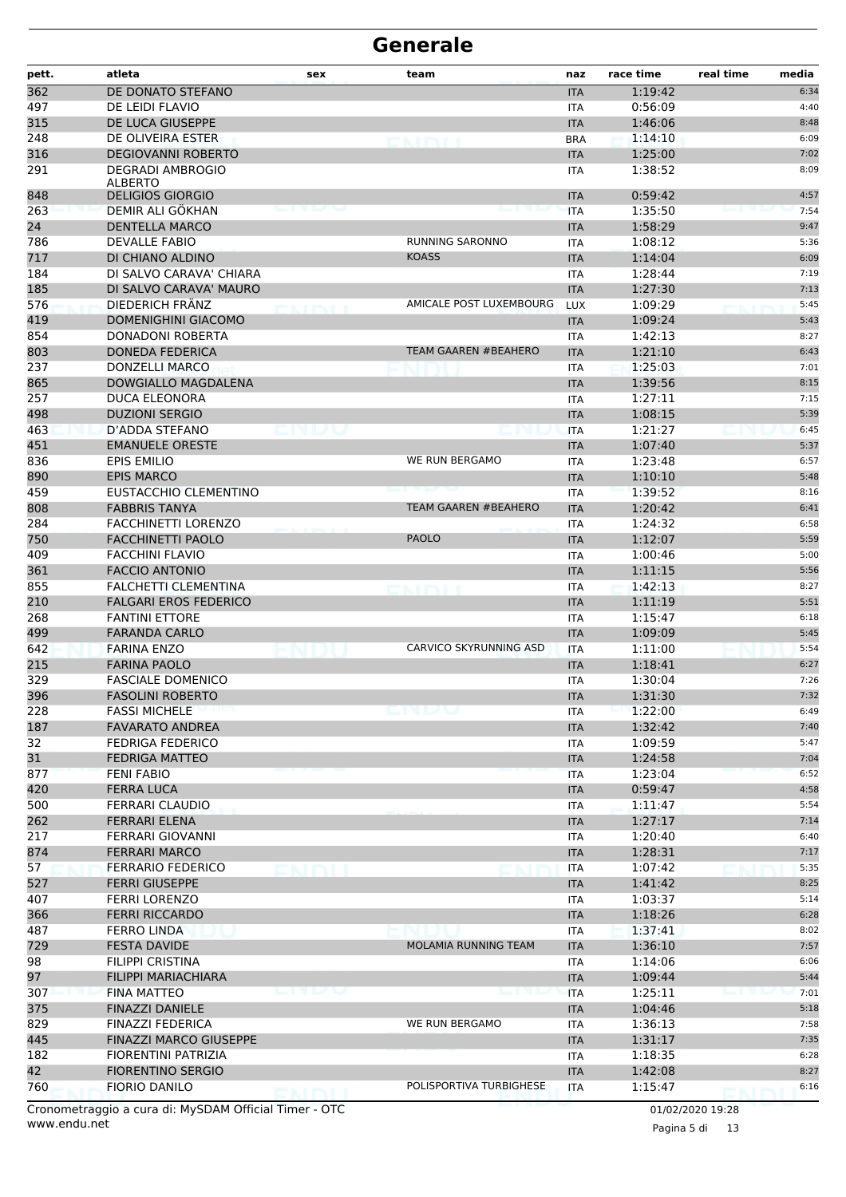| pett. | atleta                                    | sex                | team                        | naz        | race time | real time | media |
|-------|-------------------------------------------|--------------------|-----------------------------|------------|-----------|-----------|-------|
| 362   | DE DONATO STEFANO                         |                    |                             | <b>ITA</b> | 1:19:42   |           | 6:34  |
| 497   | DE LEIDI FLAVIO                           |                    |                             | <b>ITA</b> | 0:56:09   |           | 4:40  |
| 315   | DE LUCA GIUSEPPE                          |                    |                             | <b>ITA</b> | 1:46:06   |           | 8:48  |
| 248   | DE OLIVEIRA ESTER                         |                    | entri                       | <b>BRA</b> | 1:14:10   |           | 6:09  |
| 316   | <b>DEGIOVANNI ROBERTO</b>                 |                    |                             | <b>ITA</b> | 1:25:00   |           | 7:02  |
| 291   | <b>DEGRADI AMBROGIO</b><br><b>ALBERTO</b> |                    |                             | ITA        | 1:38:52   |           | 8:09  |
| 848   | <b>DELIGIOS GIORGIO</b>                   |                    |                             | <b>ITA</b> | 0:59:42   |           | 4:57  |
| 263   | DEMIR ALI GÖKHAN                          |                    |                             | <b>ITA</b> | 1:35:50   |           | 7:54  |
| 24    | <b>DENTELLA MARCO</b>                     |                    |                             | <b>ITA</b> | 1:58:29   |           | 9:47  |
| 786   | <b>DEVALLE FABIO</b>                      |                    | <b>RUNNING SARONNO</b>      | ITA        | 1:08:12   |           | 5:36  |
| 717   | DI CHIANO ALDINO                          |                    | <b>KOASS</b>                | <b>ITA</b> | 1:14:04   |           | 6:09  |
| 184   | DI SALVO CARAVA' CHIARA                   |                    |                             | <b>ITA</b> | 1:28:44   |           | 7:19  |
| 185   | DI SALVO CARAVA' MAURO                    |                    |                             | <b>ITA</b> | 1:27:30   |           | 7:13  |
| 576   | DIEDERICH FRÂNZ                           |                    | AMICALE POST LUXEMBOURG     | <b>LUX</b> | 1:09:29   |           | 5:45  |
| 419   | <b>DOMENIGHINI GIACOMO</b>                |                    |                             | <b>ITA</b> | 1:09:24   |           | 5:43  |
| 854   | <b>DONADONI ROBERTA</b>                   |                    |                             | ITA        | 1:42:13   |           | 8:27  |
| 803   | <b>DONEDA FEDERICA</b>                    |                    | TEAM GAAREN #BEAHERO        | <b>ITA</b> | 1:21:10   |           | 6:43  |
| 237   | <b>DONZELLI MARCO</b>                     |                    |                             | <b>ITA</b> | 1:25:03   |           | 7:01  |
| 865   | DOWGIALLO MAGDALENA                       |                    |                             | <b>ITA</b> | 1:39:56   |           | 8:15  |
| 257   | DUCA ELEONORA                             |                    |                             | ITA        | 1:27:11   |           | 7:15  |
| 498   | <b>DUZIONI SERGIO</b>                     |                    |                             | <b>ITA</b> | 1:08:15   |           | 5:39  |
| 463   | D'ADDA STEFANO                            |                    |                             | <b>ITA</b> | 1:21:27   |           | 6:45  |
| 451   | <b>EMANUELE ORESTE</b>                    |                    |                             | <b>ITA</b> | 1:07:40   |           | 5:37  |
| 836   | <b>EPIS EMILIO</b>                        |                    | WE RUN BERGAMO              | <b>ITA</b> | 1:23:48   |           | 6:57  |
| 890   | <b>EPIS MARCO</b>                         |                    |                             | <b>ITA</b> | 1:10:10   |           | 5:48  |
| 459   | EUSTACCHIO CLEMENTINO                     |                    |                             | ITA        | 1:39:52   |           | 8:16  |
| 808   | <b>FABBRIS TANYA</b>                      |                    | <b>TEAM GAAREN #BEAHERO</b> | <b>ITA</b> | 1:20:42   |           | 6:41  |
| 284   | <b>FACCHINETTI LORENZO</b>                |                    |                             | <b>ITA</b> | 1:24:32   |           | 6:58  |
| 750   | <b>FACCHINETTI PAOLO</b>                  |                    | <b>PAOLO</b>                | <b>ITA</b> | 1:12:07   |           | 5:59  |
| 409   | <b>FACCHINI FLAVIO</b>                    |                    |                             | ITA        | 1:00:46   |           | 5:00  |
| 361   | <b>FACCIO ANTONIO</b>                     |                    |                             | <b>ITA</b> | 1:11:15   |           | 5:56  |
| 855   | FALCHETTI CLEMENTINA                      |                    |                             | ITA        | 1:42:13   |           | 8:27  |
| 210   | <b>FALGARI EROS FEDERICO</b>              |                    |                             | <b>ITA</b> | 1:11:19   |           | 5:51  |
| 268   | <b>FANTINI ETTORE</b>                     |                    |                             | <b>ITA</b> | 1:15:47   |           | 6:18  |
| 499   | <b>FARANDA CARLO</b>                      |                    |                             | <b>ITA</b> | 1:09:09   |           | 5:45  |
| 642   | <b>FARINA ENZO</b>                        |                    | CARVICO SKYRUNNING ASD      | <b>ITA</b> | 1:11:00   |           | 5:54  |
| 215   | <b>FARINA PAOLO</b>                       |                    |                             | <b>ITA</b> | 1:18:41   |           | 6:27  |
| 329   | <b>FASCIALE DOMENICO</b>                  |                    |                             | ITA        | 1:30:04   |           | 7:26  |
| 396   | <b>FASOLINI ROBERTO</b>                   |                    |                             | <b>ITA</b> | 1:31:30   |           | 7:32  |
| 228   | <b>FASSI MICHELE</b>                      |                    | endo                        | ITA        | 1:22:00   |           | 6:49  |
| 187   | <b>FAVARATO ANDREA</b>                    |                    |                             | <b>ITA</b> | 1:32:42   |           | 7:40  |
| 32    | <b>FEDRIGA FEDERICO</b>                   |                    |                             | <b>ITA</b> | 1:09:59   |           | 5:47  |
| 31    | <b>FEDRIGA MATTEO</b>                     |                    |                             | <b>ITA</b> | 1:24:58   |           | 7:04  |
| 877   | <b>FENI FABIO</b>                         |                    |                             | <b>ITA</b> | 1:23:04   |           | 6:52  |
| 420   | <b>FERRA LUCA</b>                         |                    |                             | <b>ITA</b> | 0:59:47   |           | 4:58  |
| 500   | <b>FERRARI CLAUDIO</b>                    |                    |                             | ITA        | 1:11:47   |           | 5:54  |
| 262   | <b>FERRARI ELENA</b>                      |                    |                             | <b>ITA</b> | 1:27:17   |           | 7:14  |
| 217   | <b>FERRARI GIOVANNI</b>                   |                    |                             | <b>ITA</b> | 1:20:40   |           | 6:40  |
| 874   | <b>FERRARI MARCO</b>                      |                    |                             | <b>ITA</b> | 1:28:31   |           | 7:17  |
| 57    | <b>FERRARIO FEDERICO</b>                  |                    |                             | ITA        | 1:07:42   |           | 5:35  |
| 527   | <b>FERRI GIUSEPPE</b>                     |                    |                             | <b>ITA</b> | 1:41:42   |           | 8:25  |
| 407   | <b>FERRI LORENZO</b>                      |                    |                             | ITA        | 1:03:37   |           | 5:14  |
| 366   | <b>FERRI RICCARDO</b>                     |                    |                             | <b>ITA</b> | 1:18:26   |           | 6:28  |
| 487   | <b>FERRO LINDA</b>                        |                    |                             | <b>ITA</b> | 1:37:41   |           | 8:02  |
| 729   | <b>FESTA DAVIDE</b>                       |                    | MOLAMIA RUNNING TEAM        | <b>ITA</b> | 1:36:10   |           | 7:57  |
| 98    | FILIPPI CRISTINA                          |                    |                             | ITA        | 1:14:06   |           | 6:06  |
| 97    | <b>FILIPPI MARIACHIARA</b>                |                    |                             | <b>ITA</b> | 1:09:44   |           | 5:44  |
| 307   | <b>FINA MATTEO</b>                        | <b>LOW BOY AND</b> |                             | <b>ITA</b> | 1:25:11   |           | 7:01  |
| 375   | <b>FINAZZI DANIELE</b>                    |                    |                             | <b>ITA</b> | 1:04:46   |           | 5:18  |
| 829   | <b>FINAZZI FEDERICA</b>                   |                    | WE RUN BERGAMO              | ITA        | 1:36:13   |           | 7:58  |
| 445   | <b>FINAZZI MARCO GIUSEPPE</b>             |                    |                             | <b>ITA</b> | 1:31:17   |           | 7:35  |
| 182   | FIORENTINI PATRIZIA                       |                    |                             | ITA        | 1:18:35   |           | 6:28  |
| 42    | <b>FIORENTINO SERGIO</b>                  |                    |                             | <b>ITA</b> | 1:42:08   |           | 8:27  |
| 760   | <b>FIORIO DANILO</b>                      |                    | POLISPORTIVA TURBIGHESE     | <b>ITA</b> | 1:15:47   |           | 6:16  |

www.endu.net Cronometraggio a cura di: MySDAM Official Timer - OTC 01/02/2020 19:28

Pagina 5 di 13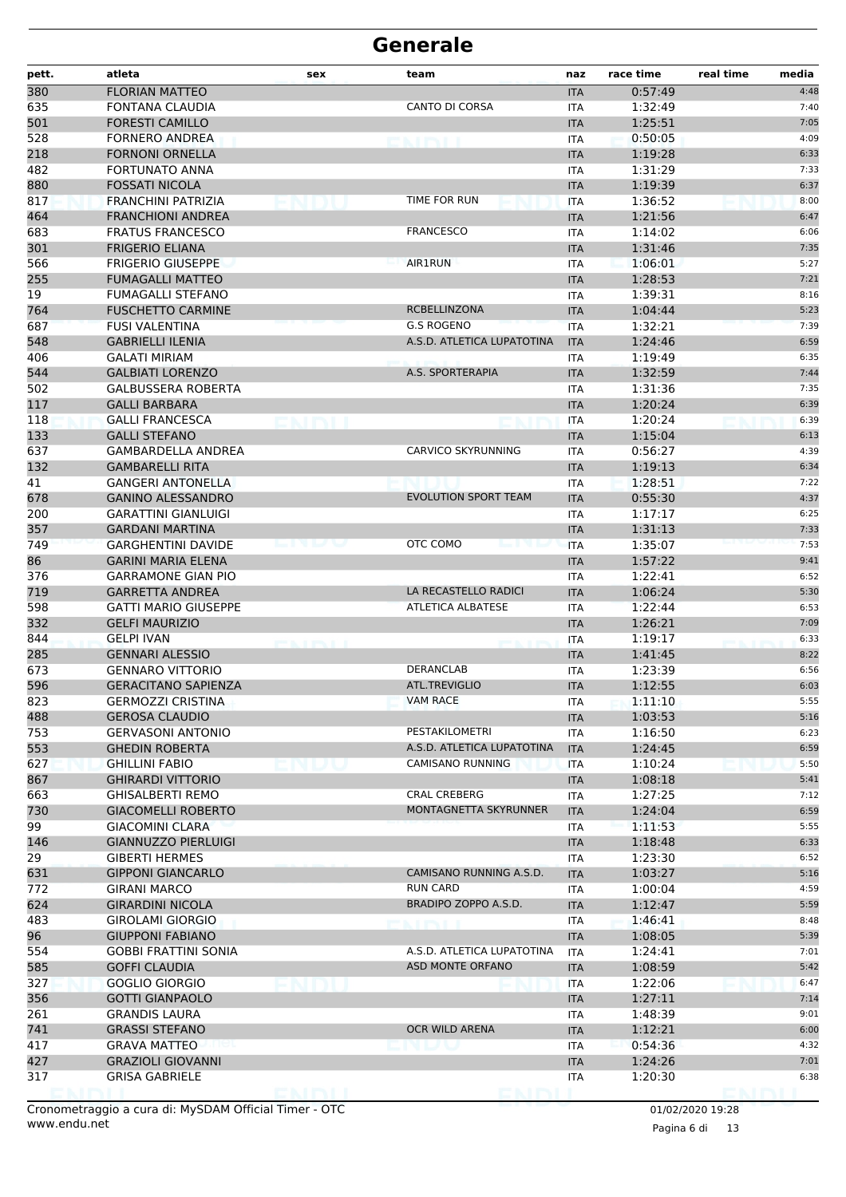| 380<br><b>FLORIAN MATTEO</b><br>0:57:49<br>4:48<br><b>ITA</b><br><b>CANTO DI CORSA</b><br>635<br>FONTANA CLAUDIA<br>1:32:49<br>7:40<br><b>ITA</b><br>7:05<br>501<br><b>FORESTI CAMILLO</b><br>1:25:51<br><b>ITA</b><br>528<br><b>FORNERO ANDREA</b><br>0:50:05<br>4:09<br><b>ITA</b><br><b>NATIONAL</b><br>218<br>1:19:28<br><b>FORNONI ORNELLA</b><br><b>ITA</b><br>6:33<br>482<br><b>FORTUNATO ANNA</b><br>1:31:29<br>7:33<br><b>ITA</b><br><b>FOSSATI NICOLA</b><br>1:19:39<br>6:37<br><b>ITA</b><br>TIME FOR RUN<br>8:00<br>817<br>FRANCHINI PATRIZIA<br>1:36:52<br><b>ITA</b><br>464<br><b>FRANCHIONI ANDREA</b><br>1:21:56<br>6:47<br><b>ITA</b><br><b>FRANCESCO</b><br>683<br><b>FRATUS FRANCESCO</b><br>1:14:02<br>6:06<br><b>ITA</b><br>301<br><b>FRIGERIO ELIANA</b><br>1:31:46<br>7:35<br><b>ITA</b><br><b>AIR1RUN</b><br>566<br><b>FRIGERIO GIUSEPPE</b><br>1:06:01<br>5:27<br><b>ITA</b><br><b>FUMAGALLI MATTEO</b><br>1:28:53<br>7:21<br><b>ITA</b><br>19<br><b>FUMAGALLI STEFANO</b><br>1:39:31<br>8:16<br><b>ITA</b><br>764<br><b>FUSCHETTO CARMINE</b><br>RCBELLINZONA<br>1:04:44<br>5:23<br><b>ITA</b><br>687<br><b>G.S ROGENO</b><br>1:32:21<br><b>FUSI VALENTINA</b><br>7:39<br><b>ITA</b><br>548<br><b>GABRIELLI ILENIA</b><br>A.S.D. ATLETICA LUPATOTINA<br>1:24:46<br>6:59<br><b>ITA</b><br>406<br><b>GALATI MIRIAM</b><br>1:19:49<br>6:35<br>ITA<br>544<br><b>GALBIATI LORENZO</b><br>A.S. SPORTERAPIA<br>1:32:59<br>7:44<br><b>ITA</b><br>7:35<br>502<br><b>GALBUSSERA ROBERTA</b><br>1:31:36<br><b>ITA</b><br><b>GALLI BARBARA</b><br>1:20:24<br>6:39<br><b>ITA</b><br>1:20:24<br><b>GALLI FRANCESCA</b><br>6:39<br><b>ITA</b><br>133<br><b>GALLI STEFANO</b><br>1:15:04<br>6:13<br><b>ITA</b><br><b>CARVICO SKYRUNNING</b><br>637<br><b>GAMBARDELLA ANDREA</b><br>0:56:27<br>4:39<br><b>ITA</b><br>132<br><b>GAMBARELLI RITA</b><br>6:34<br><b>ITA</b><br>1:19:13<br>41<br>7:22<br><b>GANGERI ANTONELLA</b><br>1:28:51<br><b>ITA</b><br><b>EVOLUTION SPORT TEAM</b><br><b>GANINO ALESSANDRO</b><br>0:55:30<br>4:37<br>678<br><b>ITA</b><br>200<br><b>GARATTINI GIANLUIGI</b><br>1:17:17<br>6:25<br><b>ITA</b><br>357<br>1:31:13<br><b>GARDANI MARTINA</b><br>7:33<br><b>ITA</b><br>OTC COMO<br>749<br><b>GARGHENTINI DAVIDE</b><br>1:35:07<br>7:53<br><b>ITA</b><br>86<br><b>GARINI MARIA ELENA</b><br>1:57:22<br>9:41<br><b>ITA</b><br><b>GARRAMONE GIAN PIO</b><br>1:22:41<br>6:52<br>376<br><b>ITA</b><br>LA RECASTELLO RADICI<br>719<br><b>GARRETTA ANDREA</b><br>1:06:24<br><b>ITA</b><br>5:30<br>598<br><b>ATLETICA ALBATESE</b><br>1:22:44<br><b>GATTI MARIO GIUSEPPE</b><br>6:53<br><b>ITA</b><br>332<br><b>GELFI MAURIZIO</b><br>1:26:21<br>7:09<br><b>ITA</b><br>844<br>1:19:17<br><b>GELPI IVAN</b><br>6:33<br><b>ITA</b><br>285<br><b>GENNARI ALESSIO</b><br>1:41:45<br>8:22<br><b>ITA</b><br><b>DERANCLAB</b><br>6:56<br>673<br><b>GENNARO VITTORIO</b><br>1:23:39<br><b>ITA</b><br>ATL.TREVIGLIO<br><b>GERACITANO SAPIENZA</b><br>1:12:55<br>596<br>6:03<br><b>ITA</b><br>823<br><b>VAM RACE</b><br><b>GERMOZZI CRISTINA</b><br><b>ITA</b><br>1:11:10<br>5:55<br>488<br><b>GEROSA CLAUDIO</b><br>1:03:53<br>5:16<br><b>ITA</b><br>PESTAKILOMETRI<br>753<br><b>GERVASONI ANTONIO</b><br>1:16:50<br>6:23<br><b>ITA</b><br>553<br>6:59<br><b>GHEDIN ROBERTA</b><br>A.S.D. ATLETICA LUPATOTINA<br><b>ITA</b><br>1:24:45<br>CAMISANO RUNNING<br>5:50<br>627<br><b>GHILLINI FABIO</b><br>1:10:24<br><b>ITA</b><br>867<br><b>GHIRARDI VITTORIO</b><br>1:08:18<br>5:41<br><b>ITA</b><br><b>CRAL CREBERG</b><br>7:12<br>663<br><b>GHISALBERTI REMO</b><br>1:27:25<br>ITA<br>MONTAGNETTA SKYRUNNER<br>730<br><b>GIACOMELLI ROBERTO</b><br>6:59<br><b>ITA</b><br>1:24:04<br>99<br><b>GIACOMINI CLARA</b><br>1:11:53<br>5:55<br>ITA<br>146<br>6:33<br><b>GIANNUZZO PIERLUIGI</b><br>1:18:48<br><b>ITA</b><br>29<br>6:52<br><b>GIBERTI HERMES</b><br>1:23:30<br><b>ITA</b><br>631<br>CAMISANO RUNNING A.S.D.<br><b>GIPPONI GIANCARLO</b><br>1:03:27<br>5:16<br><b>ITA</b><br>772<br><b>RUN CARD</b><br>4:59<br><b>GIRANI MARCO</b><br>1:00:04<br><b>ITA</b><br>BRADIPO ZOPPO A.S.D.<br>624<br>5:59<br><b>GIRARDINI NICOLA</b><br><b>ITA</b><br>1:12:47<br>483<br><b>GIROLAMI GIORGIO</b><br>1:46:41<br>8:48<br>ITA<br>96<br>5:39<br><b>GIUPPONI FABIANO</b><br>1:08:05<br><b>ITA</b><br>A.S.D. ATLETICA LUPATOTINA<br>7:01<br>554<br><b>GOBBI FRATTINI SONIA</b><br><b>ITA</b><br>1:24:41<br>585<br><b>GOFFI CLAUDIA</b><br>ASD MONTE ORFANO<br><b>ITA</b><br>1:08:59<br>5:42<br>327<br><b>GOGLIO GIORGIO</b><br>1:22:06<br>6:47<br><b>ITA</b><br>356<br>1:27:11<br>7:14<br><b>GOTTI GIANPAOLO</b><br><b>ITA</b><br>261<br><b>GRANDIS LAURA</b><br>1:48:39<br>9:01<br><b>ITA</b><br>741<br>OCR WILD ARENA<br><b>GRASSI STEFANO</b><br>1:12:21<br>6:00<br><b>ITA</b><br>4:32<br>417<br><b>GRAVA MATTEO</b><br>0:54:36<br>ITA<br>427<br><b>GRAZIOLI GIOVANNI</b><br><b>ITA</b><br>1:24:26<br>7:01<br>6:38<br>317<br><b>GRISA GABRIELE</b><br>1:20:30<br>ITA | pett. | atleta | sex    | team | naz | race time | real time<br>media |
|---------------------------------------------------------------------------------------------------------------------------------------------------------------------------------------------------------------------------------------------------------------------------------------------------------------------------------------------------------------------------------------------------------------------------------------------------------------------------------------------------------------------------------------------------------------------------------------------------------------------------------------------------------------------------------------------------------------------------------------------------------------------------------------------------------------------------------------------------------------------------------------------------------------------------------------------------------------------------------------------------------------------------------------------------------------------------------------------------------------------------------------------------------------------------------------------------------------------------------------------------------------------------------------------------------------------------------------------------------------------------------------------------------------------------------------------------------------------------------------------------------------------------------------------------------------------------------------------------------------------------------------------------------------------------------------------------------------------------------------------------------------------------------------------------------------------------------------------------------------------------------------------------------------------------------------------------------------------------------------------------------------------------------------------------------------------------------------------------------------------------------------------------------------------------------------------------------------------------------------------------------------------------------------------------------------------------------------------------------------------------------------------------------------------------------------------------------------------------------------------------------------------------------------------------------------------------------------------------------------------------------------------------------------------------------------------------------------------------------------------------------------------------------------------------------------------------------------------------------------------------------------------------------------------------------------------------------------------------------------------------------------------------------------------------------------------------------------------------------------------------------------------------------------------------------------------------------------------------------------------------------------------------------------------------------------------------------------------------------------------------------------------------------------------------------------------------------------------------------------------------------------------------------------------------------------------------------------------------------------------------------------------------------------------------------------------------------------------------------------------------------------------------------------------------------------------------------------------------------------------------------------------------------------------------------------------------------------------------------------------------------------------------------------------------------------------------------------------------------------------------------------------------------------------------------------------------------------------------------------------------------------------------------------------------------------------------------------------------------------------------------------------------------------------------------------------------------------------------------------------------------------------------------------------------------------------------------------------------------------------------------------------------------------------------------------------------------------------------------------------------------------------------------------------------------------------------------------------------------------------------------------------------------------------------------------------------------------------------------------|-------|--------|--------|------|-----|-----------|--------------------|
|                                                                                                                                                                                                                                                                                                                                                                                                                                                                                                                                                                                                                                                                                                                                                                                                                                                                                                                                                                                                                                                                                                                                                                                                                                                                                                                                                                                                                                                                                                                                                                                                                                                                                                                                                                                                                                                                                                                                                                                                                                                                                                                                                                                                                                                                                                                                                                                                                                                                                                                                                                                                                                                                                                                                                                                                                                                                                                                                                                                                                                                                                                                                                                                                                                                                                                                                                                                                                                                                                                                                                                                                                                                                                                                                                                                                                                                                                                                                                                                                                                                                                                                                                                                                                                                                                                                                                                                                                                                                                                                                                                                                                                                                                                                                                                                                                                                                                                                                                                                       |       |        |        |      |     |           |                    |
|                                                                                                                                                                                                                                                                                                                                                                                                                                                                                                                                                                                                                                                                                                                                                                                                                                                                                                                                                                                                                                                                                                                                                                                                                                                                                                                                                                                                                                                                                                                                                                                                                                                                                                                                                                                                                                                                                                                                                                                                                                                                                                                                                                                                                                                                                                                                                                                                                                                                                                                                                                                                                                                                                                                                                                                                                                                                                                                                                                                                                                                                                                                                                                                                                                                                                                                                                                                                                                                                                                                                                                                                                                                                                                                                                                                                                                                                                                                                                                                                                                                                                                                                                                                                                                                                                                                                                                                                                                                                                                                                                                                                                                                                                                                                                                                                                                                                                                                                                                                       |       |        |        |      |     |           |                    |
|                                                                                                                                                                                                                                                                                                                                                                                                                                                                                                                                                                                                                                                                                                                                                                                                                                                                                                                                                                                                                                                                                                                                                                                                                                                                                                                                                                                                                                                                                                                                                                                                                                                                                                                                                                                                                                                                                                                                                                                                                                                                                                                                                                                                                                                                                                                                                                                                                                                                                                                                                                                                                                                                                                                                                                                                                                                                                                                                                                                                                                                                                                                                                                                                                                                                                                                                                                                                                                                                                                                                                                                                                                                                                                                                                                                                                                                                                                                                                                                                                                                                                                                                                                                                                                                                                                                                                                                                                                                                                                                                                                                                                                                                                                                                                                                                                                                                                                                                                                                       |       |        |        |      |     |           |                    |
|                                                                                                                                                                                                                                                                                                                                                                                                                                                                                                                                                                                                                                                                                                                                                                                                                                                                                                                                                                                                                                                                                                                                                                                                                                                                                                                                                                                                                                                                                                                                                                                                                                                                                                                                                                                                                                                                                                                                                                                                                                                                                                                                                                                                                                                                                                                                                                                                                                                                                                                                                                                                                                                                                                                                                                                                                                                                                                                                                                                                                                                                                                                                                                                                                                                                                                                                                                                                                                                                                                                                                                                                                                                                                                                                                                                                                                                                                                                                                                                                                                                                                                                                                                                                                                                                                                                                                                                                                                                                                                                                                                                                                                                                                                                                                                                                                                                                                                                                                                                       |       |        |        |      |     |           |                    |
|                                                                                                                                                                                                                                                                                                                                                                                                                                                                                                                                                                                                                                                                                                                                                                                                                                                                                                                                                                                                                                                                                                                                                                                                                                                                                                                                                                                                                                                                                                                                                                                                                                                                                                                                                                                                                                                                                                                                                                                                                                                                                                                                                                                                                                                                                                                                                                                                                                                                                                                                                                                                                                                                                                                                                                                                                                                                                                                                                                                                                                                                                                                                                                                                                                                                                                                                                                                                                                                                                                                                                                                                                                                                                                                                                                                                                                                                                                                                                                                                                                                                                                                                                                                                                                                                                                                                                                                                                                                                                                                                                                                                                                                                                                                                                                                                                                                                                                                                                                                       |       |        |        |      |     |           |                    |
|                                                                                                                                                                                                                                                                                                                                                                                                                                                                                                                                                                                                                                                                                                                                                                                                                                                                                                                                                                                                                                                                                                                                                                                                                                                                                                                                                                                                                                                                                                                                                                                                                                                                                                                                                                                                                                                                                                                                                                                                                                                                                                                                                                                                                                                                                                                                                                                                                                                                                                                                                                                                                                                                                                                                                                                                                                                                                                                                                                                                                                                                                                                                                                                                                                                                                                                                                                                                                                                                                                                                                                                                                                                                                                                                                                                                                                                                                                                                                                                                                                                                                                                                                                                                                                                                                                                                                                                                                                                                                                                                                                                                                                                                                                                                                                                                                                                                                                                                                                                       |       |        |        |      |     |           |                    |
|                                                                                                                                                                                                                                                                                                                                                                                                                                                                                                                                                                                                                                                                                                                                                                                                                                                                                                                                                                                                                                                                                                                                                                                                                                                                                                                                                                                                                                                                                                                                                                                                                                                                                                                                                                                                                                                                                                                                                                                                                                                                                                                                                                                                                                                                                                                                                                                                                                                                                                                                                                                                                                                                                                                                                                                                                                                                                                                                                                                                                                                                                                                                                                                                                                                                                                                                                                                                                                                                                                                                                                                                                                                                                                                                                                                                                                                                                                                                                                                                                                                                                                                                                                                                                                                                                                                                                                                                                                                                                                                                                                                                                                                                                                                                                                                                                                                                                                                                                                                       | 880   |        |        |      |     |           |                    |
|                                                                                                                                                                                                                                                                                                                                                                                                                                                                                                                                                                                                                                                                                                                                                                                                                                                                                                                                                                                                                                                                                                                                                                                                                                                                                                                                                                                                                                                                                                                                                                                                                                                                                                                                                                                                                                                                                                                                                                                                                                                                                                                                                                                                                                                                                                                                                                                                                                                                                                                                                                                                                                                                                                                                                                                                                                                                                                                                                                                                                                                                                                                                                                                                                                                                                                                                                                                                                                                                                                                                                                                                                                                                                                                                                                                                                                                                                                                                                                                                                                                                                                                                                                                                                                                                                                                                                                                                                                                                                                                                                                                                                                                                                                                                                                                                                                                                                                                                                                                       |       |        |        |      |     |           |                    |
|                                                                                                                                                                                                                                                                                                                                                                                                                                                                                                                                                                                                                                                                                                                                                                                                                                                                                                                                                                                                                                                                                                                                                                                                                                                                                                                                                                                                                                                                                                                                                                                                                                                                                                                                                                                                                                                                                                                                                                                                                                                                                                                                                                                                                                                                                                                                                                                                                                                                                                                                                                                                                                                                                                                                                                                                                                                                                                                                                                                                                                                                                                                                                                                                                                                                                                                                                                                                                                                                                                                                                                                                                                                                                                                                                                                                                                                                                                                                                                                                                                                                                                                                                                                                                                                                                                                                                                                                                                                                                                                                                                                                                                                                                                                                                                                                                                                                                                                                                                                       |       |        |        |      |     |           |                    |
|                                                                                                                                                                                                                                                                                                                                                                                                                                                                                                                                                                                                                                                                                                                                                                                                                                                                                                                                                                                                                                                                                                                                                                                                                                                                                                                                                                                                                                                                                                                                                                                                                                                                                                                                                                                                                                                                                                                                                                                                                                                                                                                                                                                                                                                                                                                                                                                                                                                                                                                                                                                                                                                                                                                                                                                                                                                                                                                                                                                                                                                                                                                                                                                                                                                                                                                                                                                                                                                                                                                                                                                                                                                                                                                                                                                                                                                                                                                                                                                                                                                                                                                                                                                                                                                                                                                                                                                                                                                                                                                                                                                                                                                                                                                                                                                                                                                                                                                                                                                       |       |        |        |      |     |           |                    |
|                                                                                                                                                                                                                                                                                                                                                                                                                                                                                                                                                                                                                                                                                                                                                                                                                                                                                                                                                                                                                                                                                                                                                                                                                                                                                                                                                                                                                                                                                                                                                                                                                                                                                                                                                                                                                                                                                                                                                                                                                                                                                                                                                                                                                                                                                                                                                                                                                                                                                                                                                                                                                                                                                                                                                                                                                                                                                                                                                                                                                                                                                                                                                                                                                                                                                                                                                                                                                                                                                                                                                                                                                                                                                                                                                                                                                                                                                                                                                                                                                                                                                                                                                                                                                                                                                                                                                                                                                                                                                                                                                                                                                                                                                                                                                                                                                                                                                                                                                                                       |       |        |        |      |     |           |                    |
|                                                                                                                                                                                                                                                                                                                                                                                                                                                                                                                                                                                                                                                                                                                                                                                                                                                                                                                                                                                                                                                                                                                                                                                                                                                                                                                                                                                                                                                                                                                                                                                                                                                                                                                                                                                                                                                                                                                                                                                                                                                                                                                                                                                                                                                                                                                                                                                                                                                                                                                                                                                                                                                                                                                                                                                                                                                                                                                                                                                                                                                                                                                                                                                                                                                                                                                                                                                                                                                                                                                                                                                                                                                                                                                                                                                                                                                                                                                                                                                                                                                                                                                                                                                                                                                                                                                                                                                                                                                                                                                                                                                                                                                                                                                                                                                                                                                                                                                                                                                       |       |        |        |      |     |           |                    |
|                                                                                                                                                                                                                                                                                                                                                                                                                                                                                                                                                                                                                                                                                                                                                                                                                                                                                                                                                                                                                                                                                                                                                                                                                                                                                                                                                                                                                                                                                                                                                                                                                                                                                                                                                                                                                                                                                                                                                                                                                                                                                                                                                                                                                                                                                                                                                                                                                                                                                                                                                                                                                                                                                                                                                                                                                                                                                                                                                                                                                                                                                                                                                                                                                                                                                                                                                                                                                                                                                                                                                                                                                                                                                                                                                                                                                                                                                                                                                                                                                                                                                                                                                                                                                                                                                                                                                                                                                                                                                                                                                                                                                                                                                                                                                                                                                                                                                                                                                                                       | 255   |        |        |      |     |           |                    |
|                                                                                                                                                                                                                                                                                                                                                                                                                                                                                                                                                                                                                                                                                                                                                                                                                                                                                                                                                                                                                                                                                                                                                                                                                                                                                                                                                                                                                                                                                                                                                                                                                                                                                                                                                                                                                                                                                                                                                                                                                                                                                                                                                                                                                                                                                                                                                                                                                                                                                                                                                                                                                                                                                                                                                                                                                                                                                                                                                                                                                                                                                                                                                                                                                                                                                                                                                                                                                                                                                                                                                                                                                                                                                                                                                                                                                                                                                                                                                                                                                                                                                                                                                                                                                                                                                                                                                                                                                                                                                                                                                                                                                                                                                                                                                                                                                                                                                                                                                                                       |       |        |        |      |     |           |                    |
|                                                                                                                                                                                                                                                                                                                                                                                                                                                                                                                                                                                                                                                                                                                                                                                                                                                                                                                                                                                                                                                                                                                                                                                                                                                                                                                                                                                                                                                                                                                                                                                                                                                                                                                                                                                                                                                                                                                                                                                                                                                                                                                                                                                                                                                                                                                                                                                                                                                                                                                                                                                                                                                                                                                                                                                                                                                                                                                                                                                                                                                                                                                                                                                                                                                                                                                                                                                                                                                                                                                                                                                                                                                                                                                                                                                                                                                                                                                                                                                                                                                                                                                                                                                                                                                                                                                                                                                                                                                                                                                                                                                                                                                                                                                                                                                                                                                                                                                                                                                       |       |        |        |      |     |           |                    |
|                                                                                                                                                                                                                                                                                                                                                                                                                                                                                                                                                                                                                                                                                                                                                                                                                                                                                                                                                                                                                                                                                                                                                                                                                                                                                                                                                                                                                                                                                                                                                                                                                                                                                                                                                                                                                                                                                                                                                                                                                                                                                                                                                                                                                                                                                                                                                                                                                                                                                                                                                                                                                                                                                                                                                                                                                                                                                                                                                                                                                                                                                                                                                                                                                                                                                                                                                                                                                                                                                                                                                                                                                                                                                                                                                                                                                                                                                                                                                                                                                                                                                                                                                                                                                                                                                                                                                                                                                                                                                                                                                                                                                                                                                                                                                                                                                                                                                                                                                                                       |       |        |        |      |     |           |                    |
|                                                                                                                                                                                                                                                                                                                                                                                                                                                                                                                                                                                                                                                                                                                                                                                                                                                                                                                                                                                                                                                                                                                                                                                                                                                                                                                                                                                                                                                                                                                                                                                                                                                                                                                                                                                                                                                                                                                                                                                                                                                                                                                                                                                                                                                                                                                                                                                                                                                                                                                                                                                                                                                                                                                                                                                                                                                                                                                                                                                                                                                                                                                                                                                                                                                                                                                                                                                                                                                                                                                                                                                                                                                                                                                                                                                                                                                                                                                                                                                                                                                                                                                                                                                                                                                                                                                                                                                                                                                                                                                                                                                                                                                                                                                                                                                                                                                                                                                                                                                       |       |        |        |      |     |           |                    |
|                                                                                                                                                                                                                                                                                                                                                                                                                                                                                                                                                                                                                                                                                                                                                                                                                                                                                                                                                                                                                                                                                                                                                                                                                                                                                                                                                                                                                                                                                                                                                                                                                                                                                                                                                                                                                                                                                                                                                                                                                                                                                                                                                                                                                                                                                                                                                                                                                                                                                                                                                                                                                                                                                                                                                                                                                                                                                                                                                                                                                                                                                                                                                                                                                                                                                                                                                                                                                                                                                                                                                                                                                                                                                                                                                                                                                                                                                                                                                                                                                                                                                                                                                                                                                                                                                                                                                                                                                                                                                                                                                                                                                                                                                                                                                                                                                                                                                                                                                                                       |       |        |        |      |     |           |                    |
|                                                                                                                                                                                                                                                                                                                                                                                                                                                                                                                                                                                                                                                                                                                                                                                                                                                                                                                                                                                                                                                                                                                                                                                                                                                                                                                                                                                                                                                                                                                                                                                                                                                                                                                                                                                                                                                                                                                                                                                                                                                                                                                                                                                                                                                                                                                                                                                                                                                                                                                                                                                                                                                                                                                                                                                                                                                                                                                                                                                                                                                                                                                                                                                                                                                                                                                                                                                                                                                                                                                                                                                                                                                                                                                                                                                                                                                                                                                                                                                                                                                                                                                                                                                                                                                                                                                                                                                                                                                                                                                                                                                                                                                                                                                                                                                                                                                                                                                                                                                       |       |        |        |      |     |           |                    |
|                                                                                                                                                                                                                                                                                                                                                                                                                                                                                                                                                                                                                                                                                                                                                                                                                                                                                                                                                                                                                                                                                                                                                                                                                                                                                                                                                                                                                                                                                                                                                                                                                                                                                                                                                                                                                                                                                                                                                                                                                                                                                                                                                                                                                                                                                                                                                                                                                                                                                                                                                                                                                                                                                                                                                                                                                                                                                                                                                                                                                                                                                                                                                                                                                                                                                                                                                                                                                                                                                                                                                                                                                                                                                                                                                                                                                                                                                                                                                                                                                                                                                                                                                                                                                                                                                                                                                                                                                                                                                                                                                                                                                                                                                                                                                                                                                                                                                                                                                                                       |       |        |        |      |     |           |                    |
|                                                                                                                                                                                                                                                                                                                                                                                                                                                                                                                                                                                                                                                                                                                                                                                                                                                                                                                                                                                                                                                                                                                                                                                                                                                                                                                                                                                                                                                                                                                                                                                                                                                                                                                                                                                                                                                                                                                                                                                                                                                                                                                                                                                                                                                                                                                                                                                                                                                                                                                                                                                                                                                                                                                                                                                                                                                                                                                                                                                                                                                                                                                                                                                                                                                                                                                                                                                                                                                                                                                                                                                                                                                                                                                                                                                                                                                                                                                                                                                                                                                                                                                                                                                                                                                                                                                                                                                                                                                                                                                                                                                                                                                                                                                                                                                                                                                                                                                                                                                       | 117   |        |        |      |     |           |                    |
|                                                                                                                                                                                                                                                                                                                                                                                                                                                                                                                                                                                                                                                                                                                                                                                                                                                                                                                                                                                                                                                                                                                                                                                                                                                                                                                                                                                                                                                                                                                                                                                                                                                                                                                                                                                                                                                                                                                                                                                                                                                                                                                                                                                                                                                                                                                                                                                                                                                                                                                                                                                                                                                                                                                                                                                                                                                                                                                                                                                                                                                                                                                                                                                                                                                                                                                                                                                                                                                                                                                                                                                                                                                                                                                                                                                                                                                                                                                                                                                                                                                                                                                                                                                                                                                                                                                                                                                                                                                                                                                                                                                                                                                                                                                                                                                                                                                                                                                                                                                       | 118   |        |        |      |     |           |                    |
|                                                                                                                                                                                                                                                                                                                                                                                                                                                                                                                                                                                                                                                                                                                                                                                                                                                                                                                                                                                                                                                                                                                                                                                                                                                                                                                                                                                                                                                                                                                                                                                                                                                                                                                                                                                                                                                                                                                                                                                                                                                                                                                                                                                                                                                                                                                                                                                                                                                                                                                                                                                                                                                                                                                                                                                                                                                                                                                                                                                                                                                                                                                                                                                                                                                                                                                                                                                                                                                                                                                                                                                                                                                                                                                                                                                                                                                                                                                                                                                                                                                                                                                                                                                                                                                                                                                                                                                                                                                                                                                                                                                                                                                                                                                                                                                                                                                                                                                                                                                       |       |        |        |      |     |           |                    |
|                                                                                                                                                                                                                                                                                                                                                                                                                                                                                                                                                                                                                                                                                                                                                                                                                                                                                                                                                                                                                                                                                                                                                                                                                                                                                                                                                                                                                                                                                                                                                                                                                                                                                                                                                                                                                                                                                                                                                                                                                                                                                                                                                                                                                                                                                                                                                                                                                                                                                                                                                                                                                                                                                                                                                                                                                                                                                                                                                                                                                                                                                                                                                                                                                                                                                                                                                                                                                                                                                                                                                                                                                                                                                                                                                                                                                                                                                                                                                                                                                                                                                                                                                                                                                                                                                                                                                                                                                                                                                                                                                                                                                                                                                                                                                                                                                                                                                                                                                                                       |       |        |        |      |     |           |                    |
|                                                                                                                                                                                                                                                                                                                                                                                                                                                                                                                                                                                                                                                                                                                                                                                                                                                                                                                                                                                                                                                                                                                                                                                                                                                                                                                                                                                                                                                                                                                                                                                                                                                                                                                                                                                                                                                                                                                                                                                                                                                                                                                                                                                                                                                                                                                                                                                                                                                                                                                                                                                                                                                                                                                                                                                                                                                                                                                                                                                                                                                                                                                                                                                                                                                                                                                                                                                                                                                                                                                                                                                                                                                                                                                                                                                                                                                                                                                                                                                                                                                                                                                                                                                                                                                                                                                                                                                                                                                                                                                                                                                                                                                                                                                                                                                                                                                                                                                                                                                       |       |        |        |      |     |           |                    |
|                                                                                                                                                                                                                                                                                                                                                                                                                                                                                                                                                                                                                                                                                                                                                                                                                                                                                                                                                                                                                                                                                                                                                                                                                                                                                                                                                                                                                                                                                                                                                                                                                                                                                                                                                                                                                                                                                                                                                                                                                                                                                                                                                                                                                                                                                                                                                                                                                                                                                                                                                                                                                                                                                                                                                                                                                                                                                                                                                                                                                                                                                                                                                                                                                                                                                                                                                                                                                                                                                                                                                                                                                                                                                                                                                                                                                                                                                                                                                                                                                                                                                                                                                                                                                                                                                                                                                                                                                                                                                                                                                                                                                                                                                                                                                                                                                                                                                                                                                                                       |       |        |        |      |     |           |                    |
|                                                                                                                                                                                                                                                                                                                                                                                                                                                                                                                                                                                                                                                                                                                                                                                                                                                                                                                                                                                                                                                                                                                                                                                                                                                                                                                                                                                                                                                                                                                                                                                                                                                                                                                                                                                                                                                                                                                                                                                                                                                                                                                                                                                                                                                                                                                                                                                                                                                                                                                                                                                                                                                                                                                                                                                                                                                                                                                                                                                                                                                                                                                                                                                                                                                                                                                                                                                                                                                                                                                                                                                                                                                                                                                                                                                                                                                                                                                                                                                                                                                                                                                                                                                                                                                                                                                                                                                                                                                                                                                                                                                                                                                                                                                                                                                                                                                                                                                                                                                       |       |        |        |      |     |           |                    |
|                                                                                                                                                                                                                                                                                                                                                                                                                                                                                                                                                                                                                                                                                                                                                                                                                                                                                                                                                                                                                                                                                                                                                                                                                                                                                                                                                                                                                                                                                                                                                                                                                                                                                                                                                                                                                                                                                                                                                                                                                                                                                                                                                                                                                                                                                                                                                                                                                                                                                                                                                                                                                                                                                                                                                                                                                                                                                                                                                                                                                                                                                                                                                                                                                                                                                                                                                                                                                                                                                                                                                                                                                                                                                                                                                                                                                                                                                                                                                                                                                                                                                                                                                                                                                                                                                                                                                                                                                                                                                                                                                                                                                                                                                                                                                                                                                                                                                                                                                                                       |       |        |        |      |     |           |                    |
|                                                                                                                                                                                                                                                                                                                                                                                                                                                                                                                                                                                                                                                                                                                                                                                                                                                                                                                                                                                                                                                                                                                                                                                                                                                                                                                                                                                                                                                                                                                                                                                                                                                                                                                                                                                                                                                                                                                                                                                                                                                                                                                                                                                                                                                                                                                                                                                                                                                                                                                                                                                                                                                                                                                                                                                                                                                                                                                                                                                                                                                                                                                                                                                                                                                                                                                                                                                                                                                                                                                                                                                                                                                                                                                                                                                                                                                                                                                                                                                                                                                                                                                                                                                                                                                                                                                                                                                                                                                                                                                                                                                                                                                                                                                                                                                                                                                                                                                                                                                       |       |        |        |      |     |           |                    |
|                                                                                                                                                                                                                                                                                                                                                                                                                                                                                                                                                                                                                                                                                                                                                                                                                                                                                                                                                                                                                                                                                                                                                                                                                                                                                                                                                                                                                                                                                                                                                                                                                                                                                                                                                                                                                                                                                                                                                                                                                                                                                                                                                                                                                                                                                                                                                                                                                                                                                                                                                                                                                                                                                                                                                                                                                                                                                                                                                                                                                                                                                                                                                                                                                                                                                                                                                                                                                                                                                                                                                                                                                                                                                                                                                                                                                                                                                                                                                                                                                                                                                                                                                                                                                                                                                                                                                                                                                                                                                                                                                                                                                                                                                                                                                                                                                                                                                                                                                                                       |       |        |        |      |     |           |                    |
|                                                                                                                                                                                                                                                                                                                                                                                                                                                                                                                                                                                                                                                                                                                                                                                                                                                                                                                                                                                                                                                                                                                                                                                                                                                                                                                                                                                                                                                                                                                                                                                                                                                                                                                                                                                                                                                                                                                                                                                                                                                                                                                                                                                                                                                                                                                                                                                                                                                                                                                                                                                                                                                                                                                                                                                                                                                                                                                                                                                                                                                                                                                                                                                                                                                                                                                                                                                                                                                                                                                                                                                                                                                                                                                                                                                                                                                                                                                                                                                                                                                                                                                                                                                                                                                                                                                                                                                                                                                                                                                                                                                                                                                                                                                                                                                                                                                                                                                                                                                       |       |        |        |      |     |           |                    |
|                                                                                                                                                                                                                                                                                                                                                                                                                                                                                                                                                                                                                                                                                                                                                                                                                                                                                                                                                                                                                                                                                                                                                                                                                                                                                                                                                                                                                                                                                                                                                                                                                                                                                                                                                                                                                                                                                                                                                                                                                                                                                                                                                                                                                                                                                                                                                                                                                                                                                                                                                                                                                                                                                                                                                                                                                                                                                                                                                                                                                                                                                                                                                                                                                                                                                                                                                                                                                                                                                                                                                                                                                                                                                                                                                                                                                                                                                                                                                                                                                                                                                                                                                                                                                                                                                                                                                                                                                                                                                                                                                                                                                                                                                                                                                                                                                                                                                                                                                                                       |       |        |        |      |     |           |                    |
|                                                                                                                                                                                                                                                                                                                                                                                                                                                                                                                                                                                                                                                                                                                                                                                                                                                                                                                                                                                                                                                                                                                                                                                                                                                                                                                                                                                                                                                                                                                                                                                                                                                                                                                                                                                                                                                                                                                                                                                                                                                                                                                                                                                                                                                                                                                                                                                                                                                                                                                                                                                                                                                                                                                                                                                                                                                                                                                                                                                                                                                                                                                                                                                                                                                                                                                                                                                                                                                                                                                                                                                                                                                                                                                                                                                                                                                                                                                                                                                                                                                                                                                                                                                                                                                                                                                                                                                                                                                                                                                                                                                                                                                                                                                                                                                                                                                                                                                                                                                       |       |        |        |      |     |           |                    |
|                                                                                                                                                                                                                                                                                                                                                                                                                                                                                                                                                                                                                                                                                                                                                                                                                                                                                                                                                                                                                                                                                                                                                                                                                                                                                                                                                                                                                                                                                                                                                                                                                                                                                                                                                                                                                                                                                                                                                                                                                                                                                                                                                                                                                                                                                                                                                                                                                                                                                                                                                                                                                                                                                                                                                                                                                                                                                                                                                                                                                                                                                                                                                                                                                                                                                                                                                                                                                                                                                                                                                                                                                                                                                                                                                                                                                                                                                                                                                                                                                                                                                                                                                                                                                                                                                                                                                                                                                                                                                                                                                                                                                                                                                                                                                                                                                                                                                                                                                                                       |       |        |        |      |     |           |                    |
|                                                                                                                                                                                                                                                                                                                                                                                                                                                                                                                                                                                                                                                                                                                                                                                                                                                                                                                                                                                                                                                                                                                                                                                                                                                                                                                                                                                                                                                                                                                                                                                                                                                                                                                                                                                                                                                                                                                                                                                                                                                                                                                                                                                                                                                                                                                                                                                                                                                                                                                                                                                                                                                                                                                                                                                                                                                                                                                                                                                                                                                                                                                                                                                                                                                                                                                                                                                                                                                                                                                                                                                                                                                                                                                                                                                                                                                                                                                                                                                                                                                                                                                                                                                                                                                                                                                                                                                                                                                                                                                                                                                                                                                                                                                                                                                                                                                                                                                                                                                       |       |        |        |      |     |           |                    |
|                                                                                                                                                                                                                                                                                                                                                                                                                                                                                                                                                                                                                                                                                                                                                                                                                                                                                                                                                                                                                                                                                                                                                                                                                                                                                                                                                                                                                                                                                                                                                                                                                                                                                                                                                                                                                                                                                                                                                                                                                                                                                                                                                                                                                                                                                                                                                                                                                                                                                                                                                                                                                                                                                                                                                                                                                                                                                                                                                                                                                                                                                                                                                                                                                                                                                                                                                                                                                                                                                                                                                                                                                                                                                                                                                                                                                                                                                                                                                                                                                                                                                                                                                                                                                                                                                                                                                                                                                                                                                                                                                                                                                                                                                                                                                                                                                                                                                                                                                                                       |       |        |        |      |     |           |                    |
|                                                                                                                                                                                                                                                                                                                                                                                                                                                                                                                                                                                                                                                                                                                                                                                                                                                                                                                                                                                                                                                                                                                                                                                                                                                                                                                                                                                                                                                                                                                                                                                                                                                                                                                                                                                                                                                                                                                                                                                                                                                                                                                                                                                                                                                                                                                                                                                                                                                                                                                                                                                                                                                                                                                                                                                                                                                                                                                                                                                                                                                                                                                                                                                                                                                                                                                                                                                                                                                                                                                                                                                                                                                                                                                                                                                                                                                                                                                                                                                                                                                                                                                                                                                                                                                                                                                                                                                                                                                                                                                                                                                                                                                                                                                                                                                                                                                                                                                                                                                       |       |        |        |      |     |           |                    |
|                                                                                                                                                                                                                                                                                                                                                                                                                                                                                                                                                                                                                                                                                                                                                                                                                                                                                                                                                                                                                                                                                                                                                                                                                                                                                                                                                                                                                                                                                                                                                                                                                                                                                                                                                                                                                                                                                                                                                                                                                                                                                                                                                                                                                                                                                                                                                                                                                                                                                                                                                                                                                                                                                                                                                                                                                                                                                                                                                                                                                                                                                                                                                                                                                                                                                                                                                                                                                                                                                                                                                                                                                                                                                                                                                                                                                                                                                                                                                                                                                                                                                                                                                                                                                                                                                                                                                                                                                                                                                                                                                                                                                                                                                                                                                                                                                                                                                                                                                                                       |       |        |        |      |     |           |                    |
|                                                                                                                                                                                                                                                                                                                                                                                                                                                                                                                                                                                                                                                                                                                                                                                                                                                                                                                                                                                                                                                                                                                                                                                                                                                                                                                                                                                                                                                                                                                                                                                                                                                                                                                                                                                                                                                                                                                                                                                                                                                                                                                                                                                                                                                                                                                                                                                                                                                                                                                                                                                                                                                                                                                                                                                                                                                                                                                                                                                                                                                                                                                                                                                                                                                                                                                                                                                                                                                                                                                                                                                                                                                                                                                                                                                                                                                                                                                                                                                                                                                                                                                                                                                                                                                                                                                                                                                                                                                                                                                                                                                                                                                                                                                                                                                                                                                                                                                                                                                       |       |        |        |      |     |           |                    |
|                                                                                                                                                                                                                                                                                                                                                                                                                                                                                                                                                                                                                                                                                                                                                                                                                                                                                                                                                                                                                                                                                                                                                                                                                                                                                                                                                                                                                                                                                                                                                                                                                                                                                                                                                                                                                                                                                                                                                                                                                                                                                                                                                                                                                                                                                                                                                                                                                                                                                                                                                                                                                                                                                                                                                                                                                                                                                                                                                                                                                                                                                                                                                                                                                                                                                                                                                                                                                                                                                                                                                                                                                                                                                                                                                                                                                                                                                                                                                                                                                                                                                                                                                                                                                                                                                                                                                                                                                                                                                                                                                                                                                                                                                                                                                                                                                                                                                                                                                                                       |       |        |        |      |     |           |                    |
|                                                                                                                                                                                                                                                                                                                                                                                                                                                                                                                                                                                                                                                                                                                                                                                                                                                                                                                                                                                                                                                                                                                                                                                                                                                                                                                                                                                                                                                                                                                                                                                                                                                                                                                                                                                                                                                                                                                                                                                                                                                                                                                                                                                                                                                                                                                                                                                                                                                                                                                                                                                                                                                                                                                                                                                                                                                                                                                                                                                                                                                                                                                                                                                                                                                                                                                                                                                                                                                                                                                                                                                                                                                                                                                                                                                                                                                                                                                                                                                                                                                                                                                                                                                                                                                                                                                                                                                                                                                                                                                                                                                                                                                                                                                                                                                                                                                                                                                                                                                       |       |        |        |      |     |           |                    |
|                                                                                                                                                                                                                                                                                                                                                                                                                                                                                                                                                                                                                                                                                                                                                                                                                                                                                                                                                                                                                                                                                                                                                                                                                                                                                                                                                                                                                                                                                                                                                                                                                                                                                                                                                                                                                                                                                                                                                                                                                                                                                                                                                                                                                                                                                                                                                                                                                                                                                                                                                                                                                                                                                                                                                                                                                                                                                                                                                                                                                                                                                                                                                                                                                                                                                                                                                                                                                                                                                                                                                                                                                                                                                                                                                                                                                                                                                                                                                                                                                                                                                                                                                                                                                                                                                                                                                                                                                                                                                                                                                                                                                                                                                                                                                                                                                                                                                                                                                                                       |       |        |        |      |     |           |                    |
|                                                                                                                                                                                                                                                                                                                                                                                                                                                                                                                                                                                                                                                                                                                                                                                                                                                                                                                                                                                                                                                                                                                                                                                                                                                                                                                                                                                                                                                                                                                                                                                                                                                                                                                                                                                                                                                                                                                                                                                                                                                                                                                                                                                                                                                                                                                                                                                                                                                                                                                                                                                                                                                                                                                                                                                                                                                                                                                                                                                                                                                                                                                                                                                                                                                                                                                                                                                                                                                                                                                                                                                                                                                                                                                                                                                                                                                                                                                                                                                                                                                                                                                                                                                                                                                                                                                                                                                                                                                                                                                                                                                                                                                                                                                                                                                                                                                                                                                                                                                       |       |        |        |      |     |           |                    |
|                                                                                                                                                                                                                                                                                                                                                                                                                                                                                                                                                                                                                                                                                                                                                                                                                                                                                                                                                                                                                                                                                                                                                                                                                                                                                                                                                                                                                                                                                                                                                                                                                                                                                                                                                                                                                                                                                                                                                                                                                                                                                                                                                                                                                                                                                                                                                                                                                                                                                                                                                                                                                                                                                                                                                                                                                                                                                                                                                                                                                                                                                                                                                                                                                                                                                                                                                                                                                                                                                                                                                                                                                                                                                                                                                                                                                                                                                                                                                                                                                                                                                                                                                                                                                                                                                                                                                                                                                                                                                                                                                                                                                                                                                                                                                                                                                                                                                                                                                                                       |       |        |        |      |     |           |                    |
|                                                                                                                                                                                                                                                                                                                                                                                                                                                                                                                                                                                                                                                                                                                                                                                                                                                                                                                                                                                                                                                                                                                                                                                                                                                                                                                                                                                                                                                                                                                                                                                                                                                                                                                                                                                                                                                                                                                                                                                                                                                                                                                                                                                                                                                                                                                                                                                                                                                                                                                                                                                                                                                                                                                                                                                                                                                                                                                                                                                                                                                                                                                                                                                                                                                                                                                                                                                                                                                                                                                                                                                                                                                                                                                                                                                                                                                                                                                                                                                                                                                                                                                                                                                                                                                                                                                                                                                                                                                                                                                                                                                                                                                                                                                                                                                                                                                                                                                                                                                       |       |        |        |      |     |           |                    |
|                                                                                                                                                                                                                                                                                                                                                                                                                                                                                                                                                                                                                                                                                                                                                                                                                                                                                                                                                                                                                                                                                                                                                                                                                                                                                                                                                                                                                                                                                                                                                                                                                                                                                                                                                                                                                                                                                                                                                                                                                                                                                                                                                                                                                                                                                                                                                                                                                                                                                                                                                                                                                                                                                                                                                                                                                                                                                                                                                                                                                                                                                                                                                                                                                                                                                                                                                                                                                                                                                                                                                                                                                                                                                                                                                                                                                                                                                                                                                                                                                                                                                                                                                                                                                                                                                                                                                                                                                                                                                                                                                                                                                                                                                                                                                                                                                                                                                                                                                                                       |       |        |        |      |     |           |                    |
|                                                                                                                                                                                                                                                                                                                                                                                                                                                                                                                                                                                                                                                                                                                                                                                                                                                                                                                                                                                                                                                                                                                                                                                                                                                                                                                                                                                                                                                                                                                                                                                                                                                                                                                                                                                                                                                                                                                                                                                                                                                                                                                                                                                                                                                                                                                                                                                                                                                                                                                                                                                                                                                                                                                                                                                                                                                                                                                                                                                                                                                                                                                                                                                                                                                                                                                                                                                                                                                                                                                                                                                                                                                                                                                                                                                                                                                                                                                                                                                                                                                                                                                                                                                                                                                                                                                                                                                                                                                                                                                                                                                                                                                                                                                                                                                                                                                                                                                                                                                       |       |        |        |      |     |           |                    |
|                                                                                                                                                                                                                                                                                                                                                                                                                                                                                                                                                                                                                                                                                                                                                                                                                                                                                                                                                                                                                                                                                                                                                                                                                                                                                                                                                                                                                                                                                                                                                                                                                                                                                                                                                                                                                                                                                                                                                                                                                                                                                                                                                                                                                                                                                                                                                                                                                                                                                                                                                                                                                                                                                                                                                                                                                                                                                                                                                                                                                                                                                                                                                                                                                                                                                                                                                                                                                                                                                                                                                                                                                                                                                                                                                                                                                                                                                                                                                                                                                                                                                                                                                                                                                                                                                                                                                                                                                                                                                                                                                                                                                                                                                                                                                                                                                                                                                                                                                                                       |       |        |        |      |     |           |                    |
|                                                                                                                                                                                                                                                                                                                                                                                                                                                                                                                                                                                                                                                                                                                                                                                                                                                                                                                                                                                                                                                                                                                                                                                                                                                                                                                                                                                                                                                                                                                                                                                                                                                                                                                                                                                                                                                                                                                                                                                                                                                                                                                                                                                                                                                                                                                                                                                                                                                                                                                                                                                                                                                                                                                                                                                                                                                                                                                                                                                                                                                                                                                                                                                                                                                                                                                                                                                                                                                                                                                                                                                                                                                                                                                                                                                                                                                                                                                                                                                                                                                                                                                                                                                                                                                                                                                                                                                                                                                                                                                                                                                                                                                                                                                                                                                                                                                                                                                                                                                       |       |        |        |      |     |           |                    |
|                                                                                                                                                                                                                                                                                                                                                                                                                                                                                                                                                                                                                                                                                                                                                                                                                                                                                                                                                                                                                                                                                                                                                                                                                                                                                                                                                                                                                                                                                                                                                                                                                                                                                                                                                                                                                                                                                                                                                                                                                                                                                                                                                                                                                                                                                                                                                                                                                                                                                                                                                                                                                                                                                                                                                                                                                                                                                                                                                                                                                                                                                                                                                                                                                                                                                                                                                                                                                                                                                                                                                                                                                                                                                                                                                                                                                                                                                                                                                                                                                                                                                                                                                                                                                                                                                                                                                                                                                                                                                                                                                                                                                                                                                                                                                                                                                                                                                                                                                                                       |       |        |        |      |     |           |                    |
|                                                                                                                                                                                                                                                                                                                                                                                                                                                                                                                                                                                                                                                                                                                                                                                                                                                                                                                                                                                                                                                                                                                                                                                                                                                                                                                                                                                                                                                                                                                                                                                                                                                                                                                                                                                                                                                                                                                                                                                                                                                                                                                                                                                                                                                                                                                                                                                                                                                                                                                                                                                                                                                                                                                                                                                                                                                                                                                                                                                                                                                                                                                                                                                                                                                                                                                                                                                                                                                                                                                                                                                                                                                                                                                                                                                                                                                                                                                                                                                                                                                                                                                                                                                                                                                                                                                                                                                                                                                                                                                                                                                                                                                                                                                                                                                                                                                                                                                                                                                       |       |        |        |      |     |           |                    |
|                                                                                                                                                                                                                                                                                                                                                                                                                                                                                                                                                                                                                                                                                                                                                                                                                                                                                                                                                                                                                                                                                                                                                                                                                                                                                                                                                                                                                                                                                                                                                                                                                                                                                                                                                                                                                                                                                                                                                                                                                                                                                                                                                                                                                                                                                                                                                                                                                                                                                                                                                                                                                                                                                                                                                                                                                                                                                                                                                                                                                                                                                                                                                                                                                                                                                                                                                                                                                                                                                                                                                                                                                                                                                                                                                                                                                                                                                                                                                                                                                                                                                                                                                                                                                                                                                                                                                                                                                                                                                                                                                                                                                                                                                                                                                                                                                                                                                                                                                                                       |       |        |        |      |     |           |                    |
|                                                                                                                                                                                                                                                                                                                                                                                                                                                                                                                                                                                                                                                                                                                                                                                                                                                                                                                                                                                                                                                                                                                                                                                                                                                                                                                                                                                                                                                                                                                                                                                                                                                                                                                                                                                                                                                                                                                                                                                                                                                                                                                                                                                                                                                                                                                                                                                                                                                                                                                                                                                                                                                                                                                                                                                                                                                                                                                                                                                                                                                                                                                                                                                                                                                                                                                                                                                                                                                                                                                                                                                                                                                                                                                                                                                                                                                                                                                                                                                                                                                                                                                                                                                                                                                                                                                                                                                                                                                                                                                                                                                                                                                                                                                                                                                                                                                                                                                                                                                       |       |        |        |      |     |           |                    |
|                                                                                                                                                                                                                                                                                                                                                                                                                                                                                                                                                                                                                                                                                                                                                                                                                                                                                                                                                                                                                                                                                                                                                                                                                                                                                                                                                                                                                                                                                                                                                                                                                                                                                                                                                                                                                                                                                                                                                                                                                                                                                                                                                                                                                                                                                                                                                                                                                                                                                                                                                                                                                                                                                                                                                                                                                                                                                                                                                                                                                                                                                                                                                                                                                                                                                                                                                                                                                                                                                                                                                                                                                                                                                                                                                                                                                                                                                                                                                                                                                                                                                                                                                                                                                                                                                                                                                                                                                                                                                                                                                                                                                                                                                                                                                                                                                                                                                                                                                                                       |       |        |        |      |     |           |                    |
|                                                                                                                                                                                                                                                                                                                                                                                                                                                                                                                                                                                                                                                                                                                                                                                                                                                                                                                                                                                                                                                                                                                                                                                                                                                                                                                                                                                                                                                                                                                                                                                                                                                                                                                                                                                                                                                                                                                                                                                                                                                                                                                                                                                                                                                                                                                                                                                                                                                                                                                                                                                                                                                                                                                                                                                                                                                                                                                                                                                                                                                                                                                                                                                                                                                                                                                                                                                                                                                                                                                                                                                                                                                                                                                                                                                                                                                                                                                                                                                                                                                                                                                                                                                                                                                                                                                                                                                                                                                                                                                                                                                                                                                                                                                                                                                                                                                                                                                                                                                       |       |        |        |      |     |           |                    |
|                                                                                                                                                                                                                                                                                                                                                                                                                                                                                                                                                                                                                                                                                                                                                                                                                                                                                                                                                                                                                                                                                                                                                                                                                                                                                                                                                                                                                                                                                                                                                                                                                                                                                                                                                                                                                                                                                                                                                                                                                                                                                                                                                                                                                                                                                                                                                                                                                                                                                                                                                                                                                                                                                                                                                                                                                                                                                                                                                                                                                                                                                                                                                                                                                                                                                                                                                                                                                                                                                                                                                                                                                                                                                                                                                                                                                                                                                                                                                                                                                                                                                                                                                                                                                                                                                                                                                                                                                                                                                                                                                                                                                                                                                                                                                                                                                                                                                                                                                                                       |       |        |        |      |     |           |                    |
|                                                                                                                                                                                                                                                                                                                                                                                                                                                                                                                                                                                                                                                                                                                                                                                                                                                                                                                                                                                                                                                                                                                                                                                                                                                                                                                                                                                                                                                                                                                                                                                                                                                                                                                                                                                                                                                                                                                                                                                                                                                                                                                                                                                                                                                                                                                                                                                                                                                                                                                                                                                                                                                                                                                                                                                                                                                                                                                                                                                                                                                                                                                                                                                                                                                                                                                                                                                                                                                                                                                                                                                                                                                                                                                                                                                                                                                                                                                                                                                                                                                                                                                                                                                                                                                                                                                                                                                                                                                                                                                                                                                                                                                                                                                                                                                                                                                                                                                                                                                       |       |        |        |      |     |           |                    |
|                                                                                                                                                                                                                                                                                                                                                                                                                                                                                                                                                                                                                                                                                                                                                                                                                                                                                                                                                                                                                                                                                                                                                                                                                                                                                                                                                                                                                                                                                                                                                                                                                                                                                                                                                                                                                                                                                                                                                                                                                                                                                                                                                                                                                                                                                                                                                                                                                                                                                                                                                                                                                                                                                                                                                                                                                                                                                                                                                                                                                                                                                                                                                                                                                                                                                                                                                                                                                                                                                                                                                                                                                                                                                                                                                                                                                                                                                                                                                                                                                                                                                                                                                                                                                                                                                                                                                                                                                                                                                                                                                                                                                                                                                                                                                                                                                                                                                                                                                                                       |       |        |        |      |     |           |                    |
|                                                                                                                                                                                                                                                                                                                                                                                                                                                                                                                                                                                                                                                                                                                                                                                                                                                                                                                                                                                                                                                                                                                                                                                                                                                                                                                                                                                                                                                                                                                                                                                                                                                                                                                                                                                                                                                                                                                                                                                                                                                                                                                                                                                                                                                                                                                                                                                                                                                                                                                                                                                                                                                                                                                                                                                                                                                                                                                                                                                                                                                                                                                                                                                                                                                                                                                                                                                                                                                                                                                                                                                                                                                                                                                                                                                                                                                                                                                                                                                                                                                                                                                                                                                                                                                                                                                                                                                                                                                                                                                                                                                                                                                                                                                                                                                                                                                                                                                                                                                       |       |        |        |      |     |           |                    |
|                                                                                                                                                                                                                                                                                                                                                                                                                                                                                                                                                                                                                                                                                                                                                                                                                                                                                                                                                                                                                                                                                                                                                                                                                                                                                                                                                                                                                                                                                                                                                                                                                                                                                                                                                                                                                                                                                                                                                                                                                                                                                                                                                                                                                                                                                                                                                                                                                                                                                                                                                                                                                                                                                                                                                                                                                                                                                                                                                                                                                                                                                                                                                                                                                                                                                                                                                                                                                                                                                                                                                                                                                                                                                                                                                                                                                                                                                                                                                                                                                                                                                                                                                                                                                                                                                                                                                                                                                                                                                                                                                                                                                                                                                                                                                                                                                                                                                                                                                                                       |       |        |        |      |     |           |                    |
|                                                                                                                                                                                                                                                                                                                                                                                                                                                                                                                                                                                                                                                                                                                                                                                                                                                                                                                                                                                                                                                                                                                                                                                                                                                                                                                                                                                                                                                                                                                                                                                                                                                                                                                                                                                                                                                                                                                                                                                                                                                                                                                                                                                                                                                                                                                                                                                                                                                                                                                                                                                                                                                                                                                                                                                                                                                                                                                                                                                                                                                                                                                                                                                                                                                                                                                                                                                                                                                                                                                                                                                                                                                                                                                                                                                                                                                                                                                                                                                                                                                                                                                                                                                                                                                                                                                                                                                                                                                                                                                                                                                                                                                                                                                                                                                                                                                                                                                                                                                       |       |        |        |      |     |           |                    |
|                                                                                                                                                                                                                                                                                                                                                                                                                                                                                                                                                                                                                                                                                                                                                                                                                                                                                                                                                                                                                                                                                                                                                                                                                                                                                                                                                                                                                                                                                                                                                                                                                                                                                                                                                                                                                                                                                                                                                                                                                                                                                                                                                                                                                                                                                                                                                                                                                                                                                                                                                                                                                                                                                                                                                                                                                                                                                                                                                                                                                                                                                                                                                                                                                                                                                                                                                                                                                                                                                                                                                                                                                                                                                                                                                                                                                                                                                                                                                                                                                                                                                                                                                                                                                                                                                                                                                                                                                                                                                                                                                                                                                                                                                                                                                                                                                                                                                                                                                                                       |       |        |        |      |     |           |                    |
|                                                                                                                                                                                                                                                                                                                                                                                                                                                                                                                                                                                                                                                                                                                                                                                                                                                                                                                                                                                                                                                                                                                                                                                                                                                                                                                                                                                                                                                                                                                                                                                                                                                                                                                                                                                                                                                                                                                                                                                                                                                                                                                                                                                                                                                                                                                                                                                                                                                                                                                                                                                                                                                                                                                                                                                                                                                                                                                                                                                                                                                                                                                                                                                                                                                                                                                                                                                                                                                                                                                                                                                                                                                                                                                                                                                                                                                                                                                                                                                                                                                                                                                                                                                                                                                                                                                                                                                                                                                                                                                                                                                                                                                                                                                                                                                                                                                                                                                                                                                       |       |        |        |      |     |           |                    |
|                                                                                                                                                                                                                                                                                                                                                                                                                                                                                                                                                                                                                                                                                                                                                                                                                                                                                                                                                                                                                                                                                                                                                                                                                                                                                                                                                                                                                                                                                                                                                                                                                                                                                                                                                                                                                                                                                                                                                                                                                                                                                                                                                                                                                                                                                                                                                                                                                                                                                                                                                                                                                                                                                                                                                                                                                                                                                                                                                                                                                                                                                                                                                                                                                                                                                                                                                                                                                                                                                                                                                                                                                                                                                                                                                                                                                                                                                                                                                                                                                                                                                                                                                                                                                                                                                                                                                                                                                                                                                                                                                                                                                                                                                                                                                                                                                                                                                                                                                                                       |       |        |        |      |     |           |                    |
|                                                                                                                                                                                                                                                                                                                                                                                                                                                                                                                                                                                                                                                                                                                                                                                                                                                                                                                                                                                                                                                                                                                                                                                                                                                                                                                                                                                                                                                                                                                                                                                                                                                                                                                                                                                                                                                                                                                                                                                                                                                                                                                                                                                                                                                                                                                                                                                                                                                                                                                                                                                                                                                                                                                                                                                                                                                                                                                                                                                                                                                                                                                                                                                                                                                                                                                                                                                                                                                                                                                                                                                                                                                                                                                                                                                                                                                                                                                                                                                                                                                                                                                                                                                                                                                                                                                                                                                                                                                                                                                                                                                                                                                                                                                                                                                                                                                                                                                                                                                       |       |        | EN FNI |      |     |           |                    |

Pagina 6 di 13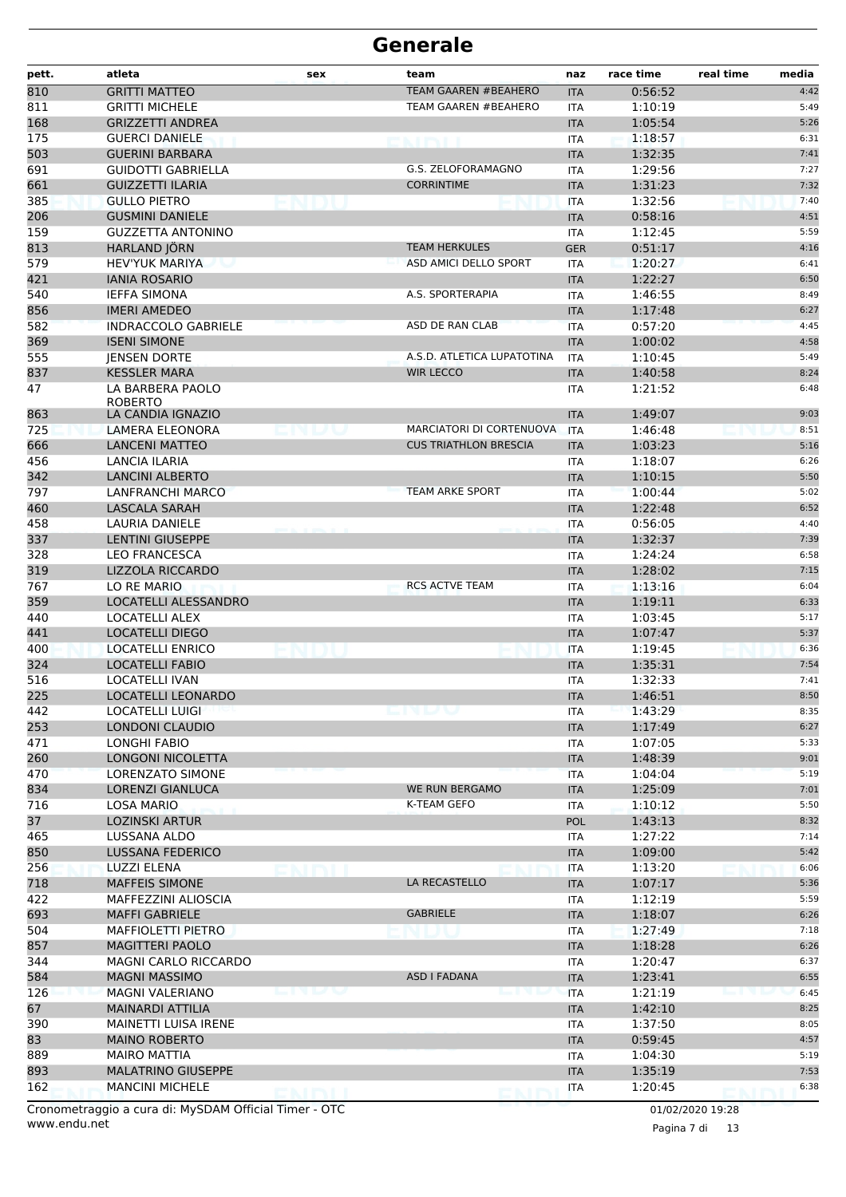| pett.      | atleta                                             | sex              | team                         | naz                      | race time          | real time<br>media |
|------------|----------------------------------------------------|------------------|------------------------------|--------------------------|--------------------|--------------------|
| 810        | <b>GRITTI MATTEO</b>                               |                  | <b>TEAM GAAREN #BEAHERO</b>  | <b>ITA</b>               | 0:56:52            | 4:42               |
| 811        | <b>GRITTI MICHELE</b>                              |                  | <b>TEAM GAAREN #BEAHERO</b>  | <b>ITA</b>               | 1:10:19            | 5:49               |
| 168        | <b>GRIZZETTI ANDREA</b>                            |                  |                              | <b>ITA</b>               | 1:05:54            | 5:26               |
| 175        | <b>GUERCI DANIELE</b>                              |                  | <b>NATIONAL</b>              | <b>ITA</b>               | 1:18:57            | 6:31               |
| 503        | <b>GUERINI BARBARA</b>                             |                  |                              | <b>ITA</b>               | 1:32:35            | 7:41               |
| 691        | <b>GUIDOTTI GABRIELLA</b>                          |                  | G.S. ZELOFORAMAGNO           | <b>ITA</b>               | 1:29:56            | 7:27               |
| 661        | <b>GUIZZETTI ILARIA</b>                            |                  | <b>CORRINTIME</b>            | <b>ITA</b>               | 1:31:23            | 7:32               |
| 385        | <b>GULLO PIETRO</b>                                | <b>IN HEALTH</b> |                              | <b>ITA</b>               | 1:32:56            | 7:40               |
| 206<br>159 | <b>GUSMINI DANIELE</b><br><b>GUZZETTA ANTONINO</b> |                  |                              | <b>ITA</b>               | 0:58:16<br>1:12:45 | 4:51<br>5:59       |
| 813        | HARLAND JÖRN                                       |                  | <b>TEAM HERKULES</b>         | <b>ITA</b><br><b>GER</b> | 0:51:17            | 4:16               |
|            | <b>HEV'YUK MARIYA</b>                              |                  | ASD AMICI DELLO SPORT        |                          | 1:20:27            | 6:41               |
| 579<br>421 | <b>IANIA ROSARIO</b>                               |                  |                              | <b>ITA</b><br><b>ITA</b> | 1:22:27            | 6:50               |
| 540        | <b>IEFFA SIMONA</b>                                |                  | A.S. SPORTERAPIA             | <b>ITA</b>               | 1:46:55            | 8:49               |
| 856        | <b>IMERI AMEDEO</b>                                |                  |                              | <b>ITA</b>               | 1:17:48            | 6:27               |
| 582        | <b>INDRACCOLO GABRIELE</b>                         |                  | ASD DE RAN CLAB              | <b>ITA</b>               | 0:57:20            | 4:45               |
| 369        | <b>ISENI SIMONE</b>                                |                  |                              | <b>ITA</b>               | 1:00:02            | 4:58               |
| 555        | <b>JENSEN DORTE</b>                                |                  | A.S.D. ATLETICA LUPATOTINA   | <b>ITA</b>               | 1:10:45            | 5:49               |
| 837        | <b>KESSLER MARA</b>                                |                  | <b>WIR LECCO</b>             | <b>ITA</b>               | 1:40:58            | 8:24               |
| 47         | LA BARBERA PAOLO                                   |                  |                              | <b>ITA</b>               | 1:21:52            | 6:48               |
|            | <b>ROBERTO</b>                                     |                  |                              |                          |                    |                    |
| 863        | LA CANDIA IGNAZIO                                  |                  |                              | <b>ITA</b>               | 1:49:07            | 9:03               |
| 725        | <b>LAMERA ELEONORA</b>                             |                  | MARCIATORI DI CORTENUOVA     | <b>ITA</b>               | 1:46:48            | 8:51               |
| 666        | <b>LANCENI MATTEO</b>                              |                  | <b>CUS TRIATHLON BRESCIA</b> | <b>ITA</b>               | 1:03:23            | 5:16               |
| 456        | LANCIA ILARIA                                      |                  |                              | <b>ITA</b>               | 1:18:07            | 6:26               |
| 342        | <b>LANCINI ALBERTO</b>                             |                  |                              | <b>ITA</b>               | 1:10:15            | 5:50               |
| 797        | LANFRANCHI MARCO                                   |                  | <b>TEAM ARKE SPORT</b>       | <b>ITA</b>               | 1:00:44            | 5:02               |
| 460        | <b>LASCALA SARAH</b>                               |                  |                              | <b>ITA</b>               | 1:22:48            | 6:52               |
| 458        | <b>LAURIA DANIELE</b>                              |                  |                              | <b>ITA</b>               | 0:56:05            | 4:40               |
| 337        | <b>LENTINI GIUSEPPE</b>                            |                  |                              | <b>ITA</b>               | 1:32:37            | 7:39               |
| 328        | <b>LEO FRANCESCA</b>                               |                  |                              | <b>ITA</b>               | 1:24:24            | 6:58               |
| 319        | <b>LIZZOLA RICCARDO</b>                            |                  |                              | <b>ITA</b>               | 1:28:02            | 7:15               |
| 767        | LO RE MARIO                                        |                  | <b>RCS ACTVE TEAM</b>        | <b>ITA</b>               | 1:13:16            | 6:04               |
| 359        | LOCATELLI ALESSANDRO                               |                  |                              | <b>ITA</b>               | 1:19:11            | 6:33               |
| 440        | <b>LOCATELLI ALEX</b>                              |                  |                              | <b>ITA</b>               | 1:03:45            | 5:17               |
| 441        | <b>LOCATELLI DIEGO</b>                             |                  |                              | <b>ITA</b>               | 1:07:47            | 5:37               |
| 400        | <b>LOCATELLI ENRICO</b>                            |                  |                              | <b>ITA</b>               | 1:19:45            | 6:36               |
| 324        | <b>LOCATELLI FABIO</b>                             |                  |                              | <b>ITA</b>               | 1:35:31            | 7:54               |
| 516        | <b>LOCATELLI IVAN</b>                              |                  |                              | <b>ITA</b>               | 1:32:33            | 7:41               |
| 225        | LOCATELLI LEONARDO                                 |                  |                              | <b>ITA</b>               | 1:46:51            | 8:50               |
| 442        | <b>LOCATELLI LUIGI</b>                             |                  | enum                         | ITA                      | 1:43:29            | 8:35               |
| 253        | LONDONI CLAUDIO                                    |                  |                              | <b>ITA</b>               | 1:17:49            | 6:27               |
| 471        | <b>LONGHI FABIO</b>                                |                  |                              | <b>ITA</b>               | 1:07:05            | 5:33               |
| 260<br>470 | <b>LONGONI NICOLETTA</b><br>LORENZATO SIMONE       |                  |                              | <b>ITA</b>               | 1:48:39<br>1:04:04 | 9:01<br>5:19       |
| 834        | LORENZI GIANLUCA                                   |                  | WE RUN BERGAMO               | <b>ITA</b><br><b>ITA</b> | 1:25:09            | 7:01               |
| 716        | <b>LOSA MARIO</b>                                  |                  | K-TEAM GEFO                  | ITA                      | 1:10:12            | 5:50               |
| 37         | <b>LOZINSKI ARTUR</b>                              |                  |                              | <b>POL</b>               | 1:43:13            | 8:32               |
| 465        | LUSSANA ALDO                                       |                  |                              | ITA                      | 1:27:22            | 7:14               |
| 850        | LUSSANA FEDERICO                                   |                  |                              | <b>ITA</b>               | 1:09:00            | 5:42               |
| 256        | LUZZI ELENA                                        |                  |                              | ITA                      | 1:13:20            | 6:06               |
| 718        | <b>MAFFEIS SIMONE</b>                              |                  | LA RECASTELLO                | <b>ITA</b>               | 1:07:17            | 5:36               |
| 422        | MAFFEZZINI ALIOSCIA                                |                  |                              | ITA                      | 1:12:19            | 5:59               |
| 693        | <b>MAFFI GABRIELE</b>                              |                  | <b>GABRIELE</b>              | <b>ITA</b>               | 1:18:07            | 6:26               |
| 504        | MAFFIOLETTI PIETRO                                 |                  |                              | <b>ITA</b>               | 1:27:49            | 7:18               |
| 857        | <b>MAGITTERI PAOLO</b>                             |                  |                              | <b>ITA</b>               | 1:18:28            | 6:26               |
| 344        | <b>MAGNI CARLO RICCARDO</b>                        |                  |                              | ITA                      | 1:20:47            | 6:37               |
| 584        | <b>MAGNI MASSIMO</b>                               |                  | ASD I FADANA                 | <b>ITA</b>               | 1:23:41            | 6:55               |
| 126        | <b>MAGNI VALERIANO</b>                             | N BANDA          |                              | <b>ITA</b>               | 1:21:19            | 6:45               |
| 67         | <b>MAINARDI ATTILIA</b>                            |                  |                              | <b>ITA</b>               | 1:42:10            | 8:25               |
| 390        | MAINETTI LUISA IRENE                               |                  |                              | ITA                      | 1:37:50            | 8:05               |
| 83         | <b>MAINO ROBERTO</b>                               |                  |                              | <b>ITA</b>               | 0:59:45            | 4:57               |
| 889        | <b>MAIRO MATTIA</b>                                |                  |                              | ITA                      | 1:04:30            | 5:19               |
| 893        | <b>MALATRINO GIUSEPPE</b>                          |                  |                              | <b>ITA</b>               | 1:35:19            | 7:53               |
| 162        | <b>MANCINI MICHELE</b>                             |                  |                              | ITA                      | 1:20:45            | 6:38               |
|            |                                                    |                  |                              |                          |                    |                    |

www.endu.net Cronometraggio a cura di: MySDAM Official Timer - OTC 01/02/2020 19:28

Pagina 7 di 13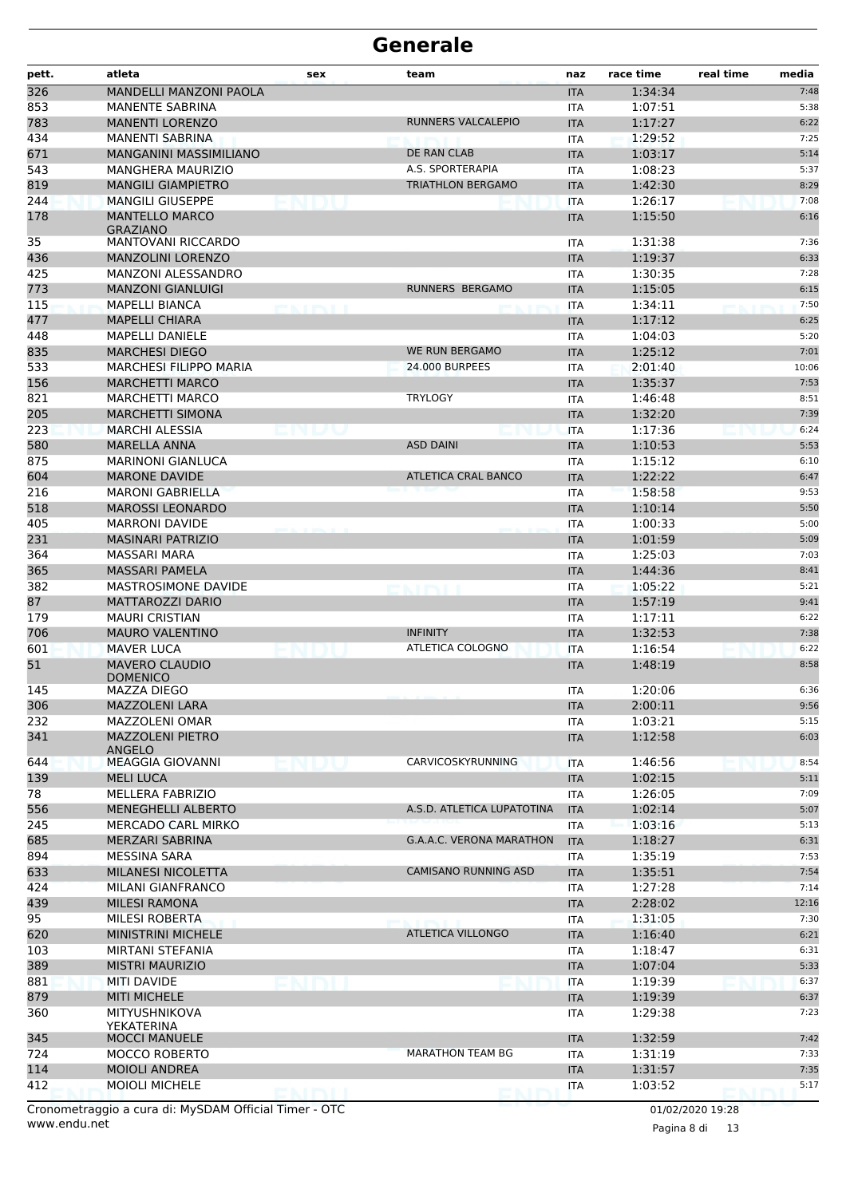| pett.      | atleta                                    | sex               | team                            | naz               | race time          | real time<br>media |
|------------|-------------------------------------------|-------------------|---------------------------------|-------------------|--------------------|--------------------|
| 326        | MANDELLI MANZONI PAOLA                    |                   |                                 | <b>ITA</b>        | 1:34:34            | 7:48               |
| 853        | <b>MANENTE SABRINA</b>                    |                   |                                 | ITA               | 1:07:51            | 5:38               |
| 783        | <b>MANENTI LORENZO</b>                    |                   | RUNNERS VALCALEPIO              | <b>ITA</b>        | 1:17:27            | 6:22               |
| 434        | <b>MANENTI SABRINA</b>                    |                   |                                 | <b>ITA</b>        | 1:29:52            | 7:25               |
| 671        | <b>MANGANINI MASSIMILIANO</b>             |                   | DE RAN CLAB                     | <b>ITA</b>        | 1:03:17            | 5:14               |
| 543        | <b>MANGHERA MAURIZIO</b>                  |                   | A.S. SPORTERAPIA                | <b>ITA</b>        | 1:08:23            | 5:37               |
| 819        | <b>MANGILI GIAMPIETRO</b>                 |                   | <b>TRIATHLON BERGAMO</b>        | <b>ITA</b>        | 1:42:30            | 8:29               |
| 244        | <b>MANGILI GIUSEPPE</b>                   |                   |                                 | <b>ITA</b>        | 1:26:17            | 7:08               |
| 178        | <b>MANTELLO MARCO</b><br><b>GRAZIANO</b>  |                   |                                 | <b>ITA</b>        | 1:15:50            | 6:16               |
| 35         | <b>MANTOVANI RICCARDO</b>                 |                   |                                 | <b>ITA</b>        | 1:31:38            | 7:36               |
| 436        | <b>MANZOLINI LORENZO</b>                  |                   |                                 | <b>ITA</b>        | 1:19:37            | 6:33               |
| 425        | MANZONI ALESSANDRO                        |                   |                                 | <b>ITA</b>        | 1:30:35            | 7:28               |
| 773        | <b>MANZONI GIANLUIGI</b>                  |                   | <b>RUNNERS BERGAMO</b>          | <b>ITA</b>        | 1:15:05            | 6:15               |
| 115        | <b>MAPELLI BIANCA</b>                     | <b>K. FIRMELI</b> |                                 | <b>ITA</b>        | 1:34:11            | 7:50               |
| 477        | <b>MAPELLI CHIARA</b>                     |                   |                                 | <b>ITA</b>        | 1:17:12            | 6:25               |
| 448        | <b>MAPELLI DANIELE</b>                    |                   |                                 | <b>ITA</b>        | 1:04:03            | 5:20               |
| 835        | <b>MARCHESI DIEGO</b>                     |                   | <b>WE RUN BERGAMO</b>           | <b>ITA</b>        | 1:25:12            | 7:01               |
| 533        | <b>MARCHESI FILIPPO MARIA</b>             |                   | <b>24.000 BURPEES</b>           | <b>ITA</b>        | 2:01:40            | 10:06              |
| 156        | <b>MARCHETTI MARCO</b>                    |                   |                                 | <b>ITA</b>        | 1:35:37            | 7:53               |
| 821        | <b>MARCHETTI MARCO</b>                    |                   | <b>TRYLOGY</b>                  | <b>ITA</b>        | 1:46:48            | 8:51               |
| 205        | <b>MARCHETTI SIMONA</b>                   |                   |                                 | <b>ITA</b>        | 1:32:20            | 7:39               |
| 223        | <b>MARCHI ALESSIA</b>                     |                   |                                 | <b>ITA</b>        | 1:17:36            | 6:24               |
| 580        | <b>MARELLA ANNA</b>                       |                   | <b>ASD DAINI</b>                | <b>ITA</b>        | 1:10:53            | 5:53               |
| 875        | <b>MARINONI GIANLUCA</b>                  |                   |                                 | <b>ITA</b>        | 1:15:12            | 6:10               |
| 604        | <b>MARONE DAVIDE</b>                      |                   | <b>ATLETICA CRAL BANCO</b>      | <b>ITA</b>        | 1:22:22            | 6:47               |
| 216        | <b>MARONI GABRIELLA</b>                   |                   |                                 | <b>ITA</b>        | 1:58:58            | 9:53               |
| 518        | <b>MAROSSI LEONARDO</b>                   |                   |                                 | <b>ITA</b>        | 1:10:14            | 5:50               |
| 405        | <b>MARRONI DAVIDE</b>                     |                   |                                 | <b>ITA</b>        | 1:00:33            | 5:00               |
| 231        | <b>MASINARI PATRIZIO</b>                  |                   |                                 | <b>ITA</b>        | 1:01:59            | 5:09               |
| 364        | MASSARI MARA                              |                   |                                 | <b>ITA</b>        | 1:25:03            | 7:03               |
| 365        | <b>MASSARI PAMELA</b>                     |                   |                                 | <b>ITA</b>        | 1:44:36            | 8:41               |
| 382        | <b>MASTROSIMONE DAVIDE</b>                |                   |                                 | <b>ITA</b>        | 1:05:22            | 5:21               |
| 87         | <b>MATTAROZZI DARIO</b>                   |                   |                                 | <b>ITA</b>        | 1:57:19            | 9:41               |
| 179        | <b>MAURI CRISTIAN</b>                     |                   |                                 | <b>ITA</b>        | 1:17:11            | 6:22               |
| 706        | <b>MAURO VALENTINO</b>                    |                   | <b>INFINITY</b>                 | <b>ITA</b>        | 1:32:53            | 7:38               |
| 601        | <b>MAVER LUCA</b>                         |                   | ATLETICA COLOGNO                | <b>ITA</b>        | 1:16:54            | 6:22               |
| 51         | <b>MAVERO CLAUDIO</b><br>DOMENICO         |                   |                                 | <b>ITA</b>        | 1:48:19            | 8:58               |
| 145        | MAZZA DIEGO                               |                   |                                 | <b>ITA</b>        | 1:20:06            | 6:36               |
| 306        | MAZZOLENI LARA                            |                   |                                 | <b>ITA</b>        | 2:00:11            | 9:56               |
| 232<br>341 | MAZZOLENI OMAR<br><b>MAZZOLENI PIETRO</b> |                   |                                 | ITA<br><b>ITA</b> | 1:03:21<br>1:12:58 | 5:15<br>6:03       |
|            | <b>ANGELO</b>                             |                   |                                 |                   |                    |                    |
| 644        | <b>MEAGGIA GIOVANNI</b>                   |                   | CARVICOSKYRUNNING               | <b>ITA</b>        | 1:46:56            | 8:54               |
| 139        | <b>MELI LUCA</b>                          |                   |                                 | <b>ITA</b>        | 1:02:15            | 5:11               |
| 78         | MELLERA FABRIZIO                          |                   |                                 | <b>ITA</b>        | 1:26:05            | 7:09               |
| 556        | MENEGHELLI ALBERTO                        |                   | A.S.D. ATLETICA LUPATOTINA      | <b>ITA</b>        | 1:02:14            | 5:07               |
| 245        | MERCADO CARL MIRKO                        |                   |                                 | <b>ITA</b>        | 1:03:16            | 5:13               |
| 685        | MERZARI SABRINA                           |                   | <b>G.A.A.C. VERONA MARATHON</b> | <b>ITA</b>        | 1:18:27            | 6:31               |
| 894        | <b>MESSINA SARA</b>                       |                   |                                 | ITA               | 1:35:19            | 7:53               |
| 633        | MILANESI NICOLETTA                        |                   | <b>CAMISANO RUNNING ASD</b>     | <b>ITA</b>        | 1:35:51            | 7:54               |
| 424        | MILANI GIANFRANCO                         |                   |                                 | ITA               | 1:27:28            | 7:14               |
| 439        | <b>MILESI RAMONA</b>                      |                   |                                 | <b>ITA</b>        | 2:28:02            | 12:16              |
| 95         | MILESI ROBERTA                            |                   |                                 | <b>ITA</b>        | 1:31:05            | 7:30               |
| 620        | <b>MINISTRINI MICHELE</b>                 |                   | <b>ATLETICA VILLONGO</b>        | <b>ITA</b>        | 1:16:40            | 6:21               |
| 103        | MIRTANI STEFANIA                          |                   |                                 | ITA               | 1:18:47            | 6:31               |
| 389        | <b>MISTRI MAURIZIO</b>                    |                   |                                 | <b>ITA</b>        | 1:07:04            | 5:33               |
| 881        | <b>MITI DAVIDE</b>                        | ENIDIU            |                                 | <b>ITA</b>        | 1:19:39            | 6:37               |
| 879        | <b>MITI MICHELE</b>                       |                   |                                 | <b>ITA</b>        | 1:19:39            | 6:37               |
| 360        | MITYUSHNIKOVA<br>YEKATERINA               |                   |                                 | ITA               | 1:29:38            | 7:23               |
| 345        | <b>MOCCI MANUELE</b>                      |                   |                                 | <b>ITA</b>        | 1:32:59            | 7:42               |
| 724        | <b>MOCCO ROBERTO</b>                      |                   | <b>MARATHON TEAM BG</b>         | <b>ITA</b>        | 1:31:19            | 7:33               |
| 114        | <b>MOIOLI ANDREA</b>                      |                   |                                 | <b>ITA</b>        | 1:31:57            | 7:35               |
| 412        | <b>MOIOLI MICHELE</b>                     | EMMI              |                                 | <b>ITA</b>        | 1:03:52            | 5:17               |

Pagina 8 di 13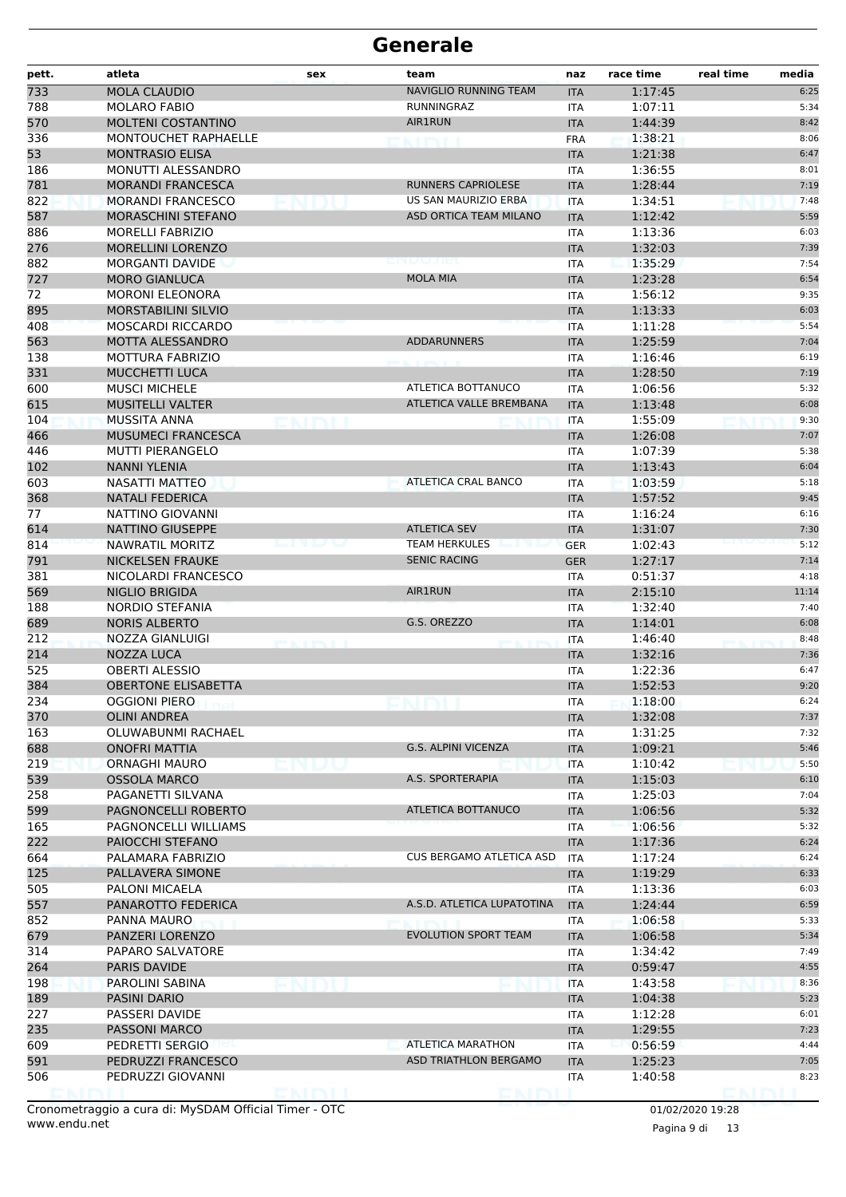| pett.      | atleta                                              | sex             | team                            | naz               | race time          | real time | media        |
|------------|-----------------------------------------------------|-----------------|---------------------------------|-------------------|--------------------|-----------|--------------|
| 733        | <b>MOLA CLAUDIO</b>                                 |                 | <b>NAVIGLIO RUNNING TEAM</b>    | <b>ITA</b>        | 1:17:45            |           | 6:25         |
| 788        | <b>MOLARO FABIO</b>                                 |                 | RUNNINGRAZ                      | ITA               | 1:07:11            |           | 5:34         |
| 570        | MOLTENI COSTANTINO                                  |                 | <b>AIR1RUN</b>                  | <b>ITA</b>        | 1:44:39            |           | 8:42         |
| 336        | MONTOUCHET RAPHAELLE                                |                 | N. FIRNINI                      | <b>FRA</b>        | 1:38:21            |           | 8:06         |
| 53         | <b>MONTRASIO ELISA</b>                              |                 |                                 | <b>ITA</b>        | 1:21:38            |           | 6:47         |
| 186        | MONUTTI ALESSANDRO                                  |                 |                                 | <b>ITA</b>        | 1:36:55            |           | 8:01         |
| 781        | <b>MORANDI FRANCESCA</b>                            |                 | RUNNERS CAPRIOLESE              | <b>ITA</b>        | 1:28:44            |           | 7:19         |
| 822        | <b>MORANDI FRANCESCO</b>                            |                 | US SAN MAURIZIO ERBA            | <b>ITA</b>        | 1:34:51            |           | 7:48         |
| 587        | MORASCHINI STEFANO                                  |                 | ASD ORTICA TEAM MILANO          | <b>ITA</b>        | 1:12:42            |           | 5:59         |
| 886        | <b>MORELLI FABRIZIO</b>                             |                 |                                 | ITA               | 1:13:36            |           | 6:03         |
| 276        | <b>MORELLINI LORENZO</b>                            |                 |                                 | <b>ITA</b>        | 1:32:03            |           | 7:39         |
| 882        | <b>MORGANTI DAVIDE</b>                              |                 | 2010 BASIC (USE)                | <b>ITA</b>        | 1:35:29            |           | 7:54         |
| 727        | <b>MORO GIANLUCA</b>                                |                 | <b>MOLA MIA</b>                 | <b>ITA</b>        | 1:23:28            |           | 6:54         |
| 72         | <b>MORONI ELEONORA</b>                              |                 |                                 | <b>ITA</b>        | 1:56:12            |           | 9:35         |
| 895        | <b>MORSTABILINI SILVIO</b>                          |                 |                                 | <b>ITA</b>        | 1:13:33            |           | 6:03         |
| 408        | <b>MOSCARDI RICCARDO</b>                            |                 |                                 | <b>ITA</b>        | 1:11:28            |           | 5:54         |
| 563        | MOTTA ALESSANDRO                                    |                 | <b>ADDARUNNERS</b>              | <b>ITA</b>        | 1:25:59            |           | 7:04         |
| 138        | <b>MOTTURA FABRIZIO</b>                             |                 |                                 | <b>ITA</b>        | 1:16:46            |           | 6:19         |
| 331        | <b>MUCCHETTI LUCA</b>                               |                 |                                 | <b>ITA</b>        | 1:28:50            |           | 7:19         |
| 600        | <b>MUSCI MICHELE</b>                                |                 | ATLETICA BOTTANUCO              | <b>ITA</b>        | 1:06:56            |           | 5:32         |
| 615        | <b>MUSITELLI VALTER</b>                             |                 | ATLETICA VALLE BREMBANA         | <b>ITA</b>        | 1:13:48            |           | 6:08         |
| 104        | MUSSITA ANNA                                        |                 |                                 | <b>ITA</b>        | 1:55:09            |           | 9:30         |
| 466        | <b>MUSUMECI FRANCESCA</b>                           |                 |                                 | <b>ITA</b>        | 1:26:08            |           | 7:07         |
| 446        | <b>MUTTI PIERANGELO</b>                             |                 |                                 | <b>ITA</b>        | 1:07:39            |           | 5:38         |
| 102        | <b>NANNI YLENIA</b>                                 |                 |                                 | <b>ITA</b>        | 1:13:43            |           | 6:04         |
| 603        | NASATTI MATTEO                                      |                 | <b>ATLETICA CRAL BANCO</b>      | <b>ITA</b>        | 1:03:59            |           | 5:18         |
| 368        | <b>NATALI FEDERICA</b>                              |                 |                                 | <b>ITA</b>        | 1:57:52            |           | 9:45         |
| 77         | NATTINO GIOVANNI                                    |                 |                                 | <b>ITA</b>        | 1:16:24            |           | 6:16         |
| 614        | NATTINO GIUSEPPE                                    |                 | <b>ATLETICA SEV</b>             | <b>ITA</b>        | 1:31:07            |           | 7:30         |
| 814        | NAWRATIL MORITZ                                     |                 | <b>TEAM HERKULES</b>            | <b>GER</b>        | 1:02:43            |           | 5:12         |
| 791        | <b>NICKELSEN FRAUKE</b>                             |                 | <b>SENIC RACING</b>             | <b>GER</b>        | 1:27:17            |           | 7:14         |
| 381        | NICOLARDI FRANCESCO                                 |                 |                                 | ITA               | 0:51:37            |           | 4:18         |
| 569        | <b>NIGLIO BRIGIDA</b>                               |                 | <b>AIR1RUN</b>                  | <b>ITA</b>        | 2:15:10            |           | 11:14        |
| 188        | NORDIO STEFANIA                                     |                 |                                 | ITA               | 1:32:40            |           | 7:40         |
| 689        | <b>NORIS ALBERTO</b>                                |                 | G.S. OREZZO                     | <b>ITA</b>        | 1:14:01            |           | 6:08         |
| 212        | NOZZA GIANLUIGI                                     | <b>BOTTLESS</b> |                                 | <b>ITA</b>        | 1:46:40            |           | 8:48         |
| 214        | NOZZA LUCA                                          |                 |                                 | <b>ITA</b>        | 1:32:16            |           | 7:36<br>6:47 |
| 525<br>384 | <b>OBERTI ALESSIO</b><br><b>OBERTONE ELISABETTA</b> |                 |                                 | ITA               | 1:22:36<br>1:52:53 |           | 9:20         |
| 234        | <b>OGGIONI PIERO</b>                                |                 |                                 | <b>ITA</b>        | 1:18:00            |           | 6:24         |
| 370        | <b>OLINI ANDREA</b>                                 |                 |                                 | <b>ITA</b>        | 1:32:08            |           | 7:37         |
| 163        | OLUWABUNMI RACHAEL                                  |                 |                                 | <b>ITA</b><br>ITA | 1:31:25            |           | 7:32         |
| 688        | <b>ONOFRI MATTIA</b>                                |                 | <b>G.S. ALPINI VICENZA</b>      | <b>ITA</b>        | 1:09:21            |           | 5:46         |
| 219        | <b>ORNAGHI MAURO</b>                                |                 |                                 | <b>ITA</b>        | 1:10:42            |           | 5:50         |
| 539        | <b>OSSOLA MARCO</b>                                 |                 | A.S. SPORTERAPIA                | <b>ITA</b>        | 1:15:03            |           | 6:10         |
| 258        | PAGANETTI SILVANA                                   |                 |                                 | <b>ITA</b>        | 1:25:03            |           | 7:04         |
| 599        | PAGNONCELLI ROBERTO                                 |                 | ATLETICA BOTTANUCO              | <b>ITA</b>        | 1:06:56            |           | 5:32         |
| 165        | PAGNONCELLI WILLIAMS                                |                 |                                 | ITA               | 1:06:56            |           | 5:32         |
| 222        | PAIOCCHI STEFANO                                    |                 |                                 | <b>ITA</b>        | 1:17:36            |           | 6:24         |
| 664        | PALAMARA FABRIZIO                                   |                 | <b>CUS BERGAMO ATLETICA ASD</b> | <b>ITA</b>        | 1:17:24            |           | 6:24         |
| 125        | PALLAVERA SIMONE                                    |                 |                                 | <b>ITA</b>        | 1:19:29            |           | 6:33         |
| 505        | PALONI MICAELA                                      |                 |                                 | ITA               | 1:13:36            |           | 6:03         |
| 557        | PANAROTTO FEDERICA                                  |                 | A.S.D. ATLETICA LUPATOTINA      | <b>ITA</b>        | 1:24:44            |           | 6:59         |
| 852        | PANNA MAURO                                         |                 |                                 | ITA               | 1:06:58            |           | 5:33         |
| 679        | PANZERI LORENZO                                     |                 | <b>EVOLUTION SPORT TEAM</b>     | <b>ITA</b>        | 1:06:58            |           | 5:34         |
| 314        | PAPARO SALVATORE                                    |                 |                                 | ITA               | 1:34:42            |           | 7:49         |
| 264        | <b>PARIS DAVIDE</b>                                 |                 |                                 | <b>ITA</b>        | 0:59:47            |           | 4:55         |
| 198        | PAROLINI SABINA                                     |                 |                                 | <b>ITA</b>        | 1:43:58            |           | 8:36         |
| 189        | <b>PASINI DARIO</b>                                 |                 |                                 | <b>ITA</b>        | 1:04:38            |           | 5:23         |
| 227        | PASSERI DAVIDE                                      |                 |                                 | ITA               | 1:12:28            |           | 6:01         |
| 235        | PASSONI MARCO                                       |                 |                                 | <b>ITA</b>        | 1:29:55            |           | 7:23         |
| 609        | PEDRETTI SERGIO                                     |                 | <b>ATLETICA MARATHON</b>        | ITA               | 0:56:59            |           | 4:44         |
| 591        | PEDRUZZI FRANCESCO                                  |                 | <b>ASD TRIATHLON BERGAMO</b>    | <b>ITA</b>        | 1:25:23            |           | 7:05         |
| 506        | PEDRUZZI GIOVANNI                                   |                 |                                 | ITA               | 1:40:58            |           | 8:23         |
|            |                                                     |                 |                                 |                   |                    |           |              |

Pagina 9 di 13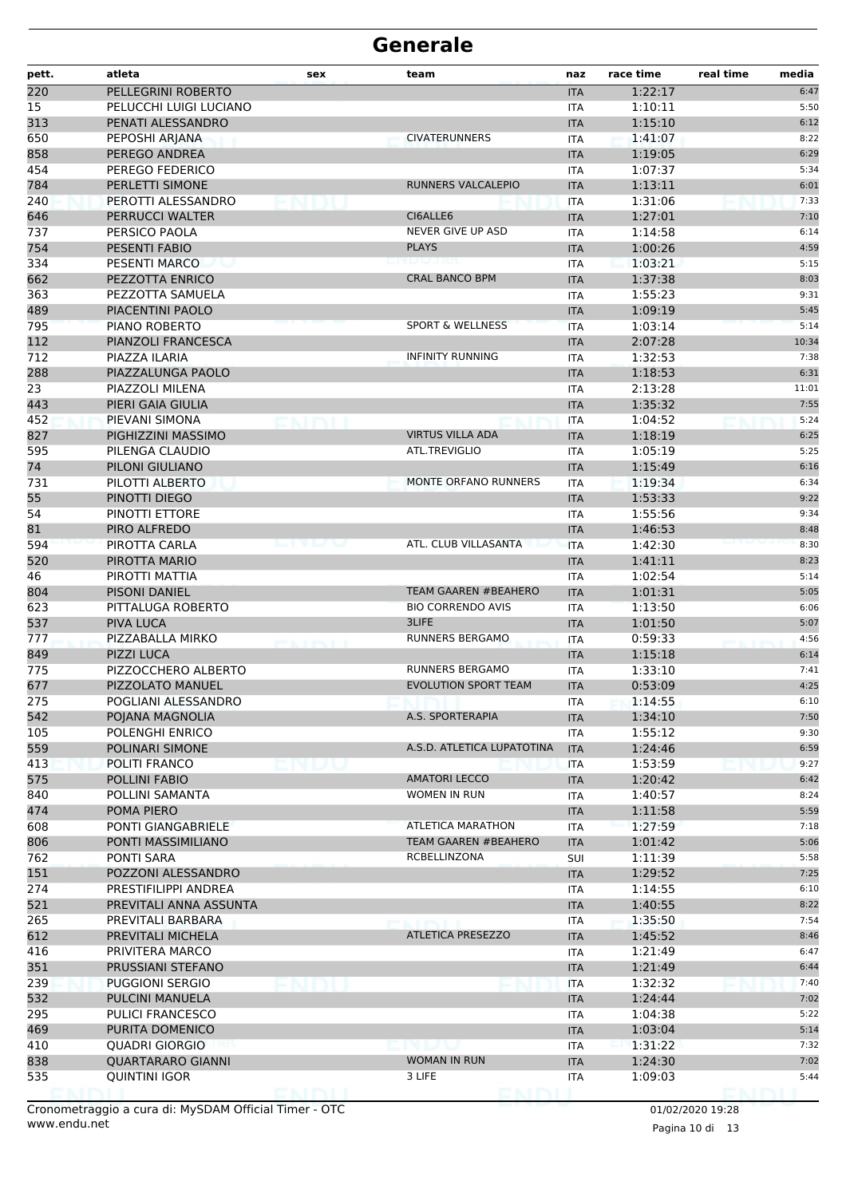| pett.      | atleta                          | sex  | team                                     | naz                      | race time          | real time<br>media |
|------------|---------------------------------|------|------------------------------------------|--------------------------|--------------------|--------------------|
| 220        | PELLEGRINI ROBERTO              |      |                                          | <b>ITA</b>               | 1:22:17            | 6:47               |
| 15         | PELUCCHI LUIGI LUCIANO          |      |                                          | ITA                      | 1:10:11            | 5:50               |
| 313        | PENATI ALESSANDRO               |      |                                          | <b>ITA</b>               | 1:15:10            | 6:12               |
| 650        | PEPOSHI ARJANA                  |      | <b>CIVATERUNNERS</b>                     | <b>ITA</b>               | 1:41:07            | 8:22               |
| 858        | PEREGO ANDREA                   |      |                                          | <b>ITA</b>               | 1:19:05            | 6:29               |
| 454        | PEREGO FEDERICO                 |      |                                          | <b>ITA</b>               | 1:07:37            | 5:34               |
| 784        | PERLETTI SIMONE                 |      | RUNNERS VALCALEPIO                       | <b>ITA</b>               | 1:13:11            | 6:01               |
| 240        | PEROTTI ALESSANDRO              |      |                                          | <b>ITA</b>               | 1:31:06            | 7:33               |
| 646        | PERRUCCI WALTER                 |      | CI6ALLE6                                 | <b>ITA</b>               | 1:27:01            | 7:10               |
| 737        | PERSICO PAOLA                   |      | NEVER GIVE UP ASD                        | ITA                      | 1:14:58            | 6:14               |
| 754        | <b>PESENTI FABIO</b>            |      | <b>PLAYS</b>                             | <b>ITA</b>               | 1:00:26            | 4:59               |
| 334        | PESENTI MARCO                   |      |                                          | ITA                      | 1:03:21            | 5:15               |
| 662        | PEZZOTTA ENRICO                 |      | <b>CRAL BANCO BPM</b>                    | <b>ITA</b>               | 1:37:38            | 8:03               |
| 363        | PEZZOTTA SAMUELA                |      |                                          | ITA                      | 1:55:23            | 9:31               |
| 489        | PIACENTINI PAOLO                |      |                                          | <b>ITA</b>               | 1:09:19            | 5:45               |
| 795        | PIANO ROBERTO                   |      | <b>SPORT &amp; WELLNESS</b>              | <b>ITA</b>               | 1:03:14            | 5:14               |
| 112        | PIANZOLI FRANCESCA              |      |                                          | <b>ITA</b>               | 2:07:28            | 10:34              |
| 712        | PIAZZA ILARIA                   |      | <b>INFINITY RUNNING</b>                  | <b>ITA</b>               | 1:32:53            | 7:38               |
| 288        | PIAZZALUNGA PAOLO               |      |                                          | <b>ITA</b>               | 1:18:53            | 6:31               |
| 23         | PIAZZOLI MILENA                 |      |                                          | ITA                      | 2:13:28            | 11:01              |
| 443        | PIERI GAIA GIULIA               |      |                                          | <b>ITA</b>               | 1:35:32            | 7:55               |
| 452        | PIEVANI SIMONA                  |      |                                          | <b>ITA</b>               | 1:04:52            | 5:24               |
| 827        | PIGHIZZINI MASSIMO              |      | <b>VIRTUS VILLA ADA</b><br>ATL.TREVIGLIO | <b>ITA</b>               | 1:18:19            | 6:25               |
| 595        | PILENGA CLAUDIO                 |      |                                          | ITA                      | 1:05:19            | 5:25               |
| 74         | PILONI GIULIANO                 |      | MONTE ORFANO RUNNERS                     | <b>ITA</b>               | 1:15:49            | 6:16               |
| 731        | PILOTTI ALBERTO                 |      |                                          | <b>ITA</b>               | 1:19:34            | 6:34               |
| 55<br>54   | PINOTTI DIEGO<br>PINOTTI ETTORE |      |                                          | <b>ITA</b>               | 1:53:33<br>1:55:56 | 9:22<br>9:34       |
|            | PIRO ALFREDO                    |      |                                          | <b>ITA</b>               | 1:46:53            | 8:48               |
| 81         | PIROTTA CARLA                   | ---- | ATL. CLUB VILLASANTA                     | <b>ITA</b>               | 1:42:30            | 8:30               |
| 594<br>520 | PIROTTA MARIO                   |      |                                          | <b>ITA</b><br><b>ITA</b> | 1:41:11            | 8:23               |
| 46         | PIROTTI MATTIA                  |      |                                          |                          | 1:02:54            | 5:14               |
| 804        | PISONI DANIEL                   |      | <b>TEAM GAAREN #BEAHERO</b>              | <b>ITA</b><br><b>ITA</b> | 1:01:31            | 5:05               |
| 623        | PITTALUGA ROBERTO               |      | <b>BIO CORRENDO AVIS</b>                 | ITA                      | 1:13:50            | 6:06               |
| 537        | <b>PIVA LUCA</b>                |      | 3LIFE                                    | <b>ITA</b>               | 1:01:50            | 5:07               |
| 777        | PIZZABALLA MIRKO                |      | <b>RUNNERS BERGAMO</b>                   | <b>ITA</b>               | 0:59:33            | 4:56               |
| 849        | <b>PIZZI LUCA</b>               |      |                                          | <b>ITA</b>               | 1:15:18            | 6:14               |
| 775        | PIZZOCCHERO ALBERTO             |      | <b>RUNNERS BERGAMO</b>                   | <b>ITA</b>               | 1:33:10            | 7:41               |
| 677        | PIZZOLATO MANUEL                |      | <b>EVOLUTION SPORT TEAM</b>              | <b>ITA</b>               | 0:53:09            | 4:25               |
| 275        | POGLIANI ALESSANDRO             |      |                                          | <b>ITA</b>               | 1:14:55            | 6:10               |
| 542        | POJANA MAGNOLIA                 |      | A.S. SPORTERAPIA                         | <b>ITA</b>               | 1:34:10            | 7:50               |
| 105        | POLENGHI ENRICO                 |      |                                          | ITA                      | 1:55:12            | 9:30               |
| 559        | POLINARI SIMONE                 |      | A.S.D. ATLETICA LUPATOTINA               | <b>ITA</b>               | 1:24:46            | 6:59               |
| 413        | POLITI FRANCO                   |      |                                          | <b>ITA</b>               | 1:53:59            | 9:27               |
| 575        | POLLINI FABIO                   |      | <b>AMATORI LECCO</b>                     | <b>ITA</b>               | 1:20:42            | 6:42               |
| 840        | POLLINI SAMANTA                 |      | <b>WOMEN IN RUN</b>                      | <b>ITA</b>               | 1:40:57            | 8:24               |
| 474        | POMA PIERO                      |      |                                          | <b>ITA</b>               | 1:11:58            | 5:59               |
| 608        | PONTI GIANGABRIELE              |      | <b>ATLETICA MARATHON</b>                 | ITA                      | 1:27:59            | 7:18               |
| 806        | PONTI MASSIMILIANO              |      | TEAM GAAREN #BEAHERO                     | <b>ITA</b>               | 1:01:42            | 5:06               |
| 762        | PONTI SARA                      |      | RCBELLINZONA                             | SUI                      | 1:11:39            | 5:58               |
| 151        | POZZONI ALESSANDRO              |      |                                          | <b>ITA</b>               | 1:29:52            | 7:25               |
| 274        | PRESTIFILIPPI ANDREA            |      |                                          | ITA                      | 1:14:55            | 6:10               |
| 521        | PREVITALI ANNA ASSUNTA          |      |                                          | <b>ITA</b>               | 1:40:55            | 8:22               |
| 265        | PREVITALI BARBARA               |      |                                          | ITA                      | 1:35:50            | 7:54               |
| 612        | PREVITALI MICHELA               |      | <b>ATLETICA PRESEZZO</b>                 | <b>ITA</b>               | 1:45:52            | 8:46               |
| 416        | PRIVITERA MARCO                 |      |                                          | <b>ITA</b>               | 1:21:49            | 6:47               |
| 351        | PRUSSIANI STEFANO               |      |                                          | <b>ITA</b>               | 1:21:49            | 6:44               |
| 239        | <b>PUGGIONI SERGIO</b>          |      |                                          | <b>ITA</b>               | 1:32:32            | 7:40               |
| 532        | PULCINI MANUELA                 |      |                                          | <b>ITA</b>               | 1:24:44            | 7:02               |
| 295        | <b>PULICI FRANCESCO</b>         |      |                                          | ITA                      | 1:04:38            | 5:22               |
| 469        | PURITA DOMENICO                 |      |                                          | <b>ITA</b>               | 1:03:04            | 5:14               |
| 410        | <b>QUADRI GIORGIO</b>           |      | e n lau                                  | <b>ITA</b>               | 1:31:22            | 7:32               |
| 838        | <b>QUARTARARO GIANNI</b>        |      | <b>WOMAN IN RUN</b>                      | <b>ITA</b>               | 1:24:30            | 7:02               |
| 535        | <b>QUINTINI IGOR</b>            |      | 3 LIFE                                   | ITA                      | 1:09:03            | 5:44               |
|            |                                 |      |                                          |                          |                    |                    |

Pagina 10 di 13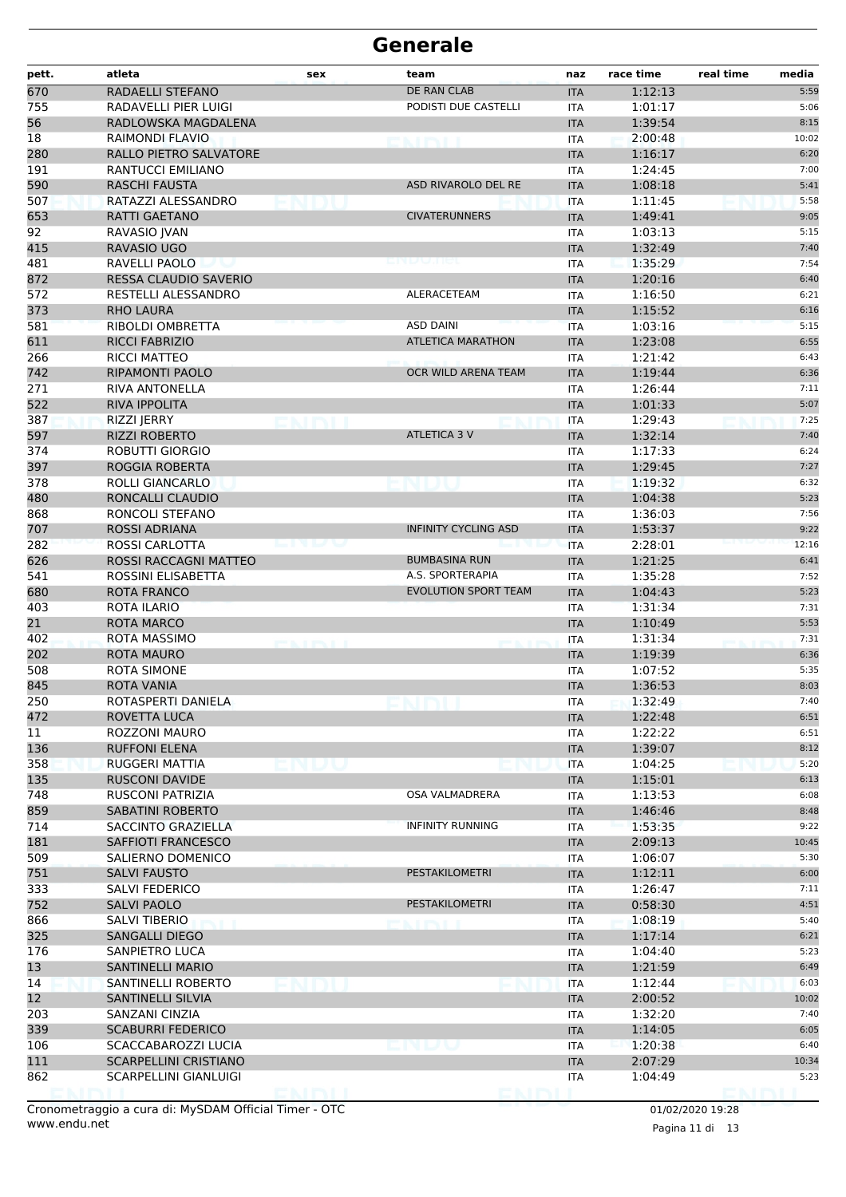| DE RAN CLAB<br>670<br>RADAELLI STEFANO<br>1:12:13<br><b>ITA</b><br>755<br>PODISTI DUE CASTELLI<br>RADAVELLI PIER LUIGI<br>1:01:17<br>ITA<br>56<br>1:39:54<br>RADLOWSKA MAGDALENA<br><b>ITA</b><br>18<br>2:00:48<br>RAIMONDI FLAVIO<br>ITA<br>280<br>RALLO PIETRO SALVATORE<br>1:16:17<br><b>ITA</b><br>191<br>RANTUCCI EMILIANO<br>1:24:45<br><b>ITA</b><br>590<br>ASD RIVAROLO DEL RE<br>RASCHI FAUSTA<br><b>ITA</b><br>1:08:18<br>507<br>RATAZZI ALESSANDRO<br>1:11:45<br><b>ITA</b><br>653<br><b>CIVATERUNNERS</b><br>RATTI GAETANO<br>1:49:41<br><b>ITA</b><br>92<br>RAVASIO JVAN<br>1:03:13<br>ITA<br>415<br>RAVASIO UGO<br>1:32:49<br><b>ITA</b><br>481<br>RAVELLI PAOLO<br>1:35:29<br>ITA<br>872<br>RESSA CLAUDIO SAVERIO<br><b>ITA</b><br>1:20:16<br>572<br>RESTELLI ALESSANDRO<br>ALERACETEAM<br>1:16:50<br>ITA<br>373<br>1:15:52<br><b>RHO LAURA</b><br><b>ITA</b><br>581<br>RIBOLDI OMBRETTA<br><b>ASD DAINI</b><br>1:03:16<br><b>ITA</b><br>611<br><b>RICCI FABRIZIO</b><br><b>ATLETICA MARATHON</b><br>1:23:08<br><b>ITA</b><br>266<br>RICCI MATTEO<br>1:21:42<br>ITA<br>742<br>RIPAMONTI PAOLO<br>OCR WILD ARENA TEAM<br><b>ITA</b><br>1:19:44<br>271<br><b>RIVA ANTONELLA</b><br>1:26:44<br><b>ITA</b><br>522<br><b>RIVA IPPOLITA</b><br>1:01:33<br><b>ITA</b><br>387<br>RIZZI JERRY<br>1:29:43<br>ITA<br>597<br>ATLETICA 3 V<br>1:32:14<br><b>RIZZI ROBERTO</b><br><b>ITA</b><br>374<br><b>ROBUTTI GIORGIO</b><br>1:17:33<br>ITA<br>397<br>1:29:45<br>ROGGIA ROBERTA<br><b>ITA</b><br>378<br>1:19:32<br>ROLLI GIANCARLO<br><b>ITA</b><br>480<br>RONCALLI CLAUDIO<br>1:04:38<br><b>ITA</b> | 5:59<br>5:06 |
|-----------------------------------------------------------------------------------------------------------------------------------------------------------------------------------------------------------------------------------------------------------------------------------------------------------------------------------------------------------------------------------------------------------------------------------------------------------------------------------------------------------------------------------------------------------------------------------------------------------------------------------------------------------------------------------------------------------------------------------------------------------------------------------------------------------------------------------------------------------------------------------------------------------------------------------------------------------------------------------------------------------------------------------------------------------------------------------------------------------------------------------------------------------------------------------------------------------------------------------------------------------------------------------------------------------------------------------------------------------------------------------------------------------------------------------------------------------------------------------------------------------------------------------------------------------------------------------------------------------|--------------|
|                                                                                                                                                                                                                                                                                                                                                                                                                                                                                                                                                                                                                                                                                                                                                                                                                                                                                                                                                                                                                                                                                                                                                                                                                                                                                                                                                                                                                                                                                                                                                                                                           |              |
|                                                                                                                                                                                                                                                                                                                                                                                                                                                                                                                                                                                                                                                                                                                                                                                                                                                                                                                                                                                                                                                                                                                                                                                                                                                                                                                                                                                                                                                                                                                                                                                                           |              |
|                                                                                                                                                                                                                                                                                                                                                                                                                                                                                                                                                                                                                                                                                                                                                                                                                                                                                                                                                                                                                                                                                                                                                                                                                                                                                                                                                                                                                                                                                                                                                                                                           | 8:15         |
|                                                                                                                                                                                                                                                                                                                                                                                                                                                                                                                                                                                                                                                                                                                                                                                                                                                                                                                                                                                                                                                                                                                                                                                                                                                                                                                                                                                                                                                                                                                                                                                                           | 10:02        |
|                                                                                                                                                                                                                                                                                                                                                                                                                                                                                                                                                                                                                                                                                                                                                                                                                                                                                                                                                                                                                                                                                                                                                                                                                                                                                                                                                                                                                                                                                                                                                                                                           | 6:20         |
|                                                                                                                                                                                                                                                                                                                                                                                                                                                                                                                                                                                                                                                                                                                                                                                                                                                                                                                                                                                                                                                                                                                                                                                                                                                                                                                                                                                                                                                                                                                                                                                                           | 7:00         |
|                                                                                                                                                                                                                                                                                                                                                                                                                                                                                                                                                                                                                                                                                                                                                                                                                                                                                                                                                                                                                                                                                                                                                                                                                                                                                                                                                                                                                                                                                                                                                                                                           | 5:41         |
|                                                                                                                                                                                                                                                                                                                                                                                                                                                                                                                                                                                                                                                                                                                                                                                                                                                                                                                                                                                                                                                                                                                                                                                                                                                                                                                                                                                                                                                                                                                                                                                                           | 5:58         |
|                                                                                                                                                                                                                                                                                                                                                                                                                                                                                                                                                                                                                                                                                                                                                                                                                                                                                                                                                                                                                                                                                                                                                                                                                                                                                                                                                                                                                                                                                                                                                                                                           | 9:05         |
|                                                                                                                                                                                                                                                                                                                                                                                                                                                                                                                                                                                                                                                                                                                                                                                                                                                                                                                                                                                                                                                                                                                                                                                                                                                                                                                                                                                                                                                                                                                                                                                                           | 5:15         |
|                                                                                                                                                                                                                                                                                                                                                                                                                                                                                                                                                                                                                                                                                                                                                                                                                                                                                                                                                                                                                                                                                                                                                                                                                                                                                                                                                                                                                                                                                                                                                                                                           | 7:40         |
|                                                                                                                                                                                                                                                                                                                                                                                                                                                                                                                                                                                                                                                                                                                                                                                                                                                                                                                                                                                                                                                                                                                                                                                                                                                                                                                                                                                                                                                                                                                                                                                                           | 7:54         |
|                                                                                                                                                                                                                                                                                                                                                                                                                                                                                                                                                                                                                                                                                                                                                                                                                                                                                                                                                                                                                                                                                                                                                                                                                                                                                                                                                                                                                                                                                                                                                                                                           | 6:40         |
|                                                                                                                                                                                                                                                                                                                                                                                                                                                                                                                                                                                                                                                                                                                                                                                                                                                                                                                                                                                                                                                                                                                                                                                                                                                                                                                                                                                                                                                                                                                                                                                                           | 6:21         |
|                                                                                                                                                                                                                                                                                                                                                                                                                                                                                                                                                                                                                                                                                                                                                                                                                                                                                                                                                                                                                                                                                                                                                                                                                                                                                                                                                                                                                                                                                                                                                                                                           | 6:16         |
|                                                                                                                                                                                                                                                                                                                                                                                                                                                                                                                                                                                                                                                                                                                                                                                                                                                                                                                                                                                                                                                                                                                                                                                                                                                                                                                                                                                                                                                                                                                                                                                                           | 5:15         |
|                                                                                                                                                                                                                                                                                                                                                                                                                                                                                                                                                                                                                                                                                                                                                                                                                                                                                                                                                                                                                                                                                                                                                                                                                                                                                                                                                                                                                                                                                                                                                                                                           | 6:55         |
|                                                                                                                                                                                                                                                                                                                                                                                                                                                                                                                                                                                                                                                                                                                                                                                                                                                                                                                                                                                                                                                                                                                                                                                                                                                                                                                                                                                                                                                                                                                                                                                                           | 6:43         |
|                                                                                                                                                                                                                                                                                                                                                                                                                                                                                                                                                                                                                                                                                                                                                                                                                                                                                                                                                                                                                                                                                                                                                                                                                                                                                                                                                                                                                                                                                                                                                                                                           | 6:36         |
|                                                                                                                                                                                                                                                                                                                                                                                                                                                                                                                                                                                                                                                                                                                                                                                                                                                                                                                                                                                                                                                                                                                                                                                                                                                                                                                                                                                                                                                                                                                                                                                                           | 7:11         |
|                                                                                                                                                                                                                                                                                                                                                                                                                                                                                                                                                                                                                                                                                                                                                                                                                                                                                                                                                                                                                                                                                                                                                                                                                                                                                                                                                                                                                                                                                                                                                                                                           | 5:07         |
|                                                                                                                                                                                                                                                                                                                                                                                                                                                                                                                                                                                                                                                                                                                                                                                                                                                                                                                                                                                                                                                                                                                                                                                                                                                                                                                                                                                                                                                                                                                                                                                                           | 7:25         |
|                                                                                                                                                                                                                                                                                                                                                                                                                                                                                                                                                                                                                                                                                                                                                                                                                                                                                                                                                                                                                                                                                                                                                                                                                                                                                                                                                                                                                                                                                                                                                                                                           | 7:40         |
|                                                                                                                                                                                                                                                                                                                                                                                                                                                                                                                                                                                                                                                                                                                                                                                                                                                                                                                                                                                                                                                                                                                                                                                                                                                                                                                                                                                                                                                                                                                                                                                                           | 6:24         |
|                                                                                                                                                                                                                                                                                                                                                                                                                                                                                                                                                                                                                                                                                                                                                                                                                                                                                                                                                                                                                                                                                                                                                                                                                                                                                                                                                                                                                                                                                                                                                                                                           | 7:27         |
|                                                                                                                                                                                                                                                                                                                                                                                                                                                                                                                                                                                                                                                                                                                                                                                                                                                                                                                                                                                                                                                                                                                                                                                                                                                                                                                                                                                                                                                                                                                                                                                                           | 6:32         |
|                                                                                                                                                                                                                                                                                                                                                                                                                                                                                                                                                                                                                                                                                                                                                                                                                                                                                                                                                                                                                                                                                                                                                                                                                                                                                                                                                                                                                                                                                                                                                                                                           | 5:23         |
| 868<br>RONCOLI STEFANO<br>1:36:03<br>ITA                                                                                                                                                                                                                                                                                                                                                                                                                                                                                                                                                                                                                                                                                                                                                                                                                                                                                                                                                                                                                                                                                                                                                                                                                                                                                                                                                                                                                                                                                                                                                                  | 7:56         |
| 707<br>1:53:37<br>ROSSI ADRIANA<br><b>INFINITY CYCLING ASD</b><br><b>ITA</b>                                                                                                                                                                                                                                                                                                                                                                                                                                                                                                                                                                                                                                                                                                                                                                                                                                                                                                                                                                                                                                                                                                                                                                                                                                                                                                                                                                                                                                                                                                                              | 9:22         |
| 282<br>2:28:01<br>ROSSI CARLOTTA<br><u>Line and the second second</u><br><b>ITA</b>                                                                                                                                                                                                                                                                                                                                                                                                                                                                                                                                                                                                                                                                                                                                                                                                                                                                                                                                                                                                                                                                                                                                                                                                                                                                                                                                                                                                                                                                                                                       | 12:16        |
| 626<br>ROSSI RACCAGNI MATTEO<br>1:21:25<br><b>BUMBASINA RUN</b><br><b>ITA</b>                                                                                                                                                                                                                                                                                                                                                                                                                                                                                                                                                                                                                                                                                                                                                                                                                                                                                                                                                                                                                                                                                                                                                                                                                                                                                                                                                                                                                                                                                                                             | 6:41         |
| 541<br>A.S. SPORTERAPIA<br>1:35:28<br>ROSSINI ELISABETTA<br><b>ITA</b>                                                                                                                                                                                                                                                                                                                                                                                                                                                                                                                                                                                                                                                                                                                                                                                                                                                                                                                                                                                                                                                                                                                                                                                                                                                                                                                                                                                                                                                                                                                                    | 7:52         |
| <b>EVOLUTION SPORT TEAM</b><br>680<br>ROTA FRANCO<br><b>ITA</b><br>1:04:43                                                                                                                                                                                                                                                                                                                                                                                                                                                                                                                                                                                                                                                                                                                                                                                                                                                                                                                                                                                                                                                                                                                                                                                                                                                                                                                                                                                                                                                                                                                                | 5:23         |
| 403<br>ROTA ILARIO<br>1:31:34<br>ITA                                                                                                                                                                                                                                                                                                                                                                                                                                                                                                                                                                                                                                                                                                                                                                                                                                                                                                                                                                                                                                                                                                                                                                                                                                                                                                                                                                                                                                                                                                                                                                      | 7:31         |
| 21<br><b>ROTA MARCO</b><br>1:10:49<br><b>ITA</b>                                                                                                                                                                                                                                                                                                                                                                                                                                                                                                                                                                                                                                                                                                                                                                                                                                                                                                                                                                                                                                                                                                                                                                                                                                                                                                                                                                                                                                                                                                                                                          | 5:53         |
| 402<br>ROTA MASSIMO<br>1:31:34<br>ITA<br><b>PERSONAL PROPERTY</b>                                                                                                                                                                                                                                                                                                                                                                                                                                                                                                                                                                                                                                                                                                                                                                                                                                                                                                                                                                                                                                                                                                                                                                                                                                                                                                                                                                                                                                                                                                                                         | 7:31         |
| 202<br><b>ROTA MAURO</b><br>1:19:39<br><b>ITA</b>                                                                                                                                                                                                                                                                                                                                                                                                                                                                                                                                                                                                                                                                                                                                                                                                                                                                                                                                                                                                                                                                                                                                                                                                                                                                                                                                                                                                                                                                                                                                                         | 6:36         |
| 508<br>ROTA SIMONE<br>1:07:52<br><b>ITA</b>                                                                                                                                                                                                                                                                                                                                                                                                                                                                                                                                                                                                                                                                                                                                                                                                                                                                                                                                                                                                                                                                                                                                                                                                                                                                                                                                                                                                                                                                                                                                                               | 5:35         |
| 845<br>ROTA VANIA<br>1:36:53<br><b>ITA</b><br>250<br>ROTASPERTI DANIELA                                                                                                                                                                                                                                                                                                                                                                                                                                                                                                                                                                                                                                                                                                                                                                                                                                                                                                                                                                                                                                                                                                                                                                                                                                                                                                                                                                                                                                                                                                                                   | 8:03         |
| 1:32:49<br>IIA.                                                                                                                                                                                                                                                                                                                                                                                                                                                                                                                                                                                                                                                                                                                                                                                                                                                                                                                                                                                                                                                                                                                                                                                                                                                                                                                                                                                                                                                                                                                                                                                           | 7:40<br>6:51 |
| 472<br>ROVETTA LUCA<br>1:22:48<br><b>ITA</b><br>11<br>1:22:22                                                                                                                                                                                                                                                                                                                                                                                                                                                                                                                                                                                                                                                                                                                                                                                                                                                                                                                                                                                                                                                                                                                                                                                                                                                                                                                                                                                                                                                                                                                                             | 6:51         |
| ROZZONI MAURO<br>ITA<br>136<br><b>RUFFONI ELENA</b><br><b>ITA</b><br>1:39:07                                                                                                                                                                                                                                                                                                                                                                                                                                                                                                                                                                                                                                                                                                                                                                                                                                                                                                                                                                                                                                                                                                                                                                                                                                                                                                                                                                                                                                                                                                                              | 8:12         |
| RUGGERI MATTIA                                                                                                                                                                                                                                                                                                                                                                                                                                                                                                                                                                                                                                                                                                                                                                                                                                                                                                                                                                                                                                                                                                                                                                                                                                                                                                                                                                                                                                                                                                                                                                                            | 5:20         |
| 358<br>1:04:25<br><b>ITA</b><br>135<br><b>RUSCONI DAVIDE</b><br>1:15:01<br><b>ITA</b>                                                                                                                                                                                                                                                                                                                                                                                                                                                                                                                                                                                                                                                                                                                                                                                                                                                                                                                                                                                                                                                                                                                                                                                                                                                                                                                                                                                                                                                                                                                     | 6:13         |
| 748<br>OSA VALMADRERA<br>RUSCONI PATRIZIA<br>1:13:53<br>ITA                                                                                                                                                                                                                                                                                                                                                                                                                                                                                                                                                                                                                                                                                                                                                                                                                                                                                                                                                                                                                                                                                                                                                                                                                                                                                                                                                                                                                                                                                                                                               | 6:08         |
| 859<br><b>SABATINI ROBERTO</b><br>1:46:46<br><b>ITA</b>                                                                                                                                                                                                                                                                                                                                                                                                                                                                                                                                                                                                                                                                                                                                                                                                                                                                                                                                                                                                                                                                                                                                                                                                                                                                                                                                                                                                                                                                                                                                                   | 8:48         |
| <b>INFINITY RUNNING</b><br>714<br>SACCINTO GRAZIELLA<br>1:53:35<br>ITA                                                                                                                                                                                                                                                                                                                                                                                                                                                                                                                                                                                                                                                                                                                                                                                                                                                                                                                                                                                                                                                                                                                                                                                                                                                                                                                                                                                                                                                                                                                                    | 9:22         |
| 181<br>SAFFIOTI FRANCESCO<br><b>ITA</b><br>2:09:13                                                                                                                                                                                                                                                                                                                                                                                                                                                                                                                                                                                                                                                                                                                                                                                                                                                                                                                                                                                                                                                                                                                                                                                                                                                                                                                                                                                                                                                                                                                                                        | 10:45        |
| 509<br>SALIERNO DOMENICO<br>1:06:07<br><b>ITA</b>                                                                                                                                                                                                                                                                                                                                                                                                                                                                                                                                                                                                                                                                                                                                                                                                                                                                                                                                                                                                                                                                                                                                                                                                                                                                                                                                                                                                                                                                                                                                                         | 5:30         |
| 751<br><b>PESTAKILOMETRI</b><br><b>SALVI FAUSTO</b><br>1:12:11<br><b>ITA</b>                                                                                                                                                                                                                                                                                                                                                                                                                                                                                                                                                                                                                                                                                                                                                                                                                                                                                                                                                                                                                                                                                                                                                                                                                                                                                                                                                                                                                                                                                                                              | 6:00         |
| 333<br>SALVI FEDERICO<br>1:26:47<br><b>ITA</b>                                                                                                                                                                                                                                                                                                                                                                                                                                                                                                                                                                                                                                                                                                                                                                                                                                                                                                                                                                                                                                                                                                                                                                                                                                                                                                                                                                                                                                                                                                                                                            | 7:11         |
| PESTAKILOMETRI<br>752<br><b>SALVI PAOLO</b><br>0:58:30<br><b>ITA</b>                                                                                                                                                                                                                                                                                                                                                                                                                                                                                                                                                                                                                                                                                                                                                                                                                                                                                                                                                                                                                                                                                                                                                                                                                                                                                                                                                                                                                                                                                                                                      | 4:51         |
| 866<br>SALVI TIBERIO<br>1:08:19<br>ITA                                                                                                                                                                                                                                                                                                                                                                                                                                                                                                                                                                                                                                                                                                                                                                                                                                                                                                                                                                                                                                                                                                                                                                                                                                                                                                                                                                                                                                                                                                                                                                    | 5:40         |
| <b>ENTRY</b><br>325<br><b>SANGALLI DIEGO</b><br>1:17:14<br><b>ITA</b>                                                                                                                                                                                                                                                                                                                                                                                                                                                                                                                                                                                                                                                                                                                                                                                                                                                                                                                                                                                                                                                                                                                                                                                                                                                                                                                                                                                                                                                                                                                                     | 6:21         |
| 176<br>SANPIETRO LUCA<br>1:04:40<br>ITA                                                                                                                                                                                                                                                                                                                                                                                                                                                                                                                                                                                                                                                                                                                                                                                                                                                                                                                                                                                                                                                                                                                                                                                                                                                                                                                                                                                                                                                                                                                                                                   | 5:23         |
| 13<br><b>SANTINELLI MARIO</b><br><b>ITA</b><br>1:21:59                                                                                                                                                                                                                                                                                                                                                                                                                                                                                                                                                                                                                                                                                                                                                                                                                                                                                                                                                                                                                                                                                                                                                                                                                                                                                                                                                                                                                                                                                                                                                    | 6:49         |
| 14<br>SANTINELLI ROBERTO<br>1:12:44<br>ITA                                                                                                                                                                                                                                                                                                                                                                                                                                                                                                                                                                                                                                                                                                                                                                                                                                                                                                                                                                                                                                                                                                                                                                                                                                                                                                                                                                                                                                                                                                                                                                | 6:03         |
| 12<br><b>SANTINELLI SILVIA</b><br>2:00:52<br><b>ITA</b>                                                                                                                                                                                                                                                                                                                                                                                                                                                                                                                                                                                                                                                                                                                                                                                                                                                                                                                                                                                                                                                                                                                                                                                                                                                                                                                                                                                                                                                                                                                                                   | 10:02        |
| 203<br>SANZANI CINZIA<br>1:32:20<br>ITA                                                                                                                                                                                                                                                                                                                                                                                                                                                                                                                                                                                                                                                                                                                                                                                                                                                                                                                                                                                                                                                                                                                                                                                                                                                                                                                                                                                                                                                                                                                                                                   | 7:40         |
| 339<br><b>SCABURRI FEDERICO</b><br>1:14:05<br><b>ITA</b>                                                                                                                                                                                                                                                                                                                                                                                                                                                                                                                                                                                                                                                                                                                                                                                                                                                                                                                                                                                                                                                                                                                                                                                                                                                                                                                                                                                                                                                                                                                                                  | 6:05         |
| 106<br>SCACCABAROZZI LUCIA<br>1:20:38<br>din da<br>ITA                                                                                                                                                                                                                                                                                                                                                                                                                                                                                                                                                                                                                                                                                                                                                                                                                                                                                                                                                                                                                                                                                                                                                                                                                                                                                                                                                                                                                                                                                                                                                    | 6:40         |
| 111<br>2:07:29<br><b>SCARPELLINI CRISTIANO</b><br><b>ITA</b>                                                                                                                                                                                                                                                                                                                                                                                                                                                                                                                                                                                                                                                                                                                                                                                                                                                                                                                                                                                                                                                                                                                                                                                                                                                                                                                                                                                                                                                                                                                                              | 10:34        |
| 862<br><b>SCARPELLINI GIANLUIGI</b><br>1:04:49<br>ITA                                                                                                                                                                                                                                                                                                                                                                                                                                                                                                                                                                                                                                                                                                                                                                                                                                                                                                                                                                                                                                                                                                                                                                                                                                                                                                                                                                                                                                                                                                                                                     | 5:23         |
|                                                                                                                                                                                                                                                                                                                                                                                                                                                                                                                                                                                                                                                                                                                                                                                                                                                                                                                                                                                                                                                                                                                                                                                                                                                                                                                                                                                                                                                                                                                                                                                                           |              |

Pagina 11 di 13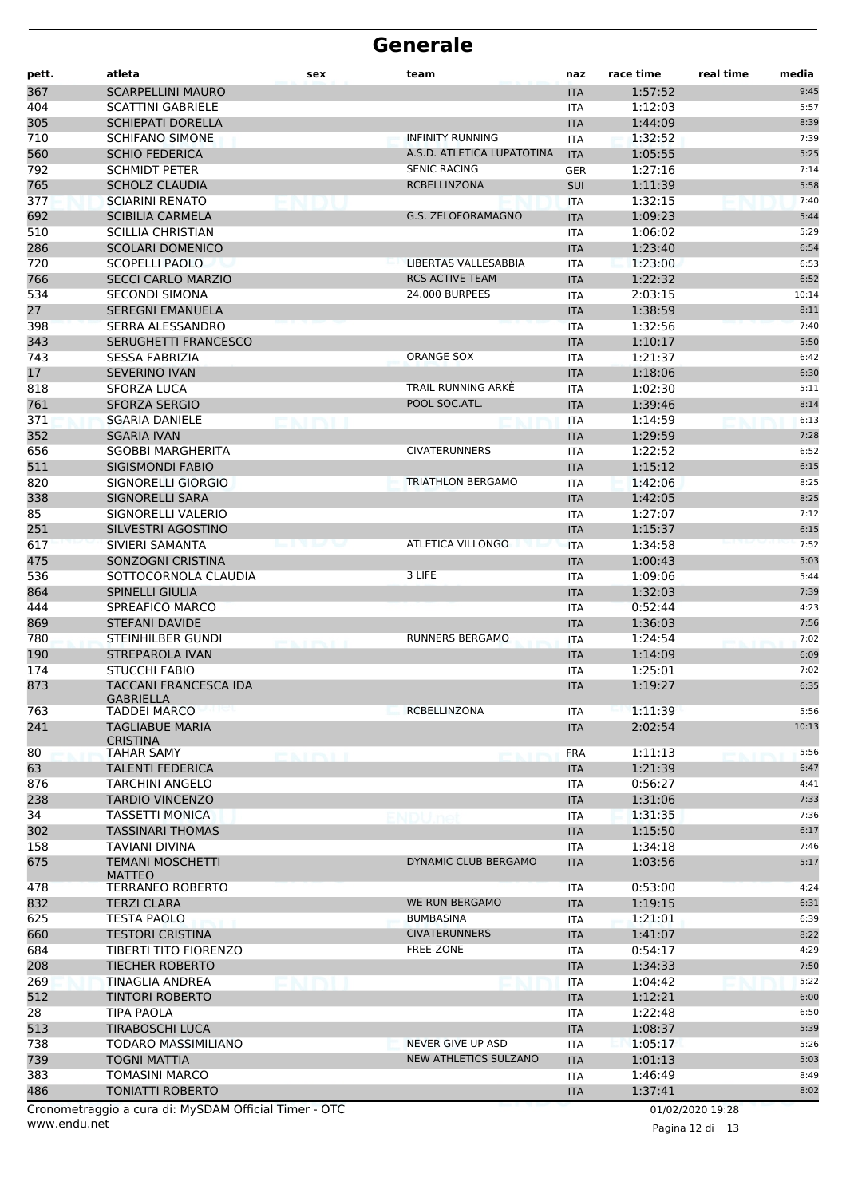| <b>SCARPELLINI MAURO</b><br>1:57:52<br>9:45<br><b>ITA</b><br>1:12:03<br>5:57<br><b>SCATTINI GABRIELE</b><br>ITA<br><b>SCHIEPATI DORELLA</b><br>1:44:09<br>8:39<br><b>ITA</b><br><b>SCHIFANO SIMONE</b><br><b>INFINITY RUNNING</b><br>1:32:52<br>7:39<br>ITA<br><b>SCHIO FEDERICA</b><br>1:05:55<br>5:25<br>A.S.D. ATLETICA LUPATOTINA<br><b>ITA</b><br>7:14<br><b>SCHMIDT PETER</b><br><b>SENIC RACING</b><br>1:27:16<br><b>GER</b><br><b>RCBELLINZONA</b><br><b>SCHOLZ CLAUDIA</b><br>1:11:39<br><b>SUI</b><br>5:58<br>7:40<br><b>SCIARINI RENATO</b><br>1:32:15<br><b>ITA</b><br><b>G.S. ZELOFORAMAGNO</b><br><b>SCIBILIA CARMELA</b><br>5:44<br><b>ITA</b><br>1:09:23<br>510<br><b>SCILLIA CHRISTIAN</b><br>1:06:02<br>5:29<br>ITA<br>286<br>6:54<br><b>SCOLARI DOMENICO</b><br><b>ITA</b><br>1:23:40<br>LIBERTAS VALLESABBIA<br>1:23:00<br>6:53<br><b>SCOPELLI PAOLO</b><br><b>ITA</b><br><b>RCS ACTIVE TEAM</b><br><b>SECCI CARLO MARZIO</b><br>1:22:32<br><b>ITA</b><br>6:52<br>24.000 BURPEES<br>2:03:15<br><b>SECONDI SIMONA</b><br>10:14<br>ITA<br>27<br><b>SEREGNI EMANUELA</b><br>1:38:59<br>8:11<br><b>ITA</b><br>398<br>SERRA ALESSANDRO<br>1:32:56<br>7:40<br><b>ITA</b><br>343<br>SERUGHETTI FRANCESCO<br>5:50<br>1:10:17<br><b>ITA</b><br><b>ORANGE SOX</b><br><b>SESSA FABRIZIA</b><br>1:21:37<br>6:42<br><b>ITA</b><br><b>SEVERINO IVAN</b><br><b>ITA</b><br>1:18:06<br>6:30<br>818<br>TRAIL RUNNING ARKE<br><b>SFORZA LUCA</b><br>1:02:30<br>5:11<br>ITA<br>POOL SOC.ATL.<br>761<br><b>SFORZA SERGIO</b><br>8:14<br><b>ITA</b><br>1:39:46<br>371<br><b>SGARIA DANIELE</b><br>1:14:59<br>6:13<br><b>ITA</b><br>352<br>7:28<br><b>SGARIA IVAN</b><br>1:29:59<br><b>ITA</b><br><b>CIVATERUNNERS</b><br>6:52<br><b>SGOBBI MARGHERITA</b><br>1:22:52<br><b>ITA</b><br><b>SIGISMONDI FABIO</b><br>1:15:12<br>6:15<br><b>ITA</b><br>1:42:06<br>8:25<br>SIGNORELLI GIORGIO<br><b>TRIATHLON BERGAMO</b><br><b>ITA</b><br><b>SIGNORELLI SARA</b><br>1:42:05<br>8:25<br><b>ITA</b><br>1:27:07<br>SIGNORELLI VALERIO<br>7:12<br>ITA<br>251<br>SILVESTRI AGOSTINO<br>6:15<br>1:15:37<br><b>ITA</b><br><b>ATLETICA VILLONGO</b><br>7:52<br>SIVIERI SAMANTA<br><b>ITA</b><br>1:34:58<br>----<br>SONZOGNI CRISTINA<br><b>ITA</b><br>1:00:43<br>5:03<br>536<br>3 LIFE<br>5:44<br>SOTTOCORNOLA CLAUDIA<br>1:09:06<br><b>ITA</b><br><b>SPINELLI GIULIA</b><br>1:32:03<br><b>ITA</b><br>7:39<br>SPREAFICO MARCO<br>0:52:44<br>4:23<br>ITA<br>869<br>7:56<br><b>STEFANI DAVIDE</b><br>1:36:03<br><b>ITA</b><br><b>RUNNERS BERGAMO</b><br>780<br>STEINHILBER GUNDI<br>7:02<br>1:24:54<br><b>ITA</b><br><b>EATENII</b><br>190<br><b>STREPAROLA IVAN</b><br><b>ITA</b><br>1:14:09<br>6:09<br><b>STUCCHI FABIO</b><br>7:02<br>1:25:01<br>ITA<br>873<br>TACCANI FRANCESCA IDA<br>1:19:27<br>6:35<br><b>ITA</b><br><b>GABRIELLA</b><br>RCBELLINZONA<br>763<br><b>TADDEI MARCO</b><br>1:11:39<br>5:56<br>ITA<br>241<br><b>TAGLIABUE MARIA</b><br>2:02:54<br>10:13<br><b>ITA</b><br><b>CRISTINA</b><br>1:11:13<br><b>TAHAR SAMY</b><br><b>FRA</b><br>5:56<br>NA ITALIA<br><b>TALENTI FEDERICA</b><br>1:21:39<br>6:47<br><b>ITA</b><br>4:41<br>TARCHINI ANGELO<br><b>ITA</b><br>0:56:27<br><b>TARDIO VINCENZO</b><br><b>ITA</b><br>1:31:06<br>7:33<br>7:36<br><b>TASSETTI MONICA</b><br>1:31:35<br><b>ITA</b><br><b>TASSINARI THOMAS</b><br><b>ITA</b><br>1:15:50<br>6:17<br><b>TAVIANI DIVINA</b><br>1:34:18<br>7:46<br>ITA<br>DYNAMIC CLUB BERGAMO<br>5:17<br><b>TEMANI MOSCHETTI</b><br><b>ITA</b><br>1:03:56<br><b>MATTEO</b><br>0:53:00<br>4:24<br><b>TERRANEO ROBERTO</b><br>ITA<br>WE RUN BERGAMO<br><b>TERZI CLARA</b><br><b>ITA</b><br>1:19:15<br>6:31<br><b>BUMBASINA</b><br>1:21:01<br><b>TESTA PAOLO</b><br>6:39<br>ITA<br><b>CIVATERUNNERS</b><br><b>TESTORI CRISTINA</b><br>1:41:07<br>8:22<br><b>ITA</b><br>FREE-ZONE<br>TIBERTI TITO FIORENZO<br><b>ITA</b><br>0:54:17<br>4:29<br><b>TIECHER ROBERTO</b><br>1:34:33<br>7:50<br><b>ITA</b><br>5:22<br>TINAGLIA ANDREA<br>1:04:42<br><b>ITA</b><br>TINTORI ROBERTO<br><b>ITA</b><br>1:12:21<br>6:00<br>1:22:48<br><b>TIPA PAOLA</b><br>6:50<br>ITA<br><b>TIRABOSCHI LUCA</b><br>5:39<br><b>ITA</b><br>1:08:37<br>NEVER GIVE UP ASD<br>TODARO MASSIMILIANO<br><b>ITA</b><br>1:05:17<br>5:26<br><b>TOGNI MATTIA</b><br>NEW ATHLETICS SULZANO<br>1:01:13<br>5:03<br><b>ITA</b><br>8:49<br>TOMASINI MARCO<br>1:46:49<br>ITA<br><b>TONIATTI ROBERTO</b><br><b>ITA</b><br>1:37:41<br>8:02<br>Cronometraggio a cura di: MySDAM Official Timer - OTC<br>01/02/2020 19:28 | pett. | atleta | sex | team | naz | race time | real time<br>media |
|---------------------------------------------------------------------------------------------------------------------------------------------------------------------------------------------------------------------------------------------------------------------------------------------------------------------------------------------------------------------------------------------------------------------------------------------------------------------------------------------------------------------------------------------------------------------------------------------------------------------------------------------------------------------------------------------------------------------------------------------------------------------------------------------------------------------------------------------------------------------------------------------------------------------------------------------------------------------------------------------------------------------------------------------------------------------------------------------------------------------------------------------------------------------------------------------------------------------------------------------------------------------------------------------------------------------------------------------------------------------------------------------------------------------------------------------------------------------------------------------------------------------------------------------------------------------------------------------------------------------------------------------------------------------------------------------------------------------------------------------------------------------------------------------------------------------------------------------------------------------------------------------------------------------------------------------------------------------------------------------------------------------------------------------------------------------------------------------------------------------------------------------------------------------------------------------------------------------------------------------------------------------------------------------------------------------------------------------------------------------------------------------------------------------------------------------------------------------------------------------------------------------------------------------------------------------------------------------------------------------------------------------------------------------------------------------------------------------------------------------------------------------------------------------------------------------------------------------------------------------------------------------------------------------------------------------------------------------------------------------------------------------------------------------------------------------------------------------------------------------------------------------------------------------------------------------------------------------------------------------------------------------------------------------------------------------------------------------------------------------------------------------------------------------------------------------------------------------------------------------------------------------------------------------------------------------------------------------------------------------------------------------------------------------------------------------------------------------------------------------------------------------------------------------------------------------------------------------------------------------------------------------------------------------------------------------------------------------------------------------------------------------------------------------------------------------------------------------------------------------------------------------------------------------------------------------------------------------------------------------------------------------------------------------------------------------------------------------------------------------------------------------------------------------------------------------------------------------------------------------------------------------|-------|--------|-----|------|-----|-----------|--------------------|
|                                                                                                                                                                                                                                                                                                                                                                                                                                                                                                                                                                                                                                                                                                                                                                                                                                                                                                                                                                                                                                                                                                                                                                                                                                                                                                                                                                                                                                                                                                                                                                                                                                                                                                                                                                                                                                                                                                                                                                                                                                                                                                                                                                                                                                                                                                                                                                                                                                                                                                                                                                                                                                                                                                                                                                                                                                                                                                                                                                                                                                                                                                                                                                                                                                                                                                                                                                                                                                                                                                                                                                                                                                                                                                                                                                                                                                                                                                                                                                                                                                                                                                                                                                                                                                                                                                                                                                                                                                                                                                                     | 367   |        |     |      |     |           |                    |
|                                                                                                                                                                                                                                                                                                                                                                                                                                                                                                                                                                                                                                                                                                                                                                                                                                                                                                                                                                                                                                                                                                                                                                                                                                                                                                                                                                                                                                                                                                                                                                                                                                                                                                                                                                                                                                                                                                                                                                                                                                                                                                                                                                                                                                                                                                                                                                                                                                                                                                                                                                                                                                                                                                                                                                                                                                                                                                                                                                                                                                                                                                                                                                                                                                                                                                                                                                                                                                                                                                                                                                                                                                                                                                                                                                                                                                                                                                                                                                                                                                                                                                                                                                                                                                                                                                                                                                                                                                                                                                                     | 404   |        |     |      |     |           |                    |
|                                                                                                                                                                                                                                                                                                                                                                                                                                                                                                                                                                                                                                                                                                                                                                                                                                                                                                                                                                                                                                                                                                                                                                                                                                                                                                                                                                                                                                                                                                                                                                                                                                                                                                                                                                                                                                                                                                                                                                                                                                                                                                                                                                                                                                                                                                                                                                                                                                                                                                                                                                                                                                                                                                                                                                                                                                                                                                                                                                                                                                                                                                                                                                                                                                                                                                                                                                                                                                                                                                                                                                                                                                                                                                                                                                                                                                                                                                                                                                                                                                                                                                                                                                                                                                                                                                                                                                                                                                                                                                                     | 305   |        |     |      |     |           |                    |
|                                                                                                                                                                                                                                                                                                                                                                                                                                                                                                                                                                                                                                                                                                                                                                                                                                                                                                                                                                                                                                                                                                                                                                                                                                                                                                                                                                                                                                                                                                                                                                                                                                                                                                                                                                                                                                                                                                                                                                                                                                                                                                                                                                                                                                                                                                                                                                                                                                                                                                                                                                                                                                                                                                                                                                                                                                                                                                                                                                                                                                                                                                                                                                                                                                                                                                                                                                                                                                                                                                                                                                                                                                                                                                                                                                                                                                                                                                                                                                                                                                                                                                                                                                                                                                                                                                                                                                                                                                                                                                                     | 710   |        |     |      |     |           |                    |
|                                                                                                                                                                                                                                                                                                                                                                                                                                                                                                                                                                                                                                                                                                                                                                                                                                                                                                                                                                                                                                                                                                                                                                                                                                                                                                                                                                                                                                                                                                                                                                                                                                                                                                                                                                                                                                                                                                                                                                                                                                                                                                                                                                                                                                                                                                                                                                                                                                                                                                                                                                                                                                                                                                                                                                                                                                                                                                                                                                                                                                                                                                                                                                                                                                                                                                                                                                                                                                                                                                                                                                                                                                                                                                                                                                                                                                                                                                                                                                                                                                                                                                                                                                                                                                                                                                                                                                                                                                                                                                                     | 560   |        |     |      |     |           |                    |
|                                                                                                                                                                                                                                                                                                                                                                                                                                                                                                                                                                                                                                                                                                                                                                                                                                                                                                                                                                                                                                                                                                                                                                                                                                                                                                                                                                                                                                                                                                                                                                                                                                                                                                                                                                                                                                                                                                                                                                                                                                                                                                                                                                                                                                                                                                                                                                                                                                                                                                                                                                                                                                                                                                                                                                                                                                                                                                                                                                                                                                                                                                                                                                                                                                                                                                                                                                                                                                                                                                                                                                                                                                                                                                                                                                                                                                                                                                                                                                                                                                                                                                                                                                                                                                                                                                                                                                                                                                                                                                                     | 792   |        |     |      |     |           |                    |
|                                                                                                                                                                                                                                                                                                                                                                                                                                                                                                                                                                                                                                                                                                                                                                                                                                                                                                                                                                                                                                                                                                                                                                                                                                                                                                                                                                                                                                                                                                                                                                                                                                                                                                                                                                                                                                                                                                                                                                                                                                                                                                                                                                                                                                                                                                                                                                                                                                                                                                                                                                                                                                                                                                                                                                                                                                                                                                                                                                                                                                                                                                                                                                                                                                                                                                                                                                                                                                                                                                                                                                                                                                                                                                                                                                                                                                                                                                                                                                                                                                                                                                                                                                                                                                                                                                                                                                                                                                                                                                                     | 765   |        |     |      |     |           |                    |
|                                                                                                                                                                                                                                                                                                                                                                                                                                                                                                                                                                                                                                                                                                                                                                                                                                                                                                                                                                                                                                                                                                                                                                                                                                                                                                                                                                                                                                                                                                                                                                                                                                                                                                                                                                                                                                                                                                                                                                                                                                                                                                                                                                                                                                                                                                                                                                                                                                                                                                                                                                                                                                                                                                                                                                                                                                                                                                                                                                                                                                                                                                                                                                                                                                                                                                                                                                                                                                                                                                                                                                                                                                                                                                                                                                                                                                                                                                                                                                                                                                                                                                                                                                                                                                                                                                                                                                                                                                                                                                                     | 377   |        |     |      |     |           |                    |
|                                                                                                                                                                                                                                                                                                                                                                                                                                                                                                                                                                                                                                                                                                                                                                                                                                                                                                                                                                                                                                                                                                                                                                                                                                                                                                                                                                                                                                                                                                                                                                                                                                                                                                                                                                                                                                                                                                                                                                                                                                                                                                                                                                                                                                                                                                                                                                                                                                                                                                                                                                                                                                                                                                                                                                                                                                                                                                                                                                                                                                                                                                                                                                                                                                                                                                                                                                                                                                                                                                                                                                                                                                                                                                                                                                                                                                                                                                                                                                                                                                                                                                                                                                                                                                                                                                                                                                                                                                                                                                                     | 692   |        |     |      |     |           |                    |
|                                                                                                                                                                                                                                                                                                                                                                                                                                                                                                                                                                                                                                                                                                                                                                                                                                                                                                                                                                                                                                                                                                                                                                                                                                                                                                                                                                                                                                                                                                                                                                                                                                                                                                                                                                                                                                                                                                                                                                                                                                                                                                                                                                                                                                                                                                                                                                                                                                                                                                                                                                                                                                                                                                                                                                                                                                                                                                                                                                                                                                                                                                                                                                                                                                                                                                                                                                                                                                                                                                                                                                                                                                                                                                                                                                                                                                                                                                                                                                                                                                                                                                                                                                                                                                                                                                                                                                                                                                                                                                                     |       |        |     |      |     |           |                    |
|                                                                                                                                                                                                                                                                                                                                                                                                                                                                                                                                                                                                                                                                                                                                                                                                                                                                                                                                                                                                                                                                                                                                                                                                                                                                                                                                                                                                                                                                                                                                                                                                                                                                                                                                                                                                                                                                                                                                                                                                                                                                                                                                                                                                                                                                                                                                                                                                                                                                                                                                                                                                                                                                                                                                                                                                                                                                                                                                                                                                                                                                                                                                                                                                                                                                                                                                                                                                                                                                                                                                                                                                                                                                                                                                                                                                                                                                                                                                                                                                                                                                                                                                                                                                                                                                                                                                                                                                                                                                                                                     |       |        |     |      |     |           |                    |
|                                                                                                                                                                                                                                                                                                                                                                                                                                                                                                                                                                                                                                                                                                                                                                                                                                                                                                                                                                                                                                                                                                                                                                                                                                                                                                                                                                                                                                                                                                                                                                                                                                                                                                                                                                                                                                                                                                                                                                                                                                                                                                                                                                                                                                                                                                                                                                                                                                                                                                                                                                                                                                                                                                                                                                                                                                                                                                                                                                                                                                                                                                                                                                                                                                                                                                                                                                                                                                                                                                                                                                                                                                                                                                                                                                                                                                                                                                                                                                                                                                                                                                                                                                                                                                                                                                                                                                                                                                                                                                                     | 720   |        |     |      |     |           |                    |
|                                                                                                                                                                                                                                                                                                                                                                                                                                                                                                                                                                                                                                                                                                                                                                                                                                                                                                                                                                                                                                                                                                                                                                                                                                                                                                                                                                                                                                                                                                                                                                                                                                                                                                                                                                                                                                                                                                                                                                                                                                                                                                                                                                                                                                                                                                                                                                                                                                                                                                                                                                                                                                                                                                                                                                                                                                                                                                                                                                                                                                                                                                                                                                                                                                                                                                                                                                                                                                                                                                                                                                                                                                                                                                                                                                                                                                                                                                                                                                                                                                                                                                                                                                                                                                                                                                                                                                                                                                                                                                                     | 766   |        |     |      |     |           |                    |
|                                                                                                                                                                                                                                                                                                                                                                                                                                                                                                                                                                                                                                                                                                                                                                                                                                                                                                                                                                                                                                                                                                                                                                                                                                                                                                                                                                                                                                                                                                                                                                                                                                                                                                                                                                                                                                                                                                                                                                                                                                                                                                                                                                                                                                                                                                                                                                                                                                                                                                                                                                                                                                                                                                                                                                                                                                                                                                                                                                                                                                                                                                                                                                                                                                                                                                                                                                                                                                                                                                                                                                                                                                                                                                                                                                                                                                                                                                                                                                                                                                                                                                                                                                                                                                                                                                                                                                                                                                                                                                                     | 534   |        |     |      |     |           |                    |
|                                                                                                                                                                                                                                                                                                                                                                                                                                                                                                                                                                                                                                                                                                                                                                                                                                                                                                                                                                                                                                                                                                                                                                                                                                                                                                                                                                                                                                                                                                                                                                                                                                                                                                                                                                                                                                                                                                                                                                                                                                                                                                                                                                                                                                                                                                                                                                                                                                                                                                                                                                                                                                                                                                                                                                                                                                                                                                                                                                                                                                                                                                                                                                                                                                                                                                                                                                                                                                                                                                                                                                                                                                                                                                                                                                                                                                                                                                                                                                                                                                                                                                                                                                                                                                                                                                                                                                                                                                                                                                                     |       |        |     |      |     |           |                    |
|                                                                                                                                                                                                                                                                                                                                                                                                                                                                                                                                                                                                                                                                                                                                                                                                                                                                                                                                                                                                                                                                                                                                                                                                                                                                                                                                                                                                                                                                                                                                                                                                                                                                                                                                                                                                                                                                                                                                                                                                                                                                                                                                                                                                                                                                                                                                                                                                                                                                                                                                                                                                                                                                                                                                                                                                                                                                                                                                                                                                                                                                                                                                                                                                                                                                                                                                                                                                                                                                                                                                                                                                                                                                                                                                                                                                                                                                                                                                                                                                                                                                                                                                                                                                                                                                                                                                                                                                                                                                                                                     |       |        |     |      |     |           |                    |
|                                                                                                                                                                                                                                                                                                                                                                                                                                                                                                                                                                                                                                                                                                                                                                                                                                                                                                                                                                                                                                                                                                                                                                                                                                                                                                                                                                                                                                                                                                                                                                                                                                                                                                                                                                                                                                                                                                                                                                                                                                                                                                                                                                                                                                                                                                                                                                                                                                                                                                                                                                                                                                                                                                                                                                                                                                                                                                                                                                                                                                                                                                                                                                                                                                                                                                                                                                                                                                                                                                                                                                                                                                                                                                                                                                                                                                                                                                                                                                                                                                                                                                                                                                                                                                                                                                                                                                                                                                                                                                                     |       |        |     |      |     |           |                    |
|                                                                                                                                                                                                                                                                                                                                                                                                                                                                                                                                                                                                                                                                                                                                                                                                                                                                                                                                                                                                                                                                                                                                                                                                                                                                                                                                                                                                                                                                                                                                                                                                                                                                                                                                                                                                                                                                                                                                                                                                                                                                                                                                                                                                                                                                                                                                                                                                                                                                                                                                                                                                                                                                                                                                                                                                                                                                                                                                                                                                                                                                                                                                                                                                                                                                                                                                                                                                                                                                                                                                                                                                                                                                                                                                                                                                                                                                                                                                                                                                                                                                                                                                                                                                                                                                                                                                                                                                                                                                                                                     | 743   |        |     |      |     |           |                    |
|                                                                                                                                                                                                                                                                                                                                                                                                                                                                                                                                                                                                                                                                                                                                                                                                                                                                                                                                                                                                                                                                                                                                                                                                                                                                                                                                                                                                                                                                                                                                                                                                                                                                                                                                                                                                                                                                                                                                                                                                                                                                                                                                                                                                                                                                                                                                                                                                                                                                                                                                                                                                                                                                                                                                                                                                                                                                                                                                                                                                                                                                                                                                                                                                                                                                                                                                                                                                                                                                                                                                                                                                                                                                                                                                                                                                                                                                                                                                                                                                                                                                                                                                                                                                                                                                                                                                                                                                                                                                                                                     | 17    |        |     |      |     |           |                    |
|                                                                                                                                                                                                                                                                                                                                                                                                                                                                                                                                                                                                                                                                                                                                                                                                                                                                                                                                                                                                                                                                                                                                                                                                                                                                                                                                                                                                                                                                                                                                                                                                                                                                                                                                                                                                                                                                                                                                                                                                                                                                                                                                                                                                                                                                                                                                                                                                                                                                                                                                                                                                                                                                                                                                                                                                                                                                                                                                                                                                                                                                                                                                                                                                                                                                                                                                                                                                                                                                                                                                                                                                                                                                                                                                                                                                                                                                                                                                                                                                                                                                                                                                                                                                                                                                                                                                                                                                                                                                                                                     |       |        |     |      |     |           |                    |
|                                                                                                                                                                                                                                                                                                                                                                                                                                                                                                                                                                                                                                                                                                                                                                                                                                                                                                                                                                                                                                                                                                                                                                                                                                                                                                                                                                                                                                                                                                                                                                                                                                                                                                                                                                                                                                                                                                                                                                                                                                                                                                                                                                                                                                                                                                                                                                                                                                                                                                                                                                                                                                                                                                                                                                                                                                                                                                                                                                                                                                                                                                                                                                                                                                                                                                                                                                                                                                                                                                                                                                                                                                                                                                                                                                                                                                                                                                                                                                                                                                                                                                                                                                                                                                                                                                                                                                                                                                                                                                                     |       |        |     |      |     |           |                    |
|                                                                                                                                                                                                                                                                                                                                                                                                                                                                                                                                                                                                                                                                                                                                                                                                                                                                                                                                                                                                                                                                                                                                                                                                                                                                                                                                                                                                                                                                                                                                                                                                                                                                                                                                                                                                                                                                                                                                                                                                                                                                                                                                                                                                                                                                                                                                                                                                                                                                                                                                                                                                                                                                                                                                                                                                                                                                                                                                                                                                                                                                                                                                                                                                                                                                                                                                                                                                                                                                                                                                                                                                                                                                                                                                                                                                                                                                                                                                                                                                                                                                                                                                                                                                                                                                                                                                                                                                                                                                                                                     |       |        |     |      |     |           |                    |
|                                                                                                                                                                                                                                                                                                                                                                                                                                                                                                                                                                                                                                                                                                                                                                                                                                                                                                                                                                                                                                                                                                                                                                                                                                                                                                                                                                                                                                                                                                                                                                                                                                                                                                                                                                                                                                                                                                                                                                                                                                                                                                                                                                                                                                                                                                                                                                                                                                                                                                                                                                                                                                                                                                                                                                                                                                                                                                                                                                                                                                                                                                                                                                                                                                                                                                                                                                                                                                                                                                                                                                                                                                                                                                                                                                                                                                                                                                                                                                                                                                                                                                                                                                                                                                                                                                                                                                                                                                                                                                                     |       |        |     |      |     |           |                    |
|                                                                                                                                                                                                                                                                                                                                                                                                                                                                                                                                                                                                                                                                                                                                                                                                                                                                                                                                                                                                                                                                                                                                                                                                                                                                                                                                                                                                                                                                                                                                                                                                                                                                                                                                                                                                                                                                                                                                                                                                                                                                                                                                                                                                                                                                                                                                                                                                                                                                                                                                                                                                                                                                                                                                                                                                                                                                                                                                                                                                                                                                                                                                                                                                                                                                                                                                                                                                                                                                                                                                                                                                                                                                                                                                                                                                                                                                                                                                                                                                                                                                                                                                                                                                                                                                                                                                                                                                                                                                                                                     | 656   |        |     |      |     |           |                    |
|                                                                                                                                                                                                                                                                                                                                                                                                                                                                                                                                                                                                                                                                                                                                                                                                                                                                                                                                                                                                                                                                                                                                                                                                                                                                                                                                                                                                                                                                                                                                                                                                                                                                                                                                                                                                                                                                                                                                                                                                                                                                                                                                                                                                                                                                                                                                                                                                                                                                                                                                                                                                                                                                                                                                                                                                                                                                                                                                                                                                                                                                                                                                                                                                                                                                                                                                                                                                                                                                                                                                                                                                                                                                                                                                                                                                                                                                                                                                                                                                                                                                                                                                                                                                                                                                                                                                                                                                                                                                                                                     | 511   |        |     |      |     |           |                    |
|                                                                                                                                                                                                                                                                                                                                                                                                                                                                                                                                                                                                                                                                                                                                                                                                                                                                                                                                                                                                                                                                                                                                                                                                                                                                                                                                                                                                                                                                                                                                                                                                                                                                                                                                                                                                                                                                                                                                                                                                                                                                                                                                                                                                                                                                                                                                                                                                                                                                                                                                                                                                                                                                                                                                                                                                                                                                                                                                                                                                                                                                                                                                                                                                                                                                                                                                                                                                                                                                                                                                                                                                                                                                                                                                                                                                                                                                                                                                                                                                                                                                                                                                                                                                                                                                                                                                                                                                                                                                                                                     | 820   |        |     |      |     |           |                    |
|                                                                                                                                                                                                                                                                                                                                                                                                                                                                                                                                                                                                                                                                                                                                                                                                                                                                                                                                                                                                                                                                                                                                                                                                                                                                                                                                                                                                                                                                                                                                                                                                                                                                                                                                                                                                                                                                                                                                                                                                                                                                                                                                                                                                                                                                                                                                                                                                                                                                                                                                                                                                                                                                                                                                                                                                                                                                                                                                                                                                                                                                                                                                                                                                                                                                                                                                                                                                                                                                                                                                                                                                                                                                                                                                                                                                                                                                                                                                                                                                                                                                                                                                                                                                                                                                                                                                                                                                                                                                                                                     | 338   |        |     |      |     |           |                    |
|                                                                                                                                                                                                                                                                                                                                                                                                                                                                                                                                                                                                                                                                                                                                                                                                                                                                                                                                                                                                                                                                                                                                                                                                                                                                                                                                                                                                                                                                                                                                                                                                                                                                                                                                                                                                                                                                                                                                                                                                                                                                                                                                                                                                                                                                                                                                                                                                                                                                                                                                                                                                                                                                                                                                                                                                                                                                                                                                                                                                                                                                                                                                                                                                                                                                                                                                                                                                                                                                                                                                                                                                                                                                                                                                                                                                                                                                                                                                                                                                                                                                                                                                                                                                                                                                                                                                                                                                                                                                                                                     | 85    |        |     |      |     |           |                    |
|                                                                                                                                                                                                                                                                                                                                                                                                                                                                                                                                                                                                                                                                                                                                                                                                                                                                                                                                                                                                                                                                                                                                                                                                                                                                                                                                                                                                                                                                                                                                                                                                                                                                                                                                                                                                                                                                                                                                                                                                                                                                                                                                                                                                                                                                                                                                                                                                                                                                                                                                                                                                                                                                                                                                                                                                                                                                                                                                                                                                                                                                                                                                                                                                                                                                                                                                                                                                                                                                                                                                                                                                                                                                                                                                                                                                                                                                                                                                                                                                                                                                                                                                                                                                                                                                                                                                                                                                                                                                                                                     |       |        |     |      |     |           |                    |
|                                                                                                                                                                                                                                                                                                                                                                                                                                                                                                                                                                                                                                                                                                                                                                                                                                                                                                                                                                                                                                                                                                                                                                                                                                                                                                                                                                                                                                                                                                                                                                                                                                                                                                                                                                                                                                                                                                                                                                                                                                                                                                                                                                                                                                                                                                                                                                                                                                                                                                                                                                                                                                                                                                                                                                                                                                                                                                                                                                                                                                                                                                                                                                                                                                                                                                                                                                                                                                                                                                                                                                                                                                                                                                                                                                                                                                                                                                                                                                                                                                                                                                                                                                                                                                                                                                                                                                                                                                                                                                                     | 617   |        |     |      |     |           |                    |
|                                                                                                                                                                                                                                                                                                                                                                                                                                                                                                                                                                                                                                                                                                                                                                                                                                                                                                                                                                                                                                                                                                                                                                                                                                                                                                                                                                                                                                                                                                                                                                                                                                                                                                                                                                                                                                                                                                                                                                                                                                                                                                                                                                                                                                                                                                                                                                                                                                                                                                                                                                                                                                                                                                                                                                                                                                                                                                                                                                                                                                                                                                                                                                                                                                                                                                                                                                                                                                                                                                                                                                                                                                                                                                                                                                                                                                                                                                                                                                                                                                                                                                                                                                                                                                                                                                                                                                                                                                                                                                                     | 475   |        |     |      |     |           |                    |
|                                                                                                                                                                                                                                                                                                                                                                                                                                                                                                                                                                                                                                                                                                                                                                                                                                                                                                                                                                                                                                                                                                                                                                                                                                                                                                                                                                                                                                                                                                                                                                                                                                                                                                                                                                                                                                                                                                                                                                                                                                                                                                                                                                                                                                                                                                                                                                                                                                                                                                                                                                                                                                                                                                                                                                                                                                                                                                                                                                                                                                                                                                                                                                                                                                                                                                                                                                                                                                                                                                                                                                                                                                                                                                                                                                                                                                                                                                                                                                                                                                                                                                                                                                                                                                                                                                                                                                                                                                                                                                                     |       |        |     |      |     |           |                    |
|                                                                                                                                                                                                                                                                                                                                                                                                                                                                                                                                                                                                                                                                                                                                                                                                                                                                                                                                                                                                                                                                                                                                                                                                                                                                                                                                                                                                                                                                                                                                                                                                                                                                                                                                                                                                                                                                                                                                                                                                                                                                                                                                                                                                                                                                                                                                                                                                                                                                                                                                                                                                                                                                                                                                                                                                                                                                                                                                                                                                                                                                                                                                                                                                                                                                                                                                                                                                                                                                                                                                                                                                                                                                                                                                                                                                                                                                                                                                                                                                                                                                                                                                                                                                                                                                                                                                                                                                                                                                                                                     | 864   |        |     |      |     |           |                    |
|                                                                                                                                                                                                                                                                                                                                                                                                                                                                                                                                                                                                                                                                                                                                                                                                                                                                                                                                                                                                                                                                                                                                                                                                                                                                                                                                                                                                                                                                                                                                                                                                                                                                                                                                                                                                                                                                                                                                                                                                                                                                                                                                                                                                                                                                                                                                                                                                                                                                                                                                                                                                                                                                                                                                                                                                                                                                                                                                                                                                                                                                                                                                                                                                                                                                                                                                                                                                                                                                                                                                                                                                                                                                                                                                                                                                                                                                                                                                                                                                                                                                                                                                                                                                                                                                                                                                                                                                                                                                                                                     | 444   |        |     |      |     |           |                    |
|                                                                                                                                                                                                                                                                                                                                                                                                                                                                                                                                                                                                                                                                                                                                                                                                                                                                                                                                                                                                                                                                                                                                                                                                                                                                                                                                                                                                                                                                                                                                                                                                                                                                                                                                                                                                                                                                                                                                                                                                                                                                                                                                                                                                                                                                                                                                                                                                                                                                                                                                                                                                                                                                                                                                                                                                                                                                                                                                                                                                                                                                                                                                                                                                                                                                                                                                                                                                                                                                                                                                                                                                                                                                                                                                                                                                                                                                                                                                                                                                                                                                                                                                                                                                                                                                                                                                                                                                                                                                                                                     |       |        |     |      |     |           |                    |
|                                                                                                                                                                                                                                                                                                                                                                                                                                                                                                                                                                                                                                                                                                                                                                                                                                                                                                                                                                                                                                                                                                                                                                                                                                                                                                                                                                                                                                                                                                                                                                                                                                                                                                                                                                                                                                                                                                                                                                                                                                                                                                                                                                                                                                                                                                                                                                                                                                                                                                                                                                                                                                                                                                                                                                                                                                                                                                                                                                                                                                                                                                                                                                                                                                                                                                                                                                                                                                                                                                                                                                                                                                                                                                                                                                                                                                                                                                                                                                                                                                                                                                                                                                                                                                                                                                                                                                                                                                                                                                                     |       |        |     |      |     |           |                    |
|                                                                                                                                                                                                                                                                                                                                                                                                                                                                                                                                                                                                                                                                                                                                                                                                                                                                                                                                                                                                                                                                                                                                                                                                                                                                                                                                                                                                                                                                                                                                                                                                                                                                                                                                                                                                                                                                                                                                                                                                                                                                                                                                                                                                                                                                                                                                                                                                                                                                                                                                                                                                                                                                                                                                                                                                                                                                                                                                                                                                                                                                                                                                                                                                                                                                                                                                                                                                                                                                                                                                                                                                                                                                                                                                                                                                                                                                                                                                                                                                                                                                                                                                                                                                                                                                                                                                                                                                                                                                                                                     |       |        |     |      |     |           |                    |
|                                                                                                                                                                                                                                                                                                                                                                                                                                                                                                                                                                                                                                                                                                                                                                                                                                                                                                                                                                                                                                                                                                                                                                                                                                                                                                                                                                                                                                                                                                                                                                                                                                                                                                                                                                                                                                                                                                                                                                                                                                                                                                                                                                                                                                                                                                                                                                                                                                                                                                                                                                                                                                                                                                                                                                                                                                                                                                                                                                                                                                                                                                                                                                                                                                                                                                                                                                                                                                                                                                                                                                                                                                                                                                                                                                                                                                                                                                                                                                                                                                                                                                                                                                                                                                                                                                                                                                                                                                                                                                                     | 174   |        |     |      |     |           |                    |
|                                                                                                                                                                                                                                                                                                                                                                                                                                                                                                                                                                                                                                                                                                                                                                                                                                                                                                                                                                                                                                                                                                                                                                                                                                                                                                                                                                                                                                                                                                                                                                                                                                                                                                                                                                                                                                                                                                                                                                                                                                                                                                                                                                                                                                                                                                                                                                                                                                                                                                                                                                                                                                                                                                                                                                                                                                                                                                                                                                                                                                                                                                                                                                                                                                                                                                                                                                                                                                                                                                                                                                                                                                                                                                                                                                                                                                                                                                                                                                                                                                                                                                                                                                                                                                                                                                                                                                                                                                                                                                                     |       |        |     |      |     |           |                    |
|                                                                                                                                                                                                                                                                                                                                                                                                                                                                                                                                                                                                                                                                                                                                                                                                                                                                                                                                                                                                                                                                                                                                                                                                                                                                                                                                                                                                                                                                                                                                                                                                                                                                                                                                                                                                                                                                                                                                                                                                                                                                                                                                                                                                                                                                                                                                                                                                                                                                                                                                                                                                                                                                                                                                                                                                                                                                                                                                                                                                                                                                                                                                                                                                                                                                                                                                                                                                                                                                                                                                                                                                                                                                                                                                                                                                                                                                                                                                                                                                                                                                                                                                                                                                                                                                                                                                                                                                                                                                                                                     |       |        |     |      |     |           |                    |
|                                                                                                                                                                                                                                                                                                                                                                                                                                                                                                                                                                                                                                                                                                                                                                                                                                                                                                                                                                                                                                                                                                                                                                                                                                                                                                                                                                                                                                                                                                                                                                                                                                                                                                                                                                                                                                                                                                                                                                                                                                                                                                                                                                                                                                                                                                                                                                                                                                                                                                                                                                                                                                                                                                                                                                                                                                                                                                                                                                                                                                                                                                                                                                                                                                                                                                                                                                                                                                                                                                                                                                                                                                                                                                                                                                                                                                                                                                                                                                                                                                                                                                                                                                                                                                                                                                                                                                                                                                                                                                                     |       |        |     |      |     |           |                    |
|                                                                                                                                                                                                                                                                                                                                                                                                                                                                                                                                                                                                                                                                                                                                                                                                                                                                                                                                                                                                                                                                                                                                                                                                                                                                                                                                                                                                                                                                                                                                                                                                                                                                                                                                                                                                                                                                                                                                                                                                                                                                                                                                                                                                                                                                                                                                                                                                                                                                                                                                                                                                                                                                                                                                                                                                                                                                                                                                                                                                                                                                                                                                                                                                                                                                                                                                                                                                                                                                                                                                                                                                                                                                                                                                                                                                                                                                                                                                                                                                                                                                                                                                                                                                                                                                                                                                                                                                                                                                                                                     |       |        |     |      |     |           |                    |
|                                                                                                                                                                                                                                                                                                                                                                                                                                                                                                                                                                                                                                                                                                                                                                                                                                                                                                                                                                                                                                                                                                                                                                                                                                                                                                                                                                                                                                                                                                                                                                                                                                                                                                                                                                                                                                                                                                                                                                                                                                                                                                                                                                                                                                                                                                                                                                                                                                                                                                                                                                                                                                                                                                                                                                                                                                                                                                                                                                                                                                                                                                                                                                                                                                                                                                                                                                                                                                                                                                                                                                                                                                                                                                                                                                                                                                                                                                                                                                                                                                                                                                                                                                                                                                                                                                                                                                                                                                                                                                                     | 80    |        |     |      |     |           |                    |
|                                                                                                                                                                                                                                                                                                                                                                                                                                                                                                                                                                                                                                                                                                                                                                                                                                                                                                                                                                                                                                                                                                                                                                                                                                                                                                                                                                                                                                                                                                                                                                                                                                                                                                                                                                                                                                                                                                                                                                                                                                                                                                                                                                                                                                                                                                                                                                                                                                                                                                                                                                                                                                                                                                                                                                                                                                                                                                                                                                                                                                                                                                                                                                                                                                                                                                                                                                                                                                                                                                                                                                                                                                                                                                                                                                                                                                                                                                                                                                                                                                                                                                                                                                                                                                                                                                                                                                                                                                                                                                                     | 63    |        |     |      |     |           |                    |
|                                                                                                                                                                                                                                                                                                                                                                                                                                                                                                                                                                                                                                                                                                                                                                                                                                                                                                                                                                                                                                                                                                                                                                                                                                                                                                                                                                                                                                                                                                                                                                                                                                                                                                                                                                                                                                                                                                                                                                                                                                                                                                                                                                                                                                                                                                                                                                                                                                                                                                                                                                                                                                                                                                                                                                                                                                                                                                                                                                                                                                                                                                                                                                                                                                                                                                                                                                                                                                                                                                                                                                                                                                                                                                                                                                                                                                                                                                                                                                                                                                                                                                                                                                                                                                                                                                                                                                                                                                                                                                                     | 876   |        |     |      |     |           |                    |
|                                                                                                                                                                                                                                                                                                                                                                                                                                                                                                                                                                                                                                                                                                                                                                                                                                                                                                                                                                                                                                                                                                                                                                                                                                                                                                                                                                                                                                                                                                                                                                                                                                                                                                                                                                                                                                                                                                                                                                                                                                                                                                                                                                                                                                                                                                                                                                                                                                                                                                                                                                                                                                                                                                                                                                                                                                                                                                                                                                                                                                                                                                                                                                                                                                                                                                                                                                                                                                                                                                                                                                                                                                                                                                                                                                                                                                                                                                                                                                                                                                                                                                                                                                                                                                                                                                                                                                                                                                                                                                                     | 238   |        |     |      |     |           |                    |
|                                                                                                                                                                                                                                                                                                                                                                                                                                                                                                                                                                                                                                                                                                                                                                                                                                                                                                                                                                                                                                                                                                                                                                                                                                                                                                                                                                                                                                                                                                                                                                                                                                                                                                                                                                                                                                                                                                                                                                                                                                                                                                                                                                                                                                                                                                                                                                                                                                                                                                                                                                                                                                                                                                                                                                                                                                                                                                                                                                                                                                                                                                                                                                                                                                                                                                                                                                                                                                                                                                                                                                                                                                                                                                                                                                                                                                                                                                                                                                                                                                                                                                                                                                                                                                                                                                                                                                                                                                                                                                                     | 34    |        |     |      |     |           |                    |
|                                                                                                                                                                                                                                                                                                                                                                                                                                                                                                                                                                                                                                                                                                                                                                                                                                                                                                                                                                                                                                                                                                                                                                                                                                                                                                                                                                                                                                                                                                                                                                                                                                                                                                                                                                                                                                                                                                                                                                                                                                                                                                                                                                                                                                                                                                                                                                                                                                                                                                                                                                                                                                                                                                                                                                                                                                                                                                                                                                                                                                                                                                                                                                                                                                                                                                                                                                                                                                                                                                                                                                                                                                                                                                                                                                                                                                                                                                                                                                                                                                                                                                                                                                                                                                                                                                                                                                                                                                                                                                                     | 302   |        |     |      |     |           |                    |
|                                                                                                                                                                                                                                                                                                                                                                                                                                                                                                                                                                                                                                                                                                                                                                                                                                                                                                                                                                                                                                                                                                                                                                                                                                                                                                                                                                                                                                                                                                                                                                                                                                                                                                                                                                                                                                                                                                                                                                                                                                                                                                                                                                                                                                                                                                                                                                                                                                                                                                                                                                                                                                                                                                                                                                                                                                                                                                                                                                                                                                                                                                                                                                                                                                                                                                                                                                                                                                                                                                                                                                                                                                                                                                                                                                                                                                                                                                                                                                                                                                                                                                                                                                                                                                                                                                                                                                                                                                                                                                                     | 158   |        |     |      |     |           |                    |
|                                                                                                                                                                                                                                                                                                                                                                                                                                                                                                                                                                                                                                                                                                                                                                                                                                                                                                                                                                                                                                                                                                                                                                                                                                                                                                                                                                                                                                                                                                                                                                                                                                                                                                                                                                                                                                                                                                                                                                                                                                                                                                                                                                                                                                                                                                                                                                                                                                                                                                                                                                                                                                                                                                                                                                                                                                                                                                                                                                                                                                                                                                                                                                                                                                                                                                                                                                                                                                                                                                                                                                                                                                                                                                                                                                                                                                                                                                                                                                                                                                                                                                                                                                                                                                                                                                                                                                                                                                                                                                                     | 675   |        |     |      |     |           |                    |
|                                                                                                                                                                                                                                                                                                                                                                                                                                                                                                                                                                                                                                                                                                                                                                                                                                                                                                                                                                                                                                                                                                                                                                                                                                                                                                                                                                                                                                                                                                                                                                                                                                                                                                                                                                                                                                                                                                                                                                                                                                                                                                                                                                                                                                                                                                                                                                                                                                                                                                                                                                                                                                                                                                                                                                                                                                                                                                                                                                                                                                                                                                                                                                                                                                                                                                                                                                                                                                                                                                                                                                                                                                                                                                                                                                                                                                                                                                                                                                                                                                                                                                                                                                                                                                                                                                                                                                                                                                                                                                                     | 478   |        |     |      |     |           |                    |
|                                                                                                                                                                                                                                                                                                                                                                                                                                                                                                                                                                                                                                                                                                                                                                                                                                                                                                                                                                                                                                                                                                                                                                                                                                                                                                                                                                                                                                                                                                                                                                                                                                                                                                                                                                                                                                                                                                                                                                                                                                                                                                                                                                                                                                                                                                                                                                                                                                                                                                                                                                                                                                                                                                                                                                                                                                                                                                                                                                                                                                                                                                                                                                                                                                                                                                                                                                                                                                                                                                                                                                                                                                                                                                                                                                                                                                                                                                                                                                                                                                                                                                                                                                                                                                                                                                                                                                                                                                                                                                                     | 832   |        |     |      |     |           |                    |
|                                                                                                                                                                                                                                                                                                                                                                                                                                                                                                                                                                                                                                                                                                                                                                                                                                                                                                                                                                                                                                                                                                                                                                                                                                                                                                                                                                                                                                                                                                                                                                                                                                                                                                                                                                                                                                                                                                                                                                                                                                                                                                                                                                                                                                                                                                                                                                                                                                                                                                                                                                                                                                                                                                                                                                                                                                                                                                                                                                                                                                                                                                                                                                                                                                                                                                                                                                                                                                                                                                                                                                                                                                                                                                                                                                                                                                                                                                                                                                                                                                                                                                                                                                                                                                                                                                                                                                                                                                                                                                                     | 625   |        |     |      |     |           |                    |
|                                                                                                                                                                                                                                                                                                                                                                                                                                                                                                                                                                                                                                                                                                                                                                                                                                                                                                                                                                                                                                                                                                                                                                                                                                                                                                                                                                                                                                                                                                                                                                                                                                                                                                                                                                                                                                                                                                                                                                                                                                                                                                                                                                                                                                                                                                                                                                                                                                                                                                                                                                                                                                                                                                                                                                                                                                                                                                                                                                                                                                                                                                                                                                                                                                                                                                                                                                                                                                                                                                                                                                                                                                                                                                                                                                                                                                                                                                                                                                                                                                                                                                                                                                                                                                                                                                                                                                                                                                                                                                                     | 660   |        |     |      |     |           |                    |
|                                                                                                                                                                                                                                                                                                                                                                                                                                                                                                                                                                                                                                                                                                                                                                                                                                                                                                                                                                                                                                                                                                                                                                                                                                                                                                                                                                                                                                                                                                                                                                                                                                                                                                                                                                                                                                                                                                                                                                                                                                                                                                                                                                                                                                                                                                                                                                                                                                                                                                                                                                                                                                                                                                                                                                                                                                                                                                                                                                                                                                                                                                                                                                                                                                                                                                                                                                                                                                                                                                                                                                                                                                                                                                                                                                                                                                                                                                                                                                                                                                                                                                                                                                                                                                                                                                                                                                                                                                                                                                                     | 684   |        |     |      |     |           |                    |
|                                                                                                                                                                                                                                                                                                                                                                                                                                                                                                                                                                                                                                                                                                                                                                                                                                                                                                                                                                                                                                                                                                                                                                                                                                                                                                                                                                                                                                                                                                                                                                                                                                                                                                                                                                                                                                                                                                                                                                                                                                                                                                                                                                                                                                                                                                                                                                                                                                                                                                                                                                                                                                                                                                                                                                                                                                                                                                                                                                                                                                                                                                                                                                                                                                                                                                                                                                                                                                                                                                                                                                                                                                                                                                                                                                                                                                                                                                                                                                                                                                                                                                                                                                                                                                                                                                                                                                                                                                                                                                                     | 208   |        |     |      |     |           |                    |
|                                                                                                                                                                                                                                                                                                                                                                                                                                                                                                                                                                                                                                                                                                                                                                                                                                                                                                                                                                                                                                                                                                                                                                                                                                                                                                                                                                                                                                                                                                                                                                                                                                                                                                                                                                                                                                                                                                                                                                                                                                                                                                                                                                                                                                                                                                                                                                                                                                                                                                                                                                                                                                                                                                                                                                                                                                                                                                                                                                                                                                                                                                                                                                                                                                                                                                                                                                                                                                                                                                                                                                                                                                                                                                                                                                                                                                                                                                                                                                                                                                                                                                                                                                                                                                                                                                                                                                                                                                                                                                                     | 269   |        |     |      |     |           |                    |
|                                                                                                                                                                                                                                                                                                                                                                                                                                                                                                                                                                                                                                                                                                                                                                                                                                                                                                                                                                                                                                                                                                                                                                                                                                                                                                                                                                                                                                                                                                                                                                                                                                                                                                                                                                                                                                                                                                                                                                                                                                                                                                                                                                                                                                                                                                                                                                                                                                                                                                                                                                                                                                                                                                                                                                                                                                                                                                                                                                                                                                                                                                                                                                                                                                                                                                                                                                                                                                                                                                                                                                                                                                                                                                                                                                                                                                                                                                                                                                                                                                                                                                                                                                                                                                                                                                                                                                                                                                                                                                                     | 512   |        |     |      |     |           |                    |
|                                                                                                                                                                                                                                                                                                                                                                                                                                                                                                                                                                                                                                                                                                                                                                                                                                                                                                                                                                                                                                                                                                                                                                                                                                                                                                                                                                                                                                                                                                                                                                                                                                                                                                                                                                                                                                                                                                                                                                                                                                                                                                                                                                                                                                                                                                                                                                                                                                                                                                                                                                                                                                                                                                                                                                                                                                                                                                                                                                                                                                                                                                                                                                                                                                                                                                                                                                                                                                                                                                                                                                                                                                                                                                                                                                                                                                                                                                                                                                                                                                                                                                                                                                                                                                                                                                                                                                                                                                                                                                                     | 28    |        |     |      |     |           |                    |
|                                                                                                                                                                                                                                                                                                                                                                                                                                                                                                                                                                                                                                                                                                                                                                                                                                                                                                                                                                                                                                                                                                                                                                                                                                                                                                                                                                                                                                                                                                                                                                                                                                                                                                                                                                                                                                                                                                                                                                                                                                                                                                                                                                                                                                                                                                                                                                                                                                                                                                                                                                                                                                                                                                                                                                                                                                                                                                                                                                                                                                                                                                                                                                                                                                                                                                                                                                                                                                                                                                                                                                                                                                                                                                                                                                                                                                                                                                                                                                                                                                                                                                                                                                                                                                                                                                                                                                                                                                                                                                                     | 513   |        |     |      |     |           |                    |
|                                                                                                                                                                                                                                                                                                                                                                                                                                                                                                                                                                                                                                                                                                                                                                                                                                                                                                                                                                                                                                                                                                                                                                                                                                                                                                                                                                                                                                                                                                                                                                                                                                                                                                                                                                                                                                                                                                                                                                                                                                                                                                                                                                                                                                                                                                                                                                                                                                                                                                                                                                                                                                                                                                                                                                                                                                                                                                                                                                                                                                                                                                                                                                                                                                                                                                                                                                                                                                                                                                                                                                                                                                                                                                                                                                                                                                                                                                                                                                                                                                                                                                                                                                                                                                                                                                                                                                                                                                                                                                                     | 738   |        |     |      |     |           |                    |
|                                                                                                                                                                                                                                                                                                                                                                                                                                                                                                                                                                                                                                                                                                                                                                                                                                                                                                                                                                                                                                                                                                                                                                                                                                                                                                                                                                                                                                                                                                                                                                                                                                                                                                                                                                                                                                                                                                                                                                                                                                                                                                                                                                                                                                                                                                                                                                                                                                                                                                                                                                                                                                                                                                                                                                                                                                                                                                                                                                                                                                                                                                                                                                                                                                                                                                                                                                                                                                                                                                                                                                                                                                                                                                                                                                                                                                                                                                                                                                                                                                                                                                                                                                                                                                                                                                                                                                                                                                                                                                                     | 739   |        |     |      |     |           |                    |
|                                                                                                                                                                                                                                                                                                                                                                                                                                                                                                                                                                                                                                                                                                                                                                                                                                                                                                                                                                                                                                                                                                                                                                                                                                                                                                                                                                                                                                                                                                                                                                                                                                                                                                                                                                                                                                                                                                                                                                                                                                                                                                                                                                                                                                                                                                                                                                                                                                                                                                                                                                                                                                                                                                                                                                                                                                                                                                                                                                                                                                                                                                                                                                                                                                                                                                                                                                                                                                                                                                                                                                                                                                                                                                                                                                                                                                                                                                                                                                                                                                                                                                                                                                                                                                                                                                                                                                                                                                                                                                                     | 383   |        |     |      |     |           |                    |
|                                                                                                                                                                                                                                                                                                                                                                                                                                                                                                                                                                                                                                                                                                                                                                                                                                                                                                                                                                                                                                                                                                                                                                                                                                                                                                                                                                                                                                                                                                                                                                                                                                                                                                                                                                                                                                                                                                                                                                                                                                                                                                                                                                                                                                                                                                                                                                                                                                                                                                                                                                                                                                                                                                                                                                                                                                                                                                                                                                                                                                                                                                                                                                                                                                                                                                                                                                                                                                                                                                                                                                                                                                                                                                                                                                                                                                                                                                                                                                                                                                                                                                                                                                                                                                                                                                                                                                                                                                                                                                                     | 486   |        |     |      |     |           |                    |
|                                                                                                                                                                                                                                                                                                                                                                                                                                                                                                                                                                                                                                                                                                                                                                                                                                                                                                                                                                                                                                                                                                                                                                                                                                                                                                                                                                                                                                                                                                                                                                                                                                                                                                                                                                                                                                                                                                                                                                                                                                                                                                                                                                                                                                                                                                                                                                                                                                                                                                                                                                                                                                                                                                                                                                                                                                                                                                                                                                                                                                                                                                                                                                                                                                                                                                                                                                                                                                                                                                                                                                                                                                                                                                                                                                                                                                                                                                                                                                                                                                                                                                                                                                                                                                                                                                                                                                                                                                                                                                                     |       |        |     |      |     |           |                    |

www.endu.net

Pagina 12 di 13